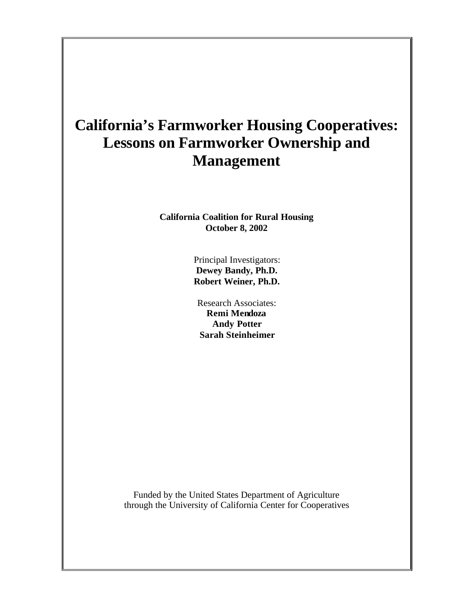# **California's Farmworker Housing Cooperatives: Lessons on Farmworker Ownership and Management**

**California Coalition for Rural Housing October 8, 2002**

> Principal Investigators: **Dewey Bandy, Ph.D. Robert Weiner, Ph.D.**

Research Associates: **Remi Mendoza Andy Potter Sarah Steinheimer**

Funded by the United States Department of Agriculture through the University of California Center for Cooperatives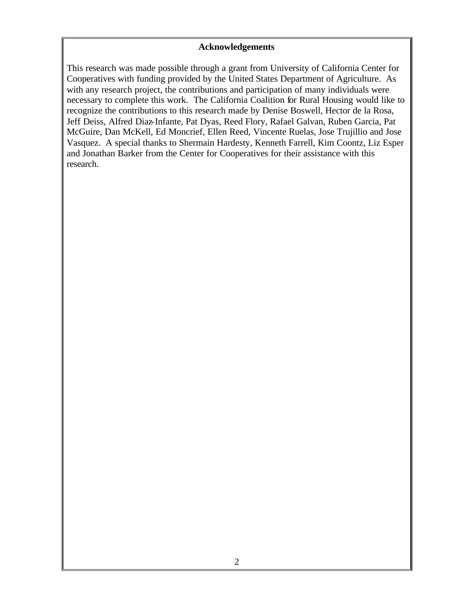#### **Acknowledgements**

This research was made possible through a grant from University of California Center for Cooperatives with funding provided by the United States Department of Agriculture. As with any research project, the contributions and participation of many individuals were necessary to complete this work. The California Coalition for Rural Housing would like to recognize the contributions to this research made by Denise Boswell, Hector de la Rosa, Jeff Deiss, Alfred Diaz-Infante, Pat Dyas, Reed Flory, Rafael Galvan, Ruben Garcia, Pat McGuire, Dan McKell, Ed Moncrief, Ellen Reed, Vincente Ruelas, Jose Trujillio and Jose Vasquez. A special thanks to Shermain Hardesty, Kenneth Farrell, Kim Coontz, Liz Esper and Jonathan Barker from the Center for Cooperatives for their assistance with this research.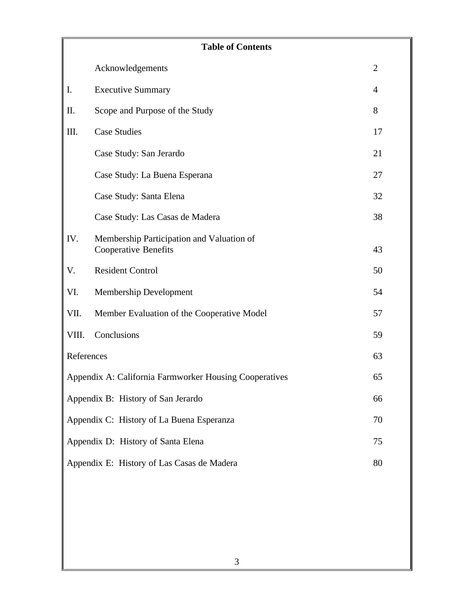|            | <b>Table of Contents</b>                                                 |                |  |  |
|------------|--------------------------------------------------------------------------|----------------|--|--|
|            | Acknowledgements                                                         | $\overline{2}$ |  |  |
| I.         | <b>Executive Summary</b>                                                 | 4              |  |  |
| Π.         | Scope and Purpose of the Study                                           | 8              |  |  |
| III.       | <b>Case Studies</b>                                                      | 17             |  |  |
|            | Case Study: San Jerardo                                                  | 21             |  |  |
|            | Case Study: La Buena Esperana                                            | 27             |  |  |
|            | Case Study: Santa Elena                                                  | 32             |  |  |
|            | Case Study: Las Casas de Madera                                          | 38             |  |  |
| IV.        | Membership Participation and Valuation of<br><b>Cooperative Benefits</b> | 43             |  |  |
| V.         | <b>Resident Control</b>                                                  | 50             |  |  |
| VI.        | Membership Development                                                   | 54             |  |  |
| VII.       | Member Evaluation of the Cooperative Model                               | 57             |  |  |
| VIII.      | Conclusions                                                              | 59             |  |  |
| References |                                                                          | 63             |  |  |
|            | Appendix A: California Farmworker Housing Cooperatives                   | 65             |  |  |
|            | Appendix B: History of San Jerardo                                       | 66             |  |  |
|            | Appendix C: History of La Buena Esperanza<br>70                          |                |  |  |
|            | Appendix D: History of Santa Elena<br>75                                 |                |  |  |
|            | Appendix E: History of Las Casas de Madera                               | 80             |  |  |
|            |                                                                          |                |  |  |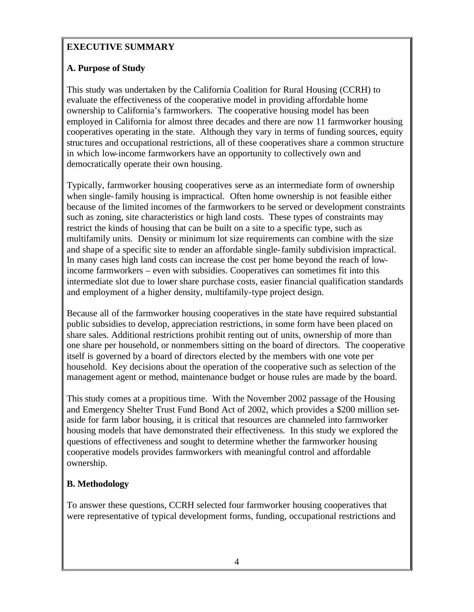# **EXECUTIVE SUMMARY**

# **A. Purpose of Study**

This study was undertaken by the California Coalition for Rural Housing (CCRH) to evaluate the effectiveness of the cooperative model in providing affordable home ownership to California's farmworkers. The cooperative housing model has been employed in California for almost three decades and there are now 11 farmworker housing cooperatives operating in the state. Although they vary in terms of funding sources, equity structures and occupational restrictions, all of these cooperatives share a common structure in which low-income farmworkers have an opportunity to collectively own and democratically operate their own housing.

Typically, farmworker housing cooperatives serve as an intermediate form of ownership when single-family housing is impractical. Often home ownership is not feasible either because of the limited incomes of the farmworkers to be served or development constraints such as zoning, site characteristics or high land costs. These types of constraints may restrict the kinds of housing that can be built on a site to a specific type, such as multifamily units. Density or minimum lot size requirements can combine with the size and shape of a specific site to render an affordable single-family subdivision impractical. In many cases high land costs can increase the cost per home beyond the reach of lowincome farmworkers – even with subsidies. Cooperatives can sometimes fit into this intermediate slot due to lower share purchase costs, easier financial qualification standards and employment of a higher density, multifamily-type project design.

Because all of the farmworker housing cooperatives in the state have required substantial public subsidies to develop, appreciation restrictions, in some form have been placed on share sales. Additional restrictions prohibit renting out of units, ownership of more than one share per household, or nonmembers sitting on the board of directors. The cooperative itself is governed by a board of directors elected by the members with one vote per household. Key decisions about the operation of the cooperative such as selection of the management agent or method, maintenance budget or house rules are made by the board.

This study comes at a propitious time. With the November 2002 passage of the Housing and Emergency Shelter Trust Fund Bond Act of 2002, which provides a \$200 million setaside for farm labor housing, it is critical that resources are channeled into farmworker housing models that have demonstrated their effectiveness. In this study we explored the questions of effectiveness and sought to determine whether the farmworker housing cooperative models provides farmworkers with meaningful control and affordable ownership.

# **B. Methodology**

To answer these questions, CCRH selected four farmworker housing cooperatives that were representative of typical development forms, funding, occupational restrictions and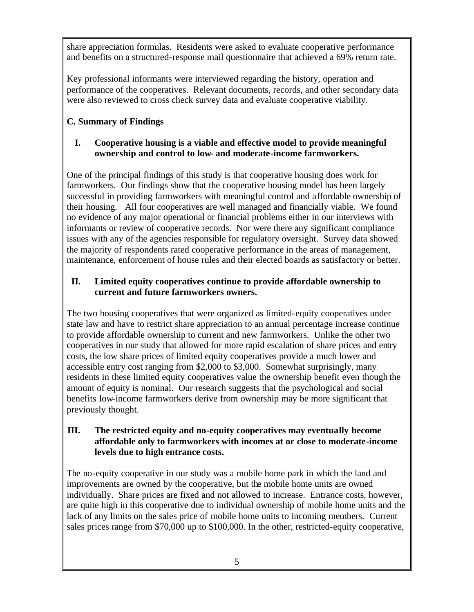share appreciation formulas. Residents were asked to evaluate cooperative performance and benefits on a structured-response mail questionnaire that achieved a 69% return rate.

Key professional informants were interviewed regarding the history, operation and performance of the cooperatives. Relevant documents, records, and other secondary data were also reviewed to cross check survey data and evaluate cooperative viability.

# **C. Summary of Findings**

## **I. Cooperative housing is a viable and effective model to provide meaningful ownership and control to low- and moderate-income farmworkers.**

One of the principal findings of this study is that cooperative housing does work for farmworkers. Our findings show that the cooperative housing model has been largely successful in providing farmworkers with meaningful control and affordable ownership of their housing. All four cooperatives are well managed and financially viable. We found no evidence of any major operational or financial problems either in our interviews with informants or review of cooperative records. Nor were there any significant compliance issues with any of the agencies responsible for regulatory oversight. Survey data showed the majority of respondents rated cooperative performance in the areas of management, maintenance, enforcement of house rules and their elected boards as satisfactory or better.

## **II. Limited equity cooperatives continue to provide affordable ownership to current and future farmworkers owners.**

The two housing cooperatives that were organized as limited-equity cooperatives under state law and have to restrict share appreciation to an annual percentage increase continue to provide affordable ownership to current and new farmworkers. Unlike the other two cooperatives in our study that allowed for more rapid escalation of share prices and entry costs, the low share prices of limited equity cooperatives provide a much lower and accessible entry cost ranging from \$2,000 to \$3,000. Somewhat surprisingly, many residents in these limited equity cooperatives value the ownership benefit even though the amount of equity is nominal. Our research suggests that the psychological and social benefits low-income farmworkers derive from ownership may be more significant that previously thought.

## **III. The restricted equity and no-equity cooperatives may eventually become affordable only to farmworkers with incomes at or close to moderate-income levels due to high entrance costs.**

The no-equity cooperative in our study was a mobile home park in which the land and improvements are owned by the cooperative, but the mobile home units are owned individually. Share prices are fixed and not allowed to increase. Entrance costs, however, are quite high in this cooperative due to individual ownership of mobile home units and the lack of any limits on the sales price of mobile home units to incoming members. Current sales prices range from \$70,000 up to \$100,000. In the other, restricted-equity cooperative,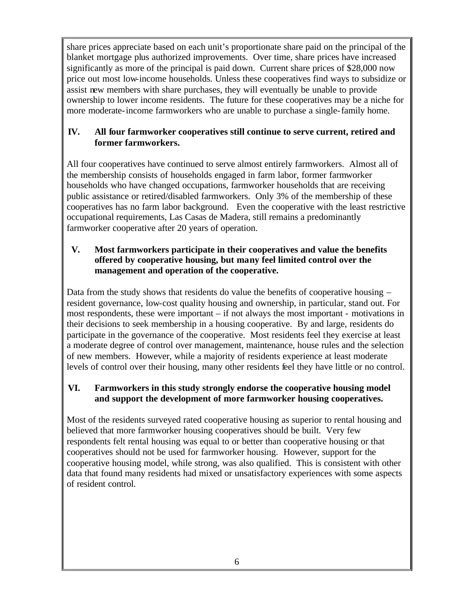share prices appreciate based on each unit's proportionate share paid on the principal of the blanket mortgage plus authorized improvements. Over time, share prices have increased significantly as more of the principal is paid down. Current share prices of \$28,000 now price out most low-income households. Unless these cooperatives find ways to subsidize or assist new members with share purchases, they will eventually be unable to provide ownership to lower income residents. The future for these cooperatives may be a niche for more moderate-income farmworkers who are unable to purchase a single-family home.

## **IV. All four farmworker cooperatives still continue to serve current, retired and former farmworkers.**

All four cooperatives have continued to serve almost entirely farmworkers. Almost all of the membership consists of households engaged in farm labor, former farmworker households who have changed occupations, farmworker households that are receiving public assistance or retired/disabled farmworkers. Only 3% of the membership of these cooperatives has no farm labor background. Even the cooperative with the least restrictive occupational requirements, Las Casas de Madera, still remains a predominantly farmworker cooperative after 20 years of operation.

## **V. Most farmworkers participate in their cooperatives and value the benefits offered by cooperative housing, but many feel limited control over the management and operation of the cooperative.**

Data from the study shows that residents do value the benefits of cooperative housing – resident governance, low-cost quality housing and ownership, in particular, stand out. For most respondents, these were important – if not always the most important - motivations in their decisions to seek membership in a housing cooperative. By and large, residents do participate in the governance of the cooperative. Most residents feel they exercise at least a moderate degree of control over management, maintenance, house rules and the selection of new members. However, while a majority of residents experience at least moderate levels of control over their housing, many other residents feel they have little or no control.

## **VI. Farmworkers in this study strongly endorse the cooperative housing model and support the development of more farmworker housing cooperatives.**

Most of the residents surveyed rated cooperative housing as superior to rental housing and believed that more farmworker housing cooperatives should be built. Very few respondents felt rental housing was equal to or better than cooperative housing or that cooperatives should not be used for farmworker housing. However, support for the cooperative housing model, while strong, was also qualified. This is consistent with other data that found many residents had mixed or unsatisfactory experiences with some aspects of resident control.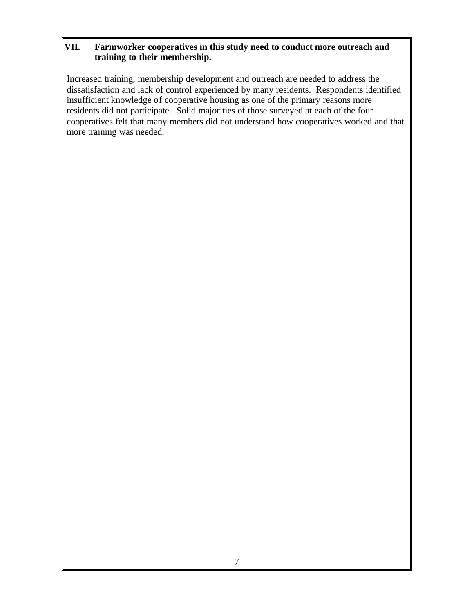## **VII. Farmworker cooperatives in this study need to conduct more outreach and training to their membership.**

Increased training, membership development and outreach are needed to address the dissatisfaction and lack of control experienced by many residents. Respondents identified insufficient knowledge of cooperative housing as one of the primary reasons more residents did not participate. Solid majorities of those surveyed at each of the four cooperatives felt that many members did not understand how cooperatives worked and that more training was needed.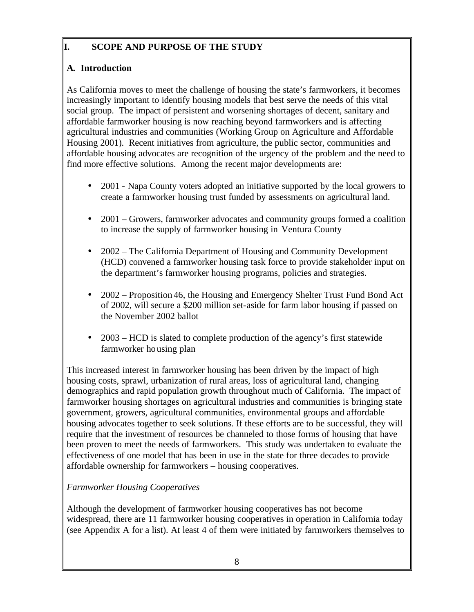# **I. SCOPE AND PURPOSE OF THE STUDY**

# **A. Introduction**

As California moves to meet the challenge of housing the state's farmworkers, it becomes increasingly important to identify housing models that best serve the needs of this vital social group. The impact of persistent and worsening shortages of decent, sanitary and affordable farmworker housing is now reaching beyond farmworkers and is affecting agricultural industries and communities (Working Group on Agriculture and Affordable Housing 2001). Recent initiatives from agriculture, the public sector, communities and affordable housing advocates are recognition of the urgency of the problem and the need to find more effective solutions. Among the recent major developments are:

- 2001 Napa County voters adopted an initiative supported by the local growers to create a farmworker housing trust funded by assessments on agricultural land.
- 2001 Growers, farmworker advocates and community groups formed a coalition to increase the supply of farmworker housing in Ventura County
- 2002 The California Department of Housing and Community Development (HCD) convened a farmworker housing task force to provide stakeholder input on the department's farmworker housing programs, policies and strategies.
- 2002 Proposition 46, the Housing and Emergency Shelter Trust Fund Bond Act of 2002, will secure a \$200 million set-aside for farm labor housing if passed on the November 2002 ballot
- 2003 HCD is slated to complete production of the agency's first statewide farmworker housing plan

This increased interest in farmworker housing has been driven by the impact of high housing costs, sprawl, urbanization of rural areas, loss of agricultural land, changing demographics and rapid population growth throughout much of California. The impact of farmworker housing shortages on agricultural industries and communities is bringing state government, growers, agricultural communities, environmental groups and affordable housing advocates together to seek solutions. If these efforts are to be successful, they will require that the investment of resources be channeled to those forms of housing that have been proven to meet the needs of farmworkers. This study was undertaken to evaluate the effectiveness of one model that has been in use in the state for three decades to provide affordable ownership for farmworkers – housing cooperatives.

# *Farmworker Housing Cooperatives*

Although the development of farmworker housing cooperatives has not become widespread, there are 11 farmworker housing cooperatives in operation in California today (see Appendix A for a list). At least 4 of them were initiated by farmworkers themselves to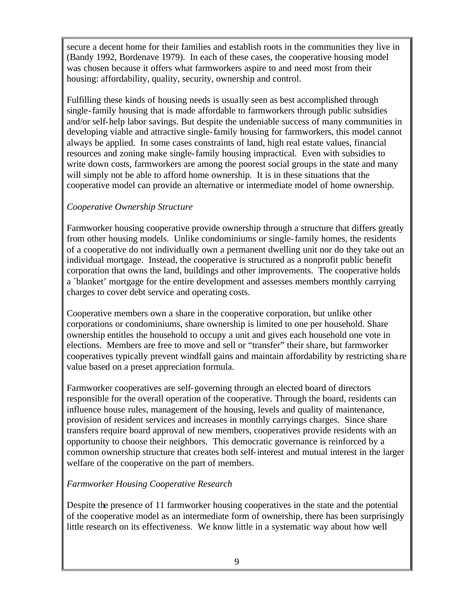secure a decent home for their families and establish roots in the communities they live in (Bandy 1992, Bordenave 1979). In each of these cases, the cooperative housing model was chosen because it offers what farmworkers aspire to and need most from their housing: affordability, quality, security, ownership and control.

Fulfilling these kinds of housing needs is usually seen as best accomplished through single-family housing that is made affordable to farmworkers through public subsidies and/or self-help labor savings. But despite the undeniable success of many communities in developing viable and attractive single-family housing for farmworkers, this model cannot always be applied. In some cases constraints of land, high real estate values, financial resources and zoning make single-family housing impractical. Even with subsidies to write down costs, farmworkers are among the poorest social groups in the state and many will simply not be able to afford home ownership. It is in these situations that the cooperative model can provide an alternative or intermediate model of home ownership.

### *Cooperative Ownership Structure*

Farmworker housing cooperative provide ownership through a structure that differs greatly from other housing models. Unlike condominiums or single-family homes, the residents of a cooperative do not individually own a permanent dwelling unit nor do they take out an individual mortgage. Instead, the cooperative is structured as a nonprofit public benefit corporation that owns the land, buildings and other improvements. The cooperative holds a `blanket' mortgage for the entire development and assesses members monthly carrying charges to cover debt service and operating costs.

Cooperative members own a share in the cooperative corporation, but unlike other corporations or condominiums, share ownership is limited to one per household. Share ownership entitles the household to occupy a unit and gives each household one vote in elections. Members are free to move and sell or "transfer" their share, but farmworker cooperatives typically prevent windfall gains and maintain affordability by restricting sha re value based on a preset appreciation formula.

Farmworker cooperatives are self-governing through an elected board of directors responsible for the overall operation of the cooperative. Through the board, residents can influence house rules, management of the housing, levels and quality of maintenance, provision of resident services and increases in monthly carryings charges. Since share transfers require board approval of new members, cooperatives provide residents with an opportunity to choose their neighbors. This democratic governance is reinforced by a common ownership structure that creates both self-interest and mutual interest in the larger welfare of the cooperative on the part of members.

### *Farmworker Housing Cooperative Research*

Despite the presence of 11 farmworker housing cooperatives in the state and the potential of the cooperative model as an intermediate form of ownership, there has been surprisingly little research on its effectiveness. We know little in a systematic way about how well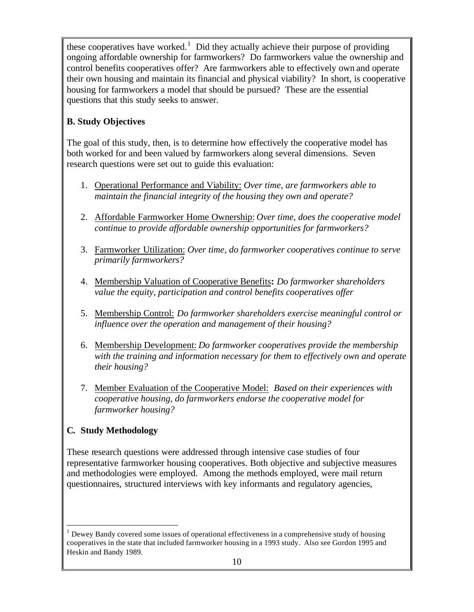these cooperatives have worked.<sup>1</sup> Did they actually achieve their purpose of providing ongoing affordable ownership for farmworkers? Do farmworkers value the ownership and control benefits cooperatives offer? Are farmworkers able to effectively own and operate their own housing and maintain its financial and physical viability? In short, is cooperative housing for farmworkers a model that should be pursued? These are the essential questions that this study seeks to answer.

# **B. Study Objectives**

The goal of this study, then, is to determine how effectively the cooperative model has both worked for and been valued by farmworkers along several dimensions. Seven research questions were set out to guide this evaluation:

- 1. Operational Performance and Viability: *Over time, are farmworkers able to maintain the financial integrity of the housing they own and operate?*
- 2. Affordable Farmworker Home Ownership: *Over time, does the cooperative model continue to provide affordable ownership opportunities for farmworkers?*
- 3. Farmworker Utilization: *Over time, do farmworker cooperatives continue to serve primarily farmworkers?*
- 4. Membership Valuation of Cooperative Benefits**:** *Do farmworker shareholders value the equity, participation and control benefits cooperatives offer*
- 5. Membership Control: *Do farmworker shareholders exercise meaningful control or influence over the operation and management of their housing?*
- 6. Membership Development: *Do farmworker cooperatives provide the membership with the training and information necessary for them to effectively own and operate their housing?*
- 7. Member Evaluation of the Cooperative Model: *Based on their experiences with cooperative housing, do farmworkers endorse the cooperative model for farmworker housing?*

# **C. Study Methodology**

 $\overline{a}$ 

These research questions were addressed through intensive case studies of four representative farmworker housing cooperatives. Both objective and subjective measures and methodologies were employed. Among the methods employed, were mail return questionnaires, structured interviews with key informants and regulatory agencies,

 $<sup>1</sup>$  Dewey Bandy covered some issues of operational effectiveness in a comprehensive study of housing</sup> cooperatives in the state that included farmworker housing in a 1993 study. Also see Gordon 1995 and Heskin and Bandy 1989.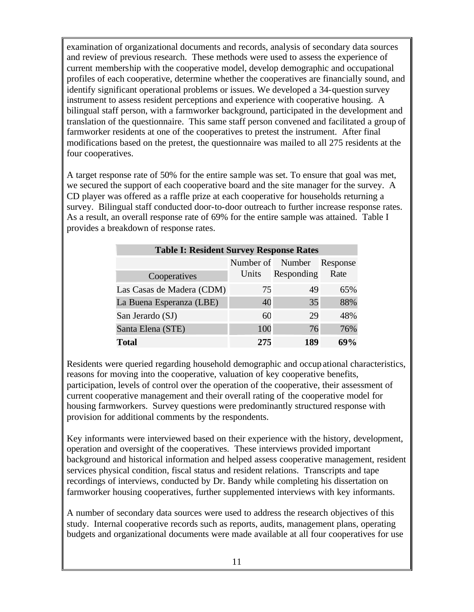examination of organizational documents and records, analysis of secondary data sources and review of previous research. These methods were used to assess the experience of current membership with the cooperative model, develop demographic and occupational profiles of each cooperative, determine whether the cooperatives are financially sound, and identify significant operational problems or issues. We developed a 34-question survey instrument to assess resident perceptions and experience with cooperative housing. A bilingual staff person, with a farmworker background, participated in the development and translation of the questionnaire. This same staff person convened and facilitated a group of farmworker residents at one of the cooperatives to pretest the instrument. After final modifications based on the pretest, the questionnaire was mailed to all 275 residents at the four cooperatives.

A target response rate of 50% for the entire sample was set. To ensure that goal was met, we secured the support of each cooperative board and the site manager for the survey. A CD player was offered as a raffle prize at each cooperative for households returning a survey. Bilingual staff conducted door-to-door outreach to further increase response rates. As a result, an overall response rate of 69% for the entire sample was attained. Table I provides a breakdown of response rates.

| <b>Table I: Resident Survey Response Rates</b> |       |                           |        |  |  |
|------------------------------------------------|-------|---------------------------|--------|--|--|
|                                                |       | Number of Number Response |        |  |  |
| Cooperatives                                   | Units | Responding                | Rate   |  |  |
| Las Casas de Madera (CDM)                      | 75    | 49                        | 65%    |  |  |
| La Buena Esperanza (LBE)                       | 40    | 35                        | 88%    |  |  |
| San Jerardo (SJ)                               | 60    | 29                        | 48%    |  |  |
| Santa Elena (STE)                              | 100   | 76                        | 76%    |  |  |
| <b>Total</b>                                   | 275   | 189                       | $69\%$ |  |  |

Residents were queried regarding household demographic and occupational characteristics, reasons for moving into the cooperative, valuation of key cooperative benefits, participation, levels of control over the operation of the cooperative, their assessment of current cooperative management and their overall rating of the cooperative model for housing farmworkers. Survey questions were predominantly structured response with provision for additional comments by the respondents.

Key informants were interviewed based on their experience with the history, development, operation and oversight of the cooperatives. These interviews provided important background and historical information and helped assess cooperative management, resident services physical condition, fiscal status and resident relations. Transcripts and tape recordings of interviews, conducted by Dr. Bandy while completing his dissertation on farmworker housing cooperatives, further supplemented interviews with key informants.

A number of secondary data sources were used to address the research objectives of this study. Internal cooperative records such as reports, audits, management plans, operating budgets and organizational documents were made available at all four cooperatives for use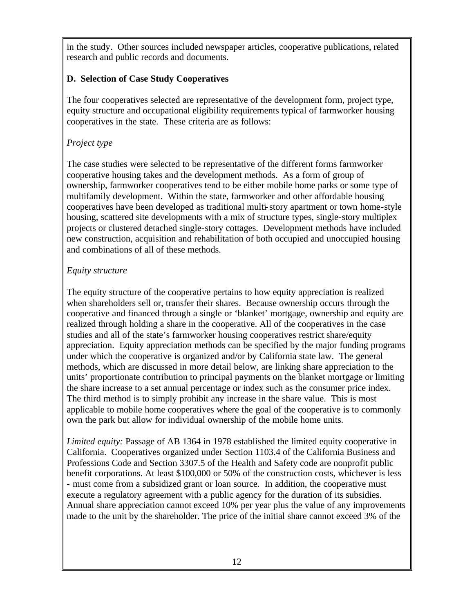in the study. Other sources included newspaper articles, cooperative publications, related research and public records and documents.

## **D. Selection of Case Study Cooperatives**

The four cooperatives selected are representative of the development form, project type, equity structure and occupational eligibility requirements typical of farmworker housing cooperatives in the state. These criteria are as follows:

## *Project type*

The case studies were selected to be representative of the different forms farmworker cooperative housing takes and the development methods. As a form of group of ownership, farmworker cooperatives tend to be either mobile home parks or some type of multifamily development. Within the state, farmworker and other affordable housing cooperatives have been developed as traditional multi-story apartment or town home-style housing, scattered site developments with a mix of structure types, single-story multiplex projects or clustered detached single-story cottages. Development methods have included new construction, acquisition and rehabilitation of both occupied and unoccupied housing and combinations of all of these methods.

## *Equity structure*

The equity structure of the cooperative pertains to how equity appreciation is realized when shareholders sell or, transfer their shares. Because ownership occurs through the cooperative and financed through a single or 'blanket' mortgage, ownership and equity are realized through holding a share in the cooperative. All of the cooperatives in the case studies and all of the state's farmworker housing cooperatives restrict share/equity appreciation. Equity appreciation methods can be specified by the major funding programs under which the cooperative is organized and/or by California state law. The general methods, which are discussed in more detail below, are linking share appreciation to the units' proportionate contribution to principal payments on the blanket mortgage or limiting the share increase to a set annual percentage or index such as the consumer price index. The third method is to simply prohibit any increase in the share value. This is most applicable to mobile home cooperatives where the goal of the cooperative is to commonly own the park but allow for individual ownership of the mobile home units.

*Limited equity:* Passage of AB 1364 in 1978 established the limited equity cooperative in California. Cooperatives organized under Section 1103.4 of the California Business and Professions Code and Section 3307.5 of the Health and Safety code are nonprofit public benefit corporations. At least \$100,000 or 50% of the construction costs, whichever is less - must come from a subsidized grant or loan source. In addition, the cooperative must execute a regulatory agreement with a public agency for the duration of its subsidies. Annual share appreciation cannot exceed 10% per year plus the value of any improvements made to the unit by the shareholder. The price of the initial share cannot exceed 3% of the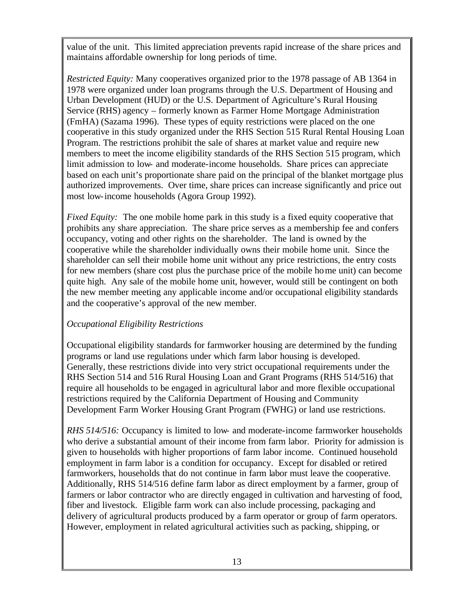value of the unit. This limited appreciation prevents rapid increase of the share prices and maintains affordable ownership for long periods of time.

*Restricted Equity:* Many cooperatives organized prior to the 1978 passage of AB 1364 in 1978 were organized under loan programs through the U.S. Department of Housing and Urban Development (HUD) or the U.S. Department of Agriculture's Rural Housing Service (RHS) agency – formerly known as Farmer Home Mortgage Administration (FmHA) (Sazama 1996). These types of equity restrictions were placed on the one cooperative in this study organized under the RHS Section 515 Rural Rental Housing Loan Program. The restrictions prohibit the sale of shares at market value and require new members to meet the income eligibility standards of the RHS Section 515 program, which limit admission to low- and moderate-income households. Share prices can appreciate based on each unit's proportionate share paid on the principal of the blanket mortgage plus authorized improvements. Over time, share prices can increase significantly and price out most low-income households (Agora Group 1992).

*Fixed Equity:* The one mobile home park in this study is a fixed equity cooperative that prohibits any share appreciation. The share price serves as a membership fee and confers occupancy, voting and other rights on the shareholder. The land is owned by the cooperative while the shareholder individually owns their mobile home unit. Since the shareholder can sell their mobile home unit without any price restrictions, the entry costs for new members (share cost plus the purchase price of the mobile home unit) can become quite high. Any sale of the mobile home unit, however, would still be contingent on both the new member meeting any applicable income and/or occupational eligibility standards and the cooperative's approval of the new member.

### *Occupational Eligibility Restrictions*

Occupational eligibility standards for farmworker housing are determined by the funding programs or land use regulations under which farm labor housing is developed. Generally, these restrictions divide into very strict occupational requirements under the RHS Section 514 and 516 Rural Housing Loan and Grant Programs (RHS 514/516) that require all households to be engaged in agricultural labor and more flexible occupational restrictions required by the California Department of Housing and Community Development Farm Worker Housing Grant Program (FWHG) or land use restrictions.

*RHS 514/516:* Occupancy is limited to low- and moderate-income farmworker households who derive a substantial amount of their income from farm labor. Priority for admission is given to households with higher proportions of farm labor income. Continued household employment in farm labor is a condition for occupancy. Except for disabled or retired farmworkers, households that do not continue in farm labor must leave the cooperative. Additionally, RHS 514/516 define farm labor as direct employment by a farmer, group of farmers or labor contractor who are directly engaged in cultivation and harvesting of food, fiber and livestock. Eligible farm work can also include processing, packaging and delivery of agricultural products produced by a farm operator or group of farm operators. However, employment in related agricultural activities such as packing, shipping, or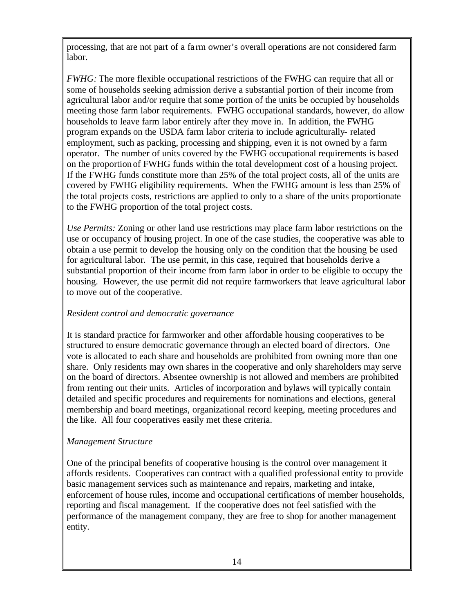processing, that are not part of a fa rm owner's overall operations are not considered farm labor.

*FWHG:* The more flexible occupational restrictions of the FWHG can require that all or some of households seeking admission derive a substantial portion of their income from agricultural labor and/or require that some portion of the units be occupied by households meeting those farm labor requirements. FWHG occupational standards, however, do allow households to leave farm labor entirely after they move in. In addition, the FWHG program expands on the USDA farm labor criteria to include agriculturally- related employment, such as packing, processing and shipping, even it is not owned by a farm operator. The number of units covered by the FWHG occupational requirements is based on the proportion of FWHG funds within the total development cost of a housing project. If the FWHG funds constitute more than 25% of the total project costs, all of the units are covered by FWHG eligibility requirements. When the FWHG amount is less than 25% of the total projects costs, restrictions are applied to only to a share of the units proportionate to the FWHG proportion of the total project costs.

*Use Permits:* Zoning or other land use restrictions may place farm labor restrictions on the use or occupancy of housing project. In one of the case studies, the cooperative was able to obtain a use permit to develop the housing only on the condition that the housing be used for agricultural labor. The use permit, in this case, required that households derive a substantial proportion of their income from farm labor in order to be eligible to occupy the housing. However, the use permit did not require farmworkers that leave agricultural labor to move out of the cooperative.

### *Resident control and democratic governance*

It is standard practice for farmworker and other affordable housing cooperatives to be structured to ensure democratic governance through an elected board of directors. One vote is allocated to each share and households are prohibited from owning more than one share. Only residents may own shares in the cooperative and only shareholders may serve on the board of directors. Absentee ownership is not allowed and members are prohibited from renting out their units. Articles of incorporation and bylaws will typically contain detailed and specific procedures and requirements for nominations and elections, general membership and board meetings, organizational record keeping, meeting procedures and the like. All four cooperatives easily met these criteria.

### *Management Structure*

One of the principal benefits of cooperative housing is the control over management it affords residents. Cooperatives can contract with a qualified professional entity to provide basic management services such as maintenance and repairs, marketing and intake, enforcement of house rules, income and occupational certifications of member households, reporting and fiscal management. If the cooperative does not feel satisfied with the performance of the management company, they are free to shop for another management entity.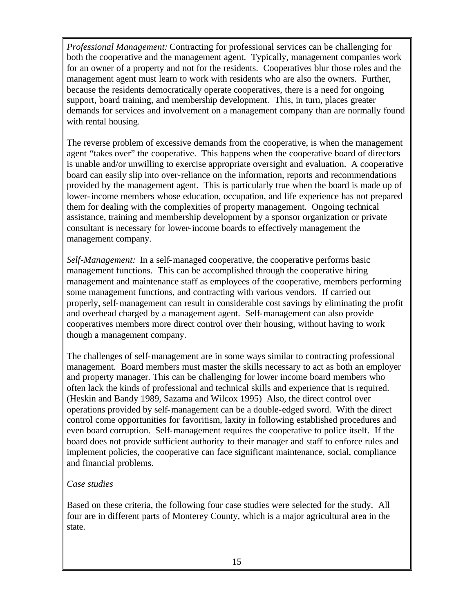*Professional Management:* Contracting for professional services can be challenging for both the cooperative and the management agent. Typically, management companies work for an owner of a property and not for the residents. Cooperatives blur those roles and the management agent must learn to work with residents who are also the owners. Further, because the residents democratically operate cooperatives, there is a need for ongoing support, board training, and membership development. This, in turn, places greater demands for services and involvement on a management company than are normally found with rental housing.

The reverse problem of excessive demands from the cooperative, is when the management agent "takes over" the cooperative. This happens when the cooperative board of directors is unable and/or unwilling to exercise appropriate oversight and evaluation. A cooperative board can easily slip into over-reliance on the information, reports and recommendations provided by the management agent. This is particularly true when the board is made up of lower-income members whose education, occupation, and life experience has not prepared them for dealing with the complexities of property management. Ongoing technical assistance, training and membership development by a sponsor organization or private consultant is necessary for lower-income boards to effectively management the management company.

*Self-Management:* In a self-managed cooperative, the cooperative performs basic management functions. This can be accomplished through the cooperative hiring management and maintenance staff as employees of the cooperative, members performing some management functions, and contracting with various vendors. If carried out properly, self-management can result in considerable cost savings by eliminating the profit and overhead charged by a management agent. Self-management can also provide cooperatives members more direct control over their housing, without having to work though a management company.

The challenges of self-management are in some ways similar to contracting professional management. Board members must master the skills necessary to act as both an employer and property manager. This can be challenging for lower income board members who often lack the kinds of professional and technical skills and experience that is required. (Heskin and Bandy 1989, Sazama and Wilcox 1995) Also, the direct control over operations provided by self-management can be a double-edged sword. With the direct control come opportunities for favoritism, laxity in following established procedures and even board corruption. Self-management requires the cooperative to police itself. If the board does not provide sufficient authority to their manager and staff to enforce rules and implement policies, the cooperative can face significant maintenance, social, compliance and financial problems.

### *Case studies*

Based on these criteria, the following four case studies were selected for the study. All four are in different parts of Monterey County, which is a major agricultural area in the state.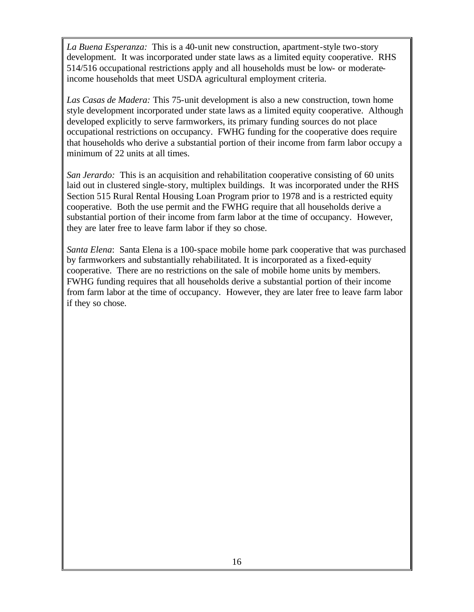*La Buena Esperanza:* This is a 40-unit new construction, apartment-style two-story development. It was incorporated under state laws as a limited equity cooperative. RHS 514/516 occupational restrictions apply and all households must be low- or moderateincome households that meet USDA agricultural employment criteria.

*Las Casas de Madera:* This 75-unit development is also a new construction, town home style development incorporated under state laws as a limited equity cooperative. Although developed explicitly to serve farmworkers, its primary funding sources do not place occupational restrictions on occupancy. FWHG funding for the cooperative does require that households who derive a substantial portion of their income from farm labor occupy a minimum of 22 units at all times.

*San Jerardo:* This is an acquisition and rehabilitation cooperative consisting of 60 units laid out in clustered single-story, multiplex buildings. It was incorporated under the RHS Section 515 Rural Rental Housing Loan Program prior to 1978 and is a restricted equity cooperative. Both the use permit and the FWHG require that all households derive a substantial portion of their income from farm labor at the time of occupancy. However, they are later free to leave farm labor if they so chose.

*Santa Elena*: Santa Elena is a 100-space mobile home park cooperative that was purchased by farmworkers and substantially rehabilitated. It is incorporated as a fixed-equity cooperative. There are no restrictions on the sale of mobile home units by members. FWHG funding requires that all households derive a substantial portion of their income from farm labor at the time of occupancy. However, they are later free to leave farm labor if they so chose.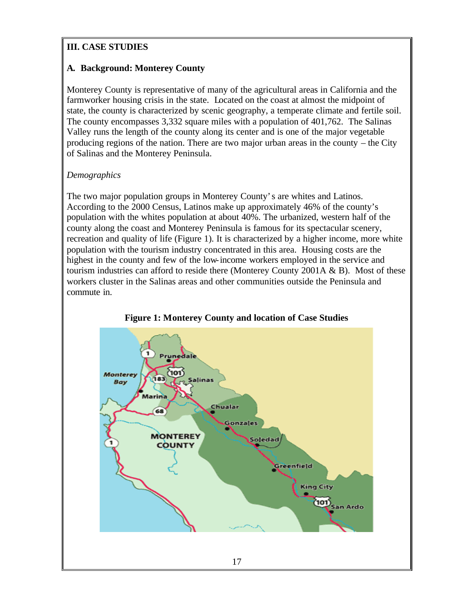# **III. CASE STUDIES**

# **A. Background: Monterey County**

Monterey County is representative of many of the agricultural areas in California and the farmworker housing crisis in the state. Located on the coast at almost the midpoint of state, the county is characterized by scenic geography, a temperate climate and fertile soil. The county encompasses 3,332 square miles with a population of 401,762. The Salinas Valley runs the length of the county along its center and is one of the major vegetable producing regions of the nation. There are two major urban areas in the county – the City of Salinas and the Monterey Peninsula.

# *Demographics*

The two major population groups in Monterey County's are whites and Latinos. According to the 2000 Census, Latinos make up approximately 46% of the county's population with the whites population at about 40%. The urbanized, western half of the county along the coast and Monterey Peninsula is famous for its spectacular scenery, recreation and quality of life (Figure 1). It is characterized by a higher income, more white population with the tourism industry concentrated in this area. Housing costs are the highest in the county and few of the low-income workers employed in the service and tourism industries can afford to reside there (Monterey County 2001A & B). Most of these workers cluster in the Salinas areas and other communities outside the Peninsula and commute in.



**Figure 1: Monterey County and location of Case Studies**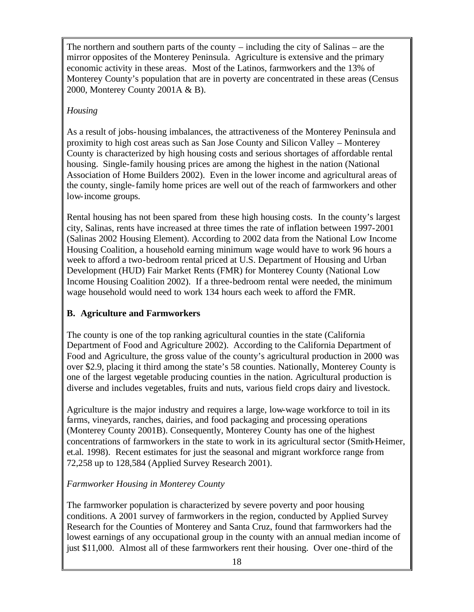The northern and southern parts of the county – including the city of Salinas – are the mirror opposites of the Monterey Peninsula. Agriculture is extensive and the primary economic activity in these areas. Most of the Latinos, farmworkers and the 13% of Monterey County's population that are in poverty are concentrated in these areas (Census 2000, Monterey County 2001A & B).

# *Housing*

As a result of jobs-housing imbalances, the attractiveness of the Monterey Peninsula and proximity to high cost areas such as San Jose County and Silicon Valley – Monterey County is characterized by high housing costs and serious shortages of affordable rental housing. Single-family housing prices are among the highest in the nation (National Association of Home Builders 2002). Even in the lower income and agricultural areas of the county, single-family home prices are well out of the reach of farmworkers and other low-income groups.

Rental housing has not been spared from these high housing costs. In the county's largest city, Salinas, rents have increased at three times the rate of inflation between 1997-2001 (Salinas 2002 Housing Element). According to 2002 data from the National Low Income Housing Coalition, a household earning minimum wage would have to work 96 hours a week to afford a two-bedroom rental priced at U.S. Department of Housing and Urban Development (HUD) Fair Market Rents (FMR) for Monterey County (National Low Income Housing Coalition 2002). If a three-bedroom rental were needed, the minimum wage household would need to work 134 hours each week to afford the FMR.

# **B. Agriculture and Farmworkers**

The county is one of the top ranking agricultural counties in the state (California Department of Food and Agriculture 2002). According to the California Department of Food and Agriculture, the gross value of the county's agricultural production in 2000 was over \$2.9, placing it third among the state's 58 counties. Nationally, Monterey County is one of the largest vegetable producing counties in the nation. Agricultural production is diverse and includes vegetables, fruits and nuts, various field crops dairy and livestock.

Agriculture is the major industry and requires a large, low-wage workforce to toil in its farms, vineyards, ranches, dairies, and food packaging and processing operations (Monterey County 2001B). Consequently, Monterey County has one of the highest concentrations of farmworkers in the state to work in its agricultural sector (Smith-Heimer, et.al. 1998). Recent estimates for just the seasonal and migrant workforce range from 72,258 up to 128,584 (Applied Survey Research 2001).

# *Farmworker Housing in Monterey County*

The farmworker population is characterized by severe poverty and poor housing conditions. A 2001 survey of farmworkers in the region, conducted by Applied Survey Research for the Counties of Monterey and Santa Cruz, found that farmworkers had the lowest earnings of any occupational group in the county with an annual median income of just \$11,000. Almost all of these farmworkers rent their housing. Over one-third of the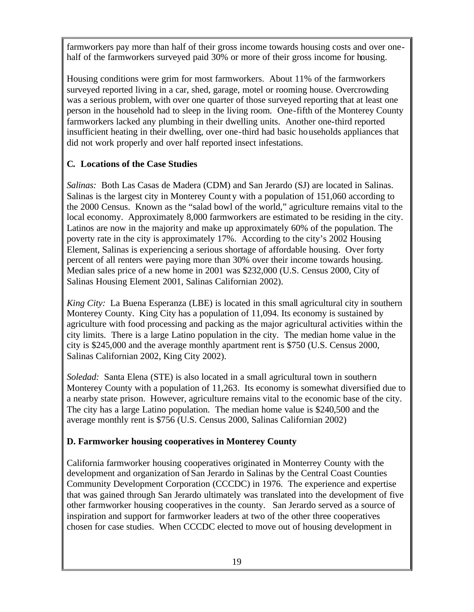farmworkers pay more than half of their gross income towards housing costs and over onehalf of the farmworkers surveyed paid 30% or more of their gross income for housing.

Housing conditions were grim for most farmworkers. About 11% of the farmworkers surveyed reported living in a car, shed, garage, motel or rooming house. Overcrowding was a serious problem, with over one quarter of those surveyed reporting that at least one person in the household had to sleep in the living room. One-fifth of the Monterey County farmworkers lacked any plumbing in their dwelling units. Another one-third reported insufficient heating in their dwelling, over one-third had basic households appliances that did not work properly and over half reported insect infestations.

# **C. Locations of the Case Studies**

*Salinas:* Both Las Casas de Madera (CDM) and San Jerardo (SJ) are located in Salinas. Salinas is the largest city in Monterey County with a population of 151,060 according to the 2000 Census. Known as the "salad bowl of the world," agriculture remains vital to the local economy. Approximately 8,000 farmworkers are estimated to be residing in the city. Latinos are now in the majority and make up approximately 60% of the population. The poverty rate in the city is approximately 17%. According to the city's 2002 Housing Element, Salinas is experiencing a serious shortage of affordable housing. Over forty percent of all renters were paying more than 30% over their income towards housing. Median sales price of a new home in 2001 was \$232,000 (U.S. Census 2000, City of Salinas Housing Element 2001, Salinas Californian 2002).

*King City:* La Buena Esperanza (LBE) is located in this small agricultural city in southern Monterey County. King City has a population of 11,094. Its economy is sustained by agriculture with food processing and packing as the major agricultural activities within the city limits. There is a large Latino population in the city. The median home value in the city is \$245,000 and the average monthly apartment rent is \$750 (U.S. Census 2000, Salinas Californian 2002, King City 2002).

*Soledad:* Santa Elena (STE) is also located in a small agricultural town in southern Monterey County with a population of 11,263. Its economy is somewhat diversified due to a nearby state prison. However, agriculture remains vital to the economic base of the city. The city has a large Latino population. The median home value is \$240,500 and the average monthly rent is \$756 (U.S. Census 2000, Salinas Californian 2002)

### **D. Farmworker housing cooperatives in Monterey County**

California farmworker housing cooperatives originated in Monterrey County with the development and organization of San Jerardo in Salinas by the Central Coast Counties Community Development Corporation (CCCDC) in 1976. The experience and expertise that was gained through San Jerardo ultimately was translated into the development of five other farmworker housing cooperatives in the county. San Jerardo served as a source of inspiration and support for farmworker leaders at two of the other three cooperatives chosen for case studies. When CCCDC elected to move out of housing development in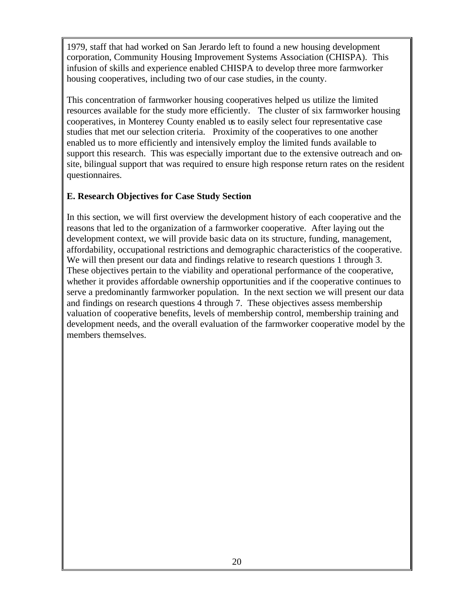1979, staff that had worked on San Jerardo left to found a new housing development corporation, Community Housing Improvement Systems Association (CHISPA). This infusion of skills and experience enabled CHISPA to develop three more farmworker housing cooperatives, including two of our case studies, in the county.

This concentration of farmworker housing cooperatives helped us utilize the limited resources available for the study more efficiently. The cluster of six farmworker housing cooperatives, in Monterey County enabled us to easily select four representative case studies that met our selection criteria. Proximity of the cooperatives to one another enabled us to more efficiently and intensively employ the limited funds available to support this research. This was especially important due to the extensive outreach and onsite, bilingual support that was required to ensure high response return rates on the resident questionnaires.

## **E. Research Objectives for Case Study Section**

In this section, we will first overview the development history of each cooperative and the reasons that led to the organization of a farmworker cooperative. After laying out the development context, we will provide basic data on its structure, funding, management, affordability, occupational restrictions and demographic characteristics of the cooperative. We will then present our data and findings relative to research questions 1 through 3. These objectives pertain to the viability and operational performance of the cooperative, whether it provides affordable ownership opportunities and if the cooperative continues to serve a predominantly farmworker population. In the next section we will present our data and findings on research questions 4 through 7. These objectives assess membership valuation of cooperative benefits, levels of membership control, membership training and development needs, and the overall evaluation of the farmworker cooperative model by the members themselves.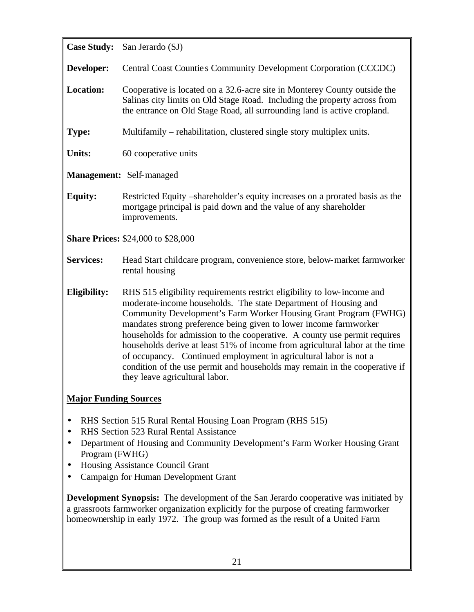**Case Study:** San Jerardo (SJ) **Developer:** Central Coast Counties Community Development Corporation (CCCDC) **Location:** Cooperative is located on a 32.6-acre site in Monterey County outside the Salinas city limits on Old Stage Road. Including the property across from the entrance on Old Stage Road, all surrounding land is active cropland. **Type:** Multifamily – rehabilitation, clustered single story multiplex units. **Units:** 60 cooperative units **Management:** Self-managed **Equity:** Restricted Equity –shareholder's equity increases on a prorated basis as the mortgage principal is paid down and the value of any shareholder improvements. **Share Prices:** \$24,000 to \$28,000 **Services:** Head Start childcare program, convenience store, below-market farmworker rental housing **Eligibility:** RHS 515 eligibility requirements restrict eligibility to low-income and moderate-income households. The state Department of Housing and Community Development's Farm Worker Housing Grant Program (FWHG) mandates strong preference being given to lower income farmworker households for admission to the cooperative. A county use permit requires households derive at least 51% of income from agricultural labor at the time of occupancy. Continued employment in agricultural labor is not a condition of the use permit and households may remain in the cooperative if they leave agricultural labor. **Major Funding Sources** • RHS Section 515 Rural Rental Housing Loan Program (RHS 515) • RHS Section 523 Rural Rental Assistance • Department of Housing and Community Development's Farm Worker Housing Grant Program (FWHG) • Housing Assistance Council Grant • Campaign for Human Development Grant **Development Synopsis:** The development of the San Jerardo cooperative was initiated by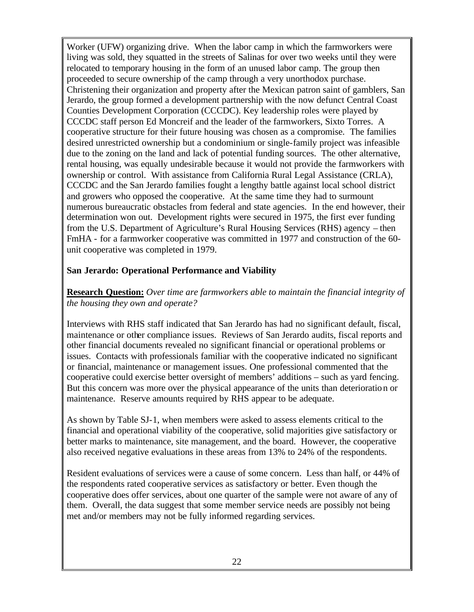Worker (UFW) organizing drive. When the labor camp in which the farmworkers were living was sold, they squatted in the streets of Salinas for over two weeks until they were relocated to temporary housing in the form of an unused labor camp. The group then proceeded to secure ownership of the camp through a very unorthodox purchase. Christening their organization and property after the Mexican patron saint of gamblers, San Jerardo, the group formed a development partnership with the now defunct Central Coast Counties Development Corporation (CCCDC). Key leadership roles were played by CCCDC staff person Ed Moncreif and the leader of the farmworkers, Sixto Torres. A cooperative structure for their future housing was chosen as a compromise. The families desired unrestricted ownership but a condominium or single-family project was infeasible due to the zoning on the land and lack of potential funding sources. The other alternative, rental housing, was equally undesirable because it would not provide the farmworkers with ownership or control. With assistance from California Rural Legal Assistance (CRLA), CCCDC and the San Jerardo families fought a lengthy battle against local school district and growers who opposed the cooperative. At the same time they had to surmount numerous bureaucratic obstacles from federal and state agencies. In the end however, their determination won out. Development rights were secured in 1975, the first ever funding from the U.S. Department of Agriculture's Rural Housing Services (RHS) agency – then FmHA - for a farmworker cooperative was committed in 1977 and construction of the 60 unit cooperative was completed in 1979.

#### **San Jerardo: Operational Performance and Viability**

### **Research Question:** *Over time are farmworkers able to maintain the financial integrity of the housing they own and operate?*

Interviews with RHS staff indicated that San Jerardo has had no significant default, fiscal, maintenance or other compliance issues. Reviews of San Jerardo audits, fiscal reports and other financial documents revealed no significant financial or operational problems or issues. Contacts with professionals familiar with the cooperative indicated no significant or financial, maintenance or management issues. One professional commented that the cooperative could exercise better oversight of members' additions – such as yard fencing. But this concern was more over the physical appearance of the units than deterioration or maintenance. Reserve amounts required by RHS appear to be adequate.

As shown by Table SJ-1, when members were asked to assess elements critical to the financial and operational viability of the cooperative, solid majorities give satisfactory or better marks to maintenance, site management, and the board. However, the cooperative also received negative evaluations in these areas from 13% to 24% of the respondents.

Resident evaluations of services were a cause of some concern. Less than half, or 44% of the respondents rated cooperative services as satisfactory or better. Even though the cooperative does offer services, about one quarter of the sample were not aware of any of them. Overall, the data suggest that some member service needs are possibly not being met and/or members may not be fully informed regarding services.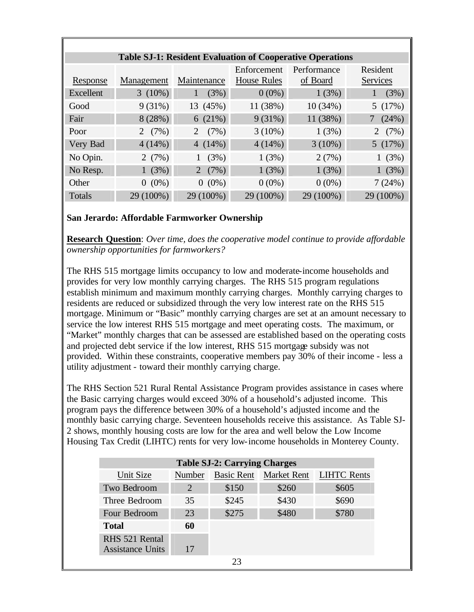|           |            |                        |                    | <b>Table SJ-1: Resident Evaluation of Cooperative Operations</b> |                 |
|-----------|------------|------------------------|--------------------|------------------------------------------------------------------|-----------------|
|           |            |                        | Enforcement        | Performance                                                      | Resident        |
| Response  | Management | Maintenance            | <b>House Rules</b> | of Board                                                         | <b>Services</b> |
| Excellent | $3(10\%)$  | (3%)<br>1              | $0(0\%)$           | 1(3%)                                                            | (3%)            |
| Good      | 9(31%)     | 13 (45%)               | 11 (38%)           | 10(34%)                                                          | 5(17%)          |
| Fair      | 8(28%)     | 6(21%)                 | $9(31\%)$          | 11 (38%)                                                         | (24%)           |
| Poor      | 2 $(7%)$   | (7%)<br>$\overline{2}$ | $3(10\%)$          | 1(3%)                                                            | 2 $(7%)$        |
| Very Bad  | 4(14%)     | 4 $(14%)$              | 4(14%)             | $3(10\%)$                                                        | 5(17%)          |
| No Opin.  | 2(7%)      | (3%)                   | 1(3%)              | 2(7%)                                                            | 1(3%)           |
| No Resp.  | 1(3%)      | 2 $(7%)$               | 1(3%)              | 1(3%)                                                            | 1(3%)           |
| Other     | $0(0\%)$   | $0(0\%)$               | $0(0\%)$           | $0(0\%)$                                                         | 7(24%)          |
| Totals    | 29 (100%)  | 29 (100%)              | 29 (100%)          | 29 (100%)                                                        | 29 (100%)       |

### **San Jerardo: Affordable Farmworker Ownership**

**Research Question**: *Over time, does the cooperative model continue to provide affordable ownership opportunities for farmworkers?*

The RHS 515 mortgage limits occupancy to low and moderate-income households and provides for very low monthly carrying charges. The RHS 515 program regulations establish minimum and maximum monthly carrying charges. Monthly carrying charges to residents are reduced or subsidized through the very low interest rate on the RHS 515 mortgage. Minimum or "Basic" monthly carrying charges are set at an amount necessary to service the low interest RHS 515 mortgage and meet operating costs. The maximum, or "Market" monthly charges that can be assessed are established based on the operating costs and projected debt service if the low interest, RHS 515 mortgage subsidy was not provided. Within these constraints, cooperative members pay 30% of their income - less a utility adjustment - toward their monthly carrying charge.

The RHS Section 521 Rural Rental Assistance Program provides assistance in cases where the Basic carrying charges would exceed 30% of a household's adjusted income. This program pays the difference between 30% of a household's adjusted income and the monthly basic carrying charge. Seventeen households receive this assistance. As Table SJ-2 shows, monthly housing costs are low for the area and well below the Low Income Housing Tax Credit (LIHTC) rents for very low-income households in Monterey County.

| <b>Table SJ-2: Carrying Charges</b> |               |                   |             |                    |  |
|-------------------------------------|---------------|-------------------|-------------|--------------------|--|
| Unit Size                           | <b>Number</b> | <b>Basic Rent</b> | Market Rent | <b>LIHTC Rents</b> |  |
| Two Bedroom                         | 2             | \$150             | \$260       | \$605              |  |
| Three Bedroom                       | 35            | \$245             | \$430       | \$690              |  |
| Four Bedroom                        | 23            | \$275             | \$480       | \$780              |  |
| <b>Total</b>                        | 60            |                   |             |                    |  |
| RHS 521 Rental                      |               |                   |             |                    |  |
| <b>Assistance Units</b>             |               |                   |             |                    |  |
|                                     |               | $2^{\circ}$       |             |                    |  |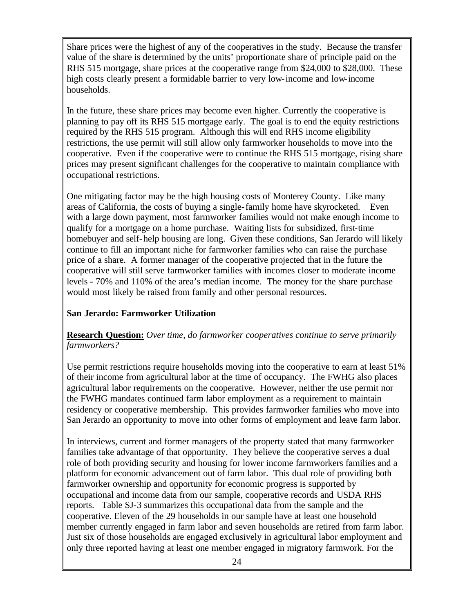Share prices were the highest of any of the cooperatives in the study. Because the transfer value of the share is determined by the units' proportionate share of principle paid on the RHS 515 mortgage, share prices at the cooperative range from \$24,000 to \$28,000. These high costs clearly present a formidable barrier to very low-income and low-income households.

In the future, these share prices may become even higher. Currently the cooperative is planning to pay off its RHS 515 mortgage early. The goal is to end the equity restrictions required by the RHS 515 program. Although this will end RHS income eligibility restrictions, the use permit will still allow only farmworker households to move into the cooperative. Even if the cooperative were to continue the RHS 515 mortgage, rising share prices may present significant challenges for the cooperative to maintain compliance with occupational restrictions.

One mitigating factor may be the high housing costs of Monterey County. Like many areas of California, the costs of buying a single-family home have skyrocketed. Even with a large down payment, most farmworker families would not make enough income to qualify for a mortgage on a home purchase. Waiting lists for subsidized, first-time homebuyer and self-help housing are long. Given these conditions, San Jerardo will likely continue to fill an important niche for farmworker families who can raise the purchase price of a share. A former manager of the cooperative projected that in the future the cooperative will still serve farmworker families with incomes closer to moderate income levels - 70% and 110% of the area's median income. The money for the share purchase would most likely be raised from family and other personal resources.

### **San Jerardo: Farmworker Utilization**

#### **Research Question:** *Over time, do farmworker cooperatives continue to serve primarily farmworkers?*

Use permit restrictions require households moving into the cooperative to earn at least 51% of their income from agricultural labor at the time of occupancy. The FWHG also places agricultural labor requirements on the cooperative. However, neither the use permit nor the FWHG mandates continued farm labor employment as a requirement to maintain residency or cooperative membership. This provides farmworker families who move into San Jerardo an opportunity to move into other forms of employment and leave farm labor.

In interviews, current and former managers of the property stated that many farmworker families take advantage of that opportunity. They believe the cooperative serves a dual role of both providing security and housing for lower income farmworkers families and a platform for economic advancement out of farm labor. This dual role of providing both farmworker ownership and opportunity for economic progress is supported by occupational and income data from our sample, cooperative records and USDA RHS reports. Table SJ-3 summarizes this occupational data from the sample and the cooperative. Eleven of the 29 households in our sample have at least one household member currently engaged in farm labor and seven households are retired from farm labor. Just six of those households are engaged exclusively in agricultural labor employment and only three reported having at least one member engaged in migratory farmwork. For the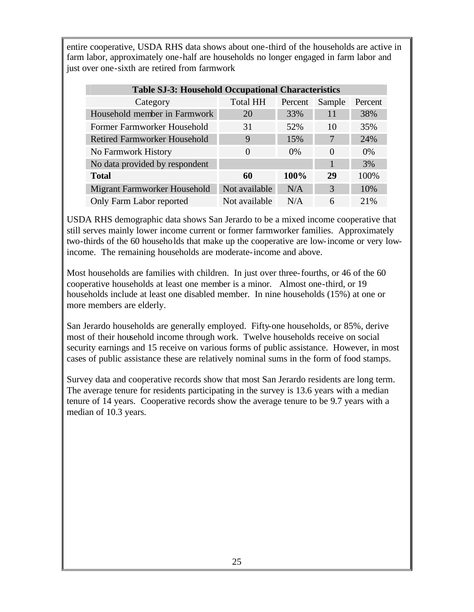entire cooperative, USDA RHS data shows about one-third of the households are active in farm labor, approximately one-half are households no longer engaged in farm labor and just over one-sixth are retired from farmwork

| <b>Table SJ-3: Household Occupational Characteristics</b> |                 |         |          |         |  |
|-----------------------------------------------------------|-----------------|---------|----------|---------|--|
| Category                                                  | <b>Total HH</b> | Percent | Sample   | Percent |  |
| Household member in Farmwork                              | 20              | 33%     | 11       | 38%     |  |
| Former Farmworker Household                               | 31              | 52%     | 10       | 35%     |  |
| <b>Retired Farmworker Household</b>                       | 9               | 15%     | 7        | 24%     |  |
| No Farmwork History                                       | $\theta$        | $0\%$   | $\Omega$ | $0\%$   |  |
| No data provided by respondent                            |                 |         |          | 3%      |  |
| <b>Total</b>                                              | 60              | 100%    | 29       | 100%    |  |
| Migrant Farmworker Household                              | Not available   | N/A     | 3        | 10%     |  |
| Only Farm Labor reported                                  | Not available   | N/A     | 6        | 21%     |  |

USDA RHS demographic data shows San Jerardo to be a mixed income cooperative that still serves mainly lower income current or former farmworker families. Approximately two-thirds of the 60 households that make up the cooperative are low-income or very lowincome. The remaining households are moderate-income and above.

Most households are families with children. In just over three-fourths, or 46 of the 60 cooperative households at least one member is a minor. Almost one-third, or 19 households include at least one disabled member. In nine households (15%) at one or more members are elderly.

San Jerardo households are generally employed. Fifty-one households, or 85%, derive most of their household income through work. Twelve households receive on social security earnings and 15 receive on various forms of public assistance. However, in most cases of public assistance these are relatively nominal sums in the form of food stamps.

Survey data and cooperative records show that most San Jerardo residents are long term. The average tenure for residents participating in the survey is 13.6 years with a median tenure of 14 years. Cooperative records show the average tenure to be 9.7 years with a median of 10.3 years.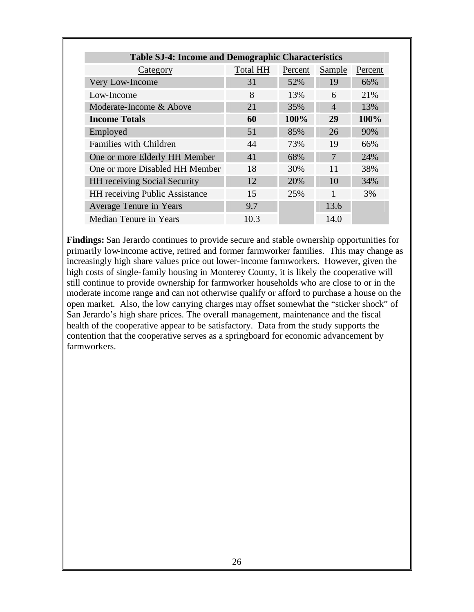| <b>Table SJ-4: Income and Demographic Characteristics</b> |          |         |                |         |
|-----------------------------------------------------------|----------|---------|----------------|---------|
| Category                                                  | Total HH | Percent | Sample         | Percent |
| Very Low-Income                                           | 31       | 52%     | 19             | 66%     |
| Low-Income                                                | 8        | 13%     | 6              | 21%     |
| Moderate-Income & Above                                   | 21       | 35%     | $\overline{4}$ | 13%     |
| <b>Income Totals</b>                                      | 60       | 100%    | 29             | 100%    |
| Employed                                                  | 51       | 85%     | 26             | 90%     |
| <b>Families with Children</b>                             | 44       | 73%     | 19             | 66%     |
| One or more Elderly HH Member                             | 41       | 68%     | 7              | 24%     |
| One or more Disabled HH Member                            | 18       | 30%     | 11             | 38%     |
| <b>HH</b> receiving Social Security                       | 12       | 20%     | 10             | 34%     |
| <b>HH</b> receiving Public Assistance                     | 15       | 25%     |                | 3%      |
| Average Tenure in Years                                   | 9.7      |         | 13.6           |         |
| Median Tenure in Years                                    | 10.3     |         | 14.0           |         |

**Findings:** San Jerardo continues to provide secure and stable ownership opportunities for primarily low-income active, retired and former farmworker families. This may change as increasingly high share values price out lower-income farmworkers. However, given the high costs of single-family housing in Monterey County, it is likely the cooperative will still continue to provide ownership for farmworker households who are close to or in the moderate income range and can not otherwise qualify or afford to purchase a house on the open market. Also, the low carrying charges may offset somewhat the "sticker shock" of San Jerardo's high share prices. The overall management, maintenance and the fiscal health of the cooperative appear to be satisfactory. Data from the study supports the contention that the cooperative serves as a springboard for economic advancement by farmworkers.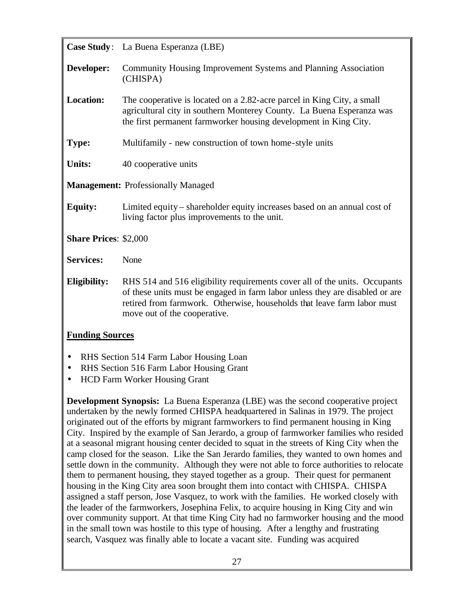|                              | Case Study: La Buena Esperanza (LBE)                                                                                                                                                                                                                                  |
|------------------------------|-----------------------------------------------------------------------------------------------------------------------------------------------------------------------------------------------------------------------------------------------------------------------|
| Developer:                   | Community Housing Improvement Systems and Planning Association<br>(CHISPA)                                                                                                                                                                                            |
| <b>Location:</b>             | The cooperative is located on a 2.82-acre parcel in King City, a small<br>agricultural city in southern Monterey County. La Buena Esperanza was<br>the first permanent farmworker housing development in King City.                                                   |
| <b>Type:</b>                 | Multifamily - new construction of town home-style units                                                                                                                                                                                                               |
| <b>Units:</b>                | 40 cooperative units                                                                                                                                                                                                                                                  |
|                              | <b>Management: Professionally Managed</b>                                                                                                                                                                                                                             |
| <b>Equity:</b>               | Limited equity – shareholder equity increases based on an annual cost of<br>living factor plus improvements to the unit.                                                                                                                                              |
| <b>Share Prices: \$2,000</b> |                                                                                                                                                                                                                                                                       |
| <b>Services:</b>             | None                                                                                                                                                                                                                                                                  |
| Eligibility:                 | RHS 514 and 516 eligibility requirements cover all of the units. Occupants<br>of these units must be engaged in farm labor unless they are disabled or are<br>retired from farmwork. Otherwise, households that leave farm labor must<br>move out of the cooperative. |

#### **Funding Sources**

- RHS Section 514 Farm Labor Housing Loan
- RHS Section 516 Farm Labor Housing Grant
- HCD Farm Worker Housing Grant

**Development Synopsis:** La Buena Esperanza (LBE) was the second cooperative project undertaken by the newly formed CHISPA headquartered in Salinas in 1979. The project originated out of the efforts by migrant farmworkers to find permanent housing in King City. Inspired by the example of San Jerardo, a group of farmworker families who resided at a seasonal migrant housing center decided to squat in the streets of King City when the camp closed for the season. Like the San Jerardo families, they wanted to own homes and settle down in the community. Although they were not able to force authorities to relocate them to permanent housing, they stayed together as a group. Their quest for permanent housing in the King City area soon brought them into contact with CHISPA. CHISPA assigned a staff person, Jose Vasquez, to work with the families. He worked closely with the leader of the farmworkers, Josephina Felix, to acquire housing in King City and win over community support. At that time King City had no farmworker housing and the mood in the small town was hostile to this type of housing. After a lengthy and frustrating search, Vasquez was finally able to locate a vacant site. Funding was acquired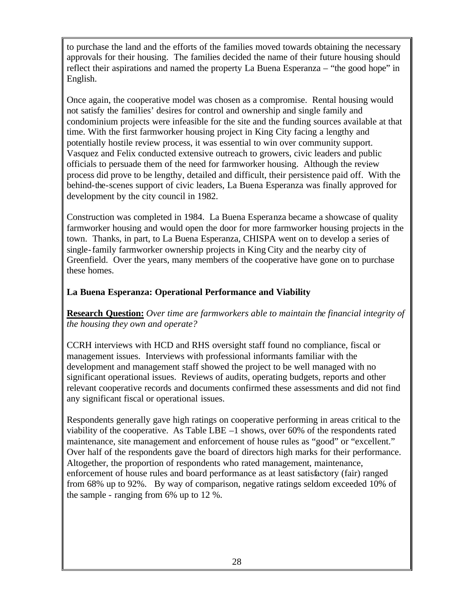to purchase the land and the efforts of the families moved towards obtaining the necessary approvals for their housing. The families decided the name of their future housing should reflect their aspirations and named the property La Buena Esperanza – "the good hope" in English.

Once again, the cooperative model was chosen as a compromise. Rental housing would not satisfy the families' desires for control and ownership and single family and condominium projects were infeasible for the site and the funding sources available at that time. With the first farmworker housing project in King City facing a lengthy and potentially hostile review process, it was essential to win over community support. Vasquez and Felix conducted extensive outreach to growers, civic leaders and public officials to persuade them of the need for farmworker housing. Although the review process did prove to be lengthy, detailed and difficult, their persistence paid off. With the behind-the-scenes support of civic leaders, La Buena Esperanza was finally approved for development by the city council in 1982.

Construction was completed in 1984. La Buena Esperanza became a showcase of quality farmworker housing and would open the door for more farmworker housing projects in the town. Thanks, in part, to La Buena Esperanza, CHISPA went on to develop a series of single-family farmworker ownership projects in King City and the nearby city of Greenfield. Over the years, many members of the cooperative have gone on to purchase these homes.

### **La Buena Esperanza: Operational Performance and Viability**

**Research Question:** *Over time are farmworkers able to maintain the financial integrity of the housing they own and operate?*

CCRH interviews with HCD and RHS oversight staff found no compliance, fiscal or management issues. Interviews with professional informants familiar with the development and management staff showed the project to be well managed with no significant operational issues. Reviews of audits, operating budgets, reports and other relevant cooperative records and documents confirmed these assessments and did not find any significant fiscal or operational issues.

Respondents generally gave high ratings on cooperative performing in areas critical to the viability of the cooperative. As Table LBE –1 shows, over 60% of the respondents rated maintenance, site management and enforcement of house rules as "good" or "excellent." Over half of the respondents gave the board of directors high marks for their performance. Altogether, the proportion of respondents who rated management, maintenance, enforcement of house rules and board performance as at least satisfactory (fair) ranged from 68% up to 92%. By way of comparison, negative ratings seldom exceeded 10% of the sample - ranging from 6% up to 12 %.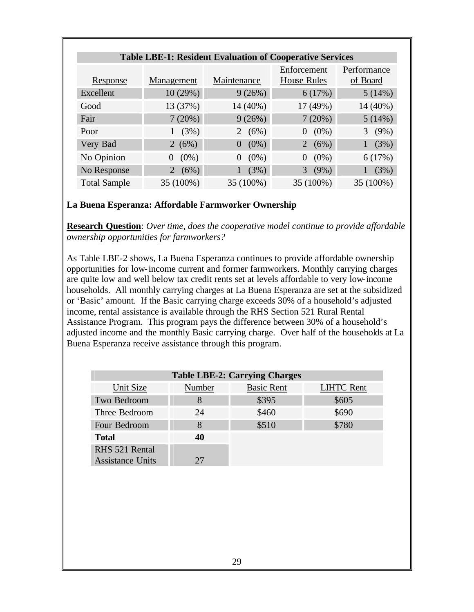| <b>Table LBE-1: Resident Evaluation of Cooperative Services</b> |                     |                           |                            |                         |  |
|-----------------------------------------------------------------|---------------------|---------------------------|----------------------------|-------------------------|--|
| Response                                                        | Management          | Maintenance               | Enforcement<br>House Rules | Performance<br>of Board |  |
| Excellent                                                       | 10(29%)             | 9(26%)                    | 6(17%)                     | 5(14%)                  |  |
| Good                                                            | 13 (37%)            | 14 (40%)                  | 17 (49%)                   | 14 (40%)                |  |
| Fair                                                            | 7(20%)              | 9(26%)                    | 7(20%)                     | 5(14%)                  |  |
| Poor                                                            | (3%)                | 2 $(6%)$                  | $0(0\%)$                   | 3(9%)                   |  |
| Very Bad                                                        | 2 $(6%)$            | $(0\%)$<br>$\overline{0}$ | 2 $(6%)$                   | (3%)                    |  |
| No Opinion                                                      | $(0\%)$<br>$\Omega$ | $(0\%)$<br>$\overline{0}$ | $(0\%)$<br>$\overline{0}$  | 6(17%)                  |  |
| No Response                                                     | 2 $(6%)$            | (3%)                      | 3(9%)                      | (3%)                    |  |
| <b>Total Sample</b>                                             | 35 (100%)           | 35 (100%)                 | 35 (100%)                  | 35 (100%)               |  |

#### **La Buena Esperanza: Affordable Farmworker Ownership**

**Research Question**: *Over time, does the cooperative model continue to provide affordable ownership opportunities for farmworkers?*

As Table LBE-2 shows, La Buena Esperanza continues to provide affordable ownership opportunities for low-income current and former farmworkers. Monthly carrying charges are quite low and well below tax credit rents set at levels affordable to very low-income households. All monthly carrying charges at La Buena Esperanza are set at the subsidized or 'Basic' amount. If the Basic carrying charge exceeds 30% of a household's adjusted income, rental assistance is available through the RHS Section 521 Rural Rental Assistance Program. This program pays the difference between 30% of a household's adjusted income and the monthly Basic carrying charge. Over half of the households at La Buena Esperanza receive assistance through this program.

| <b>Table LBE-2: Carrying Charges</b> |        |                   |                   |  |  |
|--------------------------------------|--------|-------------------|-------------------|--|--|
| Unit Size                            | Number | <b>Basic Rent</b> | <b>LIHTC Rent</b> |  |  |
| Two Bedroom                          | 8      | \$395             | \$605             |  |  |
| Three Bedroom                        | 24     | \$460             | \$690             |  |  |
| Four Bedroom                         | 8      | \$510             | \$780             |  |  |
| <b>Total</b>                         | 40     |                   |                   |  |  |
| RHS 521 Rental                       |        |                   |                   |  |  |
| <b>Assistance Units</b>              | 27     |                   |                   |  |  |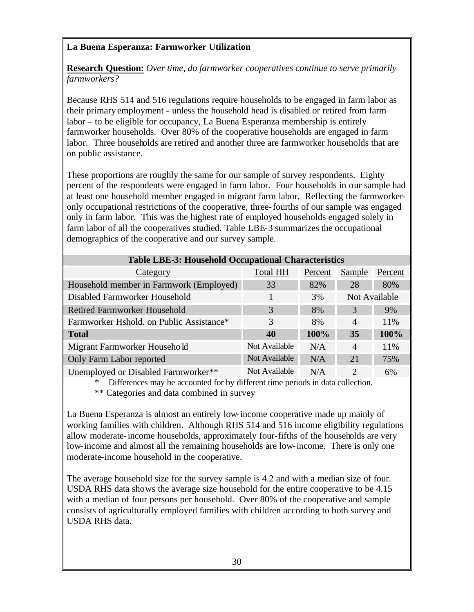## **La Buena Esperanza: Farmworker Utilization**

**Research Question:** *Over time, do farmworker cooperatives continue to serve primarily farmworkers?*

Because RHS 514 and 516 regulations require households to be engaged in farm labor as their primary employment - unless the household head is disabled or retired from farm labor – to be eligible for occupancy, La Buena Esperanza membership is entirely farmworker households. Over 80% of the cooperative households are engaged in farm labor. Three households are retired and another three are farmworker households that are on public assistance.

These proportions are roughly the same for our sample of survey respondents. Eighty percent of the respondents were engaged in farm labor. Four households in our sample had at least one household member engaged in migrant farm labor. Reflecting the farmworkeronly occupational restrictions of the cooperative, three-fourths of our sample was engaged only in farm labor. This was the highest rate of employed households engaged solely in farm labor of all the cooperatives studied. Table LBE-3 summarizes the occupational demographics of the cooperative and our survey sample.

| <b>Table LBE-3: Household Occupational Characteristics</b> |                 |         |                       |               |  |  |
|------------------------------------------------------------|-----------------|---------|-----------------------|---------------|--|--|
| Category                                                   | <b>Total HH</b> | Percent | Sample                | Percent       |  |  |
| Household member in Farmwork (Employed)                    | 33              | 82%     | 28                    | 80%           |  |  |
| Disabled Farmworker Household                              |                 | 3%      |                       | Not Available |  |  |
| <b>Retired Farmworker Household</b>                        | 3               | 8%      | 3                     | 9%            |  |  |
| Farmworker Hshold. on Public Assistance*                   | 3               | 8%      | $\overline{4}$        | 11%           |  |  |
| <b>Total</b>                                               | 40              | 100%    | 35                    | 100%          |  |  |
| Migrant Farmworker Household                               | Not Available   | N/A     | $\overline{A}$        | 11%           |  |  |
| Only Farm Labor reported                                   | Not Available   | N/A     | 21                    | 75%           |  |  |
| Unemployed or Disabled Farmworker**                        | Not Available   | N/A     | $\mathcal{D}_{\cdot}$ | 6%            |  |  |

Differences may be accounted for by different time periods in data collection.

\*\* Categories and data combined in survey

La Buena Esperanza is almost an entirely low-income cooperative made up mainly of working families with children. Although RHS 514 and 516 income eligibility regulations allow moderate-income households, approximately four-fifths of the households are very low-income and almost all the remaining households are low-income. There is only one moderate-income household in the cooperative.

The average household size for the survey sample is 4.2 and with a median size of four. USDA RHS data shows the average size household for the entire cooperative to be 4.15 with a median of four persons per household. Over 80% of the cooperative and sample consists of agriculturally employed families with children according to both survey and USDA RHS data.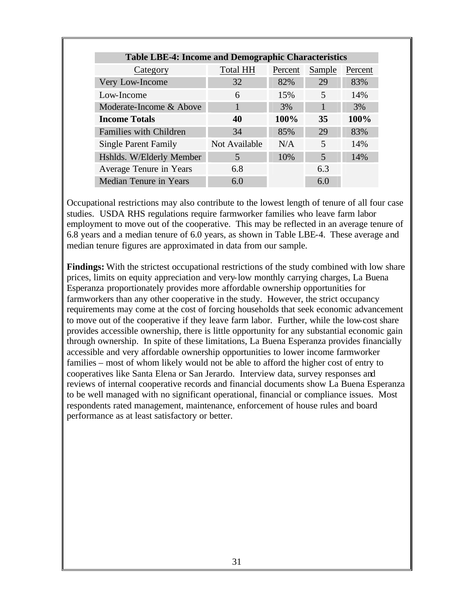| <b>Table LBE-4: Income and Demographic Characteristics</b> |                 |         |        |         |
|------------------------------------------------------------|-----------------|---------|--------|---------|
| Category                                                   | <b>Total HH</b> | Percent | Sample | Percent |
| Very Low-Income                                            | 32              | 82%     | 29     | 83%     |
| Low-Income                                                 | 6               | 15%     | 5      | 14%     |
| Moderate-Income & Above                                    |                 | 3%      |        | 3%      |
| <b>Income Totals</b>                                       | 40              | 100%    | 35     | 100%    |
| <b>Families with Children</b>                              | 34              | 85%     | 29     | 83%     |
| <b>Single Parent Family</b>                                | Not Available   | N/A     | 5      | 14%     |
| Hshlds. W/Elderly Member                                   | 5               | 10%     | 5      | 14%     |
| Average Tenure in Years                                    | 6.8             |         | 6.3    |         |
| Median Tenure in Years                                     | 6.0             |         | 6.0    |         |

Occupational restrictions may also contribute to the lowest length of tenure of all four case studies. USDA RHS regulations require farmworker families who leave farm labor employment to move out of the cooperative. This may be reflected in an average tenure of 6.8 years and a median tenure of 6.0 years, as shown in Table LBE-4. These average and median tenure figures are approximated in data from our sample.

**Findings:** With the strictest occupational restrictions of the study combined with low share prices, limits on equity appreciation and very-low monthly carrying charges, La Buena Esperanza proportionately provides more affordable ownership opportunities for farmworkers than any other cooperative in the study. However, the strict occupancy requirements may come at the cost of forcing households that seek economic advancement to move out of the cooperative if they leave farm labor. Further, while the low-cost share provides accessible ownership, there is little opportunity for any substantial economic gain through ownership. In spite of these limitations, La Buena Esperanza provides financially accessible and very affordable ownership opportunities to lower income farmworker families – most of whom likely would not be able to afford the higher cost of entry to cooperatives like Santa Elena or San Jerardo. Interview data, survey responses and reviews of internal cooperative records and financial documents show La Buena Esperanza to be well managed with no significant operational, financial or compliance issues. Most respondents rated management, maintenance, enforcement of house rules and board performance as at least satisfactory or better.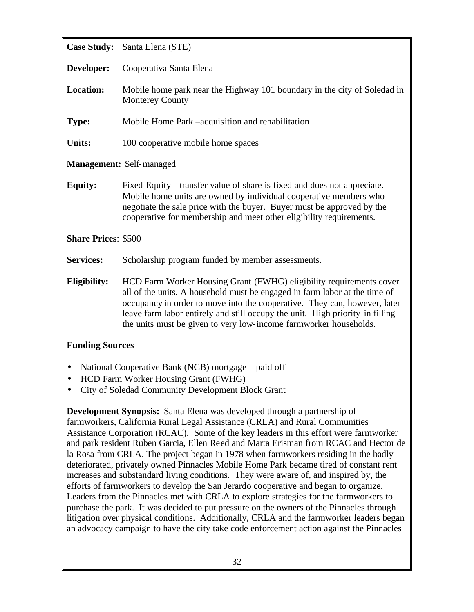| <b>Case Study:</b>         | Santa Elena (STE)                                                                                                                                                                                                                                                                                                                                                                    |  |  |
|----------------------------|--------------------------------------------------------------------------------------------------------------------------------------------------------------------------------------------------------------------------------------------------------------------------------------------------------------------------------------------------------------------------------------|--|--|
| Developer:                 | Cooperativa Santa Elena                                                                                                                                                                                                                                                                                                                                                              |  |  |
| <b>Location:</b>           | Mobile home park near the Highway 101 boundary in the city of Soledad in<br><b>Monterey County</b>                                                                                                                                                                                                                                                                                   |  |  |
| <b>Type:</b>               | Mobile Home Park –acquisition and rehabilitation                                                                                                                                                                                                                                                                                                                                     |  |  |
| <b>Units:</b>              | 100 cooperative mobile home spaces                                                                                                                                                                                                                                                                                                                                                   |  |  |
|                            | <b>Management: Self-managed</b>                                                                                                                                                                                                                                                                                                                                                      |  |  |
| <b>Equity:</b>             | Fixed Equity – transfer value of share is fixed and does not appreciate.<br>Mobile home units are owned by individual cooperative members who<br>negotiate the sale price with the buyer. Buyer must be approved by the<br>cooperative for membership and meet other eligibility requirements.                                                                                       |  |  |
| <b>Share Prices: \$500</b> |                                                                                                                                                                                                                                                                                                                                                                                      |  |  |
| <b>Services:</b>           | Scholarship program funded by member assessments.                                                                                                                                                                                                                                                                                                                                    |  |  |
| <b>Eligibility:</b>        | HCD Farm Worker Housing Grant (FWHG) eligibility requirements cover<br>all of the units. A household must be engaged in farm labor at the time of<br>occupancy in order to move into the cooperative. They can, however, later<br>leave farm labor entirely and still occupy the unit. High priority in filling<br>the units must be given to very low-income farmworker households. |  |  |
| <b>Funding Sources</b>     |                                                                                                                                                                                                                                                                                                                                                                                      |  |  |
|                            | National Cooperative Bank (NCB) mortgage – paid off                                                                                                                                                                                                                                                                                                                                  |  |  |

- HCD Farm Worker Housing Grant (FWHG)
- City of Soledad Community Development Block Grant

**Development Synopsis:** Santa Elena was developed through a partnership of farmworkers, California Rural Legal Assistance (CRLA) and Rural Communities Assistance Corporation (RCAC). Some of the key leaders in this effort were farmworker and park resident Ruben Garcia, Ellen Reed and Marta Erisman from RCAC and Hector de la Rosa from CRLA. The project began in 1978 when farmworkers residing in the badly deteriorated, privately owned Pinnacles Mobile Home Park became tired of constant rent increases and substandard living conditions. They were aware of, and inspired by, the efforts of farmworkers to develop the San Jerardo cooperative and began to organize. Leaders from the Pinnacles met with CRLA to explore strategies for the farmworkers to purchase the park. It was decided to put pressure on the owners of the Pinnacles through litigation over physical conditions. Additionally, CRLA and the farmworker leaders began an advocacy campaign to have the city take code enforcement action against the Pinnacles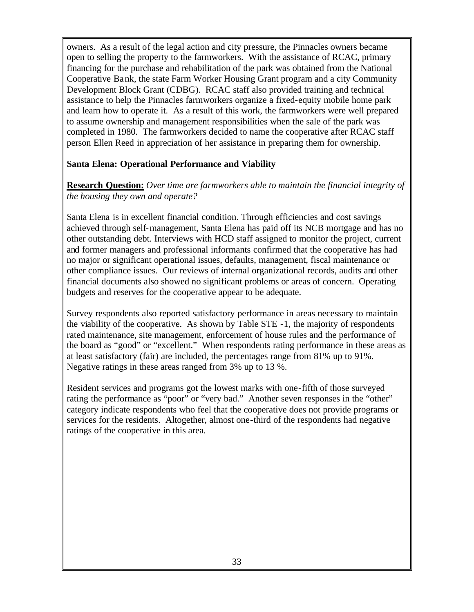owners. As a result of the legal action and city pressure, the Pinnacles owners became open to selling the property to the farmworkers. With the assistance of RCAC, primary financing for the purchase and rehabilitation of the park was obtained from the National Cooperative Bank, the state Farm Worker Housing Grant program and a city Community Development Block Grant (CDBG). RCAC staff also provided training and technical assistance to help the Pinnacles farmworkers organize a fixed-equity mobile home park and learn how to operate it. As a result of this work, the farmworkers were well prepared to assume ownership and management responsibilities when the sale of the park was completed in 1980. The farmworkers decided to name the cooperative after RCAC staff person Ellen Reed in appreciation of her assistance in preparing them for ownership.

#### **Santa Elena: Operational Performance and Viability**

**Research Question:** *Over time are farmworkers able to maintain the financial integrity of the housing they own and operate?*

Santa Elena is in excellent financial condition. Through efficiencies and cost savings achieved through self-management, Santa Elena has paid off its NCB mortgage and has no other outstanding debt. Interviews with HCD staff assigned to monitor the project, current and former managers and professional informants confirmed that the cooperative has had no major or significant operational issues, defaults, management, fiscal maintenance or other compliance issues. Our reviews of internal organizational records, audits and other financial documents also showed no significant problems or areas of concern. Operating budgets and reserves for the cooperative appear to be adequate.

Survey respondents also reported satisfactory performance in areas necessary to maintain the viability of the cooperative. As shown by Table STE -1, the majority of respondents rated maintenance, site management, enforcement of house rules and the performance of the board as "good" or "excellent." When respondents rating performance in these areas as at least satisfactory (fair) are included, the percentages range from 81% up to 91%. Negative ratings in these areas ranged from 3% up to 13 %.

Resident services and programs got the lowest marks with one-fifth of those surveyed rating the performance as "poor" or "very bad." Another seven responses in the "other" category indicate respondents who feel that the cooperative does not provide programs or services for the residents. Altogether, almost one-third of the respondents had negative ratings of the cooperative in this area.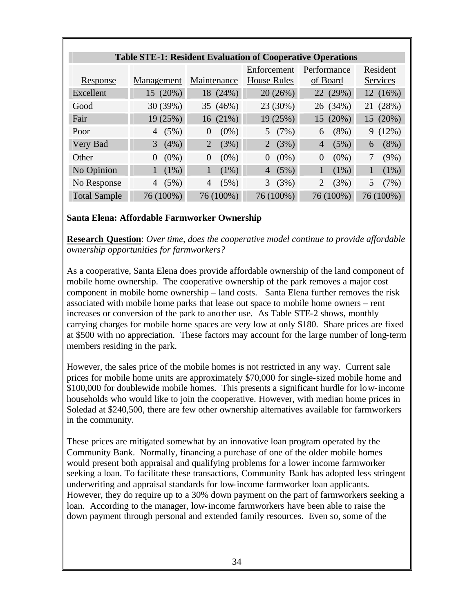| <b>Table STE-1: Resident Evaluation of Cooperative Operations</b> |                     |                        |                        |                        |                 |
|-------------------------------------------------------------------|---------------------|------------------------|------------------------|------------------------|-----------------|
|                                                                   |                     |                        | Enforcement            | Performance            | Resident        |
| Response                                                          | Management          | Maintenance            | <b>House Rules</b>     | of Board               | <b>Services</b> |
| Excellent                                                         | 15 (20%)            | 18 (24%)               | 20 (26%)               | 22 (29%)               | 12(16%)         |
| Good                                                              | 30 (39%)            | 35 (46%)               | 23 (30%)               | 26 (34%)               | 21 (28%)        |
| Fair                                                              | 19(25%)             | 16(21%)                | 19(25%)                | 15 (20%)               | 15(20%)         |
| Poor                                                              | (5%)<br>4           | $(0\%)$<br>$\Omega$    | 5(7%)                  | $(8\%)$<br>6           | (12%)<br>9.     |
| Very Bad                                                          | $(4\%)$<br>3        | $\overline{2}$<br>(3%) | (3%)<br>$\overline{2}$ | (5%)<br>$\overline{4}$ | $(8\%)$<br>6    |
| Other                                                             | $(0\%)$<br>$\Omega$ | $(0\%)$<br>$\Omega$    | $(0\%)$<br>$\Omega$    | $(0\%)$<br>$\Omega$    | $(9\%)$         |
| No Opinion                                                        | $(1\%)$<br>1        | $(1\%)$<br>1           | (5%)<br>$\overline{4}$ | $(1\%)$<br>1           | $(1\%)$         |
| No Response                                                       | (5%)<br>4           | (5%)<br>4              | (3%)<br>3              | (3%)<br>$\overline{2}$ | (7%)<br>5       |
| <b>Total Sample</b>                                               | 76 (100%)           | 76 (100%)              | 76 (100%)              | 76 (100%)              | 76 (100%)       |

#### **Santa Elena: Affordable Farmworker Ownership**

**Research Question**: *Over time, does the cooperative model continue to provide affordable ownership opportunities for farmworkers?*

As a cooperative, Santa Elena does provide affordable ownership of the land component of mobile home ownership. The cooperative ownership of the park removes a major cost component in mobile home ownership – land costs. Santa Elena further removes the risk associated with mobile home parks that lease out space to mobile home owners – rent increases or conversion of the park to another use. As Table STE-2 shows, monthly carrying charges for mobile home spaces are very low at only \$180. Share prices are fixed at \$500 with no appreciation. These factors may account for the large number of long-term members residing in the park.

However, the sales price of the mobile homes is not restricted in any way. Current sale prices for mobile home units are approximately \$70,000 for single-sized mobile home and \$100,000 for doublewide mobile homes. This presents a significant hurdle for low-income households who would like to join the cooperative. However, with median home prices in Soledad at \$240,500, there are few other ownership alternatives available for farmworkers in the community.

These prices are mitigated somewhat by an innovative loan program operated by the Community Bank. Normally, financing a purchase of one of the older mobile homes would present both appraisal and qualifying problems for a lower income farmworker seeking a loan. To facilitate these transactions, Community Bank has adopted less stringent underwriting and appraisal standards for low-income farmworker loan applicants. However, they do require up to a 30% down payment on the part of farmworkers seeking a loan. According to the manager, low-income farmworkers have been able to raise the down payment through personal and extended family resources. Even so, some of the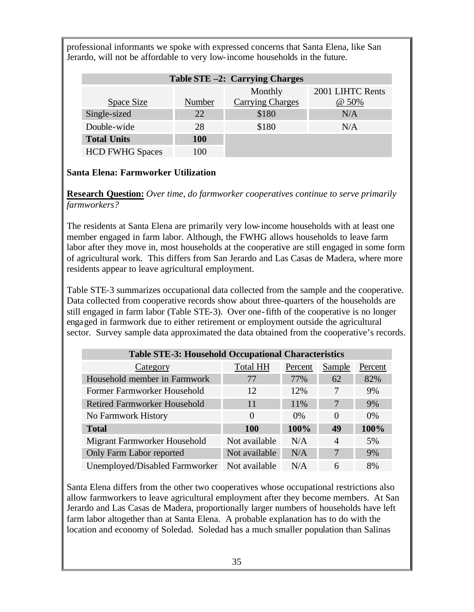professional informants we spoke with expressed concerns that Santa Elena, like San Jerardo, will not be affordable to very low-income households in the future.

| Table STE -2: Carrying Charges |            |                         |                  |  |  |
|--------------------------------|------------|-------------------------|------------------|--|--|
|                                |            | Monthly                 | 2001 LIHTC Rents |  |  |
| Space Size                     | Number     | <b>Carrying Charges</b> | $@50\%$          |  |  |
| Single-sized                   | 22         | \$180                   | N/A              |  |  |
| Double-wide                    | 28         | \$180                   | N/A              |  |  |
| <b>Total Units</b>             | <b>100</b> |                         |                  |  |  |
| <b>HCD FWHG Spaces</b>         | 100        |                         |                  |  |  |

#### **Santa Elena: Farmworker Utilization**

**Research Question:** *Over time, do farmworker cooperatives continue to serve primarily farmworkers?*

The residents at Santa Elena are primarily very low-income households with at least one member engaged in farm labor. Although, the FWHG allows households to leave farm labor after they move in, most households at the cooperative are still engaged in some form of agricultural work. This differs from San Jerardo and Las Casas de Madera, where more residents appear to leave agricultural employment.

Table STE-3 summarizes occupational data collected from the sample and the cooperative. Data collected from cooperative records show about three-quarters of the households are still engaged in farm labor (Table STE-3). Over one-fifth of the cooperative is no longer engaged in farmwork due to either retirement or employment outside the agricultural sector. Survey sample data approximated the data obtained from the cooperative's records.

| <b>Table STE-3: Household Occupational Characteristics</b> |                 |         |                |         |  |  |
|------------------------------------------------------------|-----------------|---------|----------------|---------|--|--|
| Category                                                   | <b>Total HH</b> | Percent | Sample         | Percent |  |  |
| Household member in Farmwork                               | 77              | 77%     | 62             | 82%     |  |  |
| Former Farmworker Household                                | 12              | 12%     | 7              | 9%      |  |  |
| <b>Retired Farmworker Household</b>                        | 11              | 11\%    | 7              | 9%      |  |  |
| No Farmwork History                                        | $\Omega$        | $0\%$   | $\Omega$       | $0\%$   |  |  |
| <b>Total</b>                                               | <b>100</b>      | 100%    | 49             | 100%    |  |  |
| Migrant Farmworker Household                               | Not available   | N/A     | $\overline{A}$ | 5%      |  |  |
| Only Farm Labor reported                                   | Not available   | N/A     | 7              | 9%      |  |  |
| Unemployed/Disabled Farmworker                             | Not available   | N/A     | 6              | 8%      |  |  |

Santa Elena differs from the other two cooperatives whose occupational restrictions also allow farmworkers to leave agricultural employment after they become members. At San Jerardo and Las Casas de Madera, proportionally larger numbers of households have left farm labor altogether than at Santa Elena. A probable explanation has to do with the location and economy of Soledad. Soledad has a much smaller population than Salinas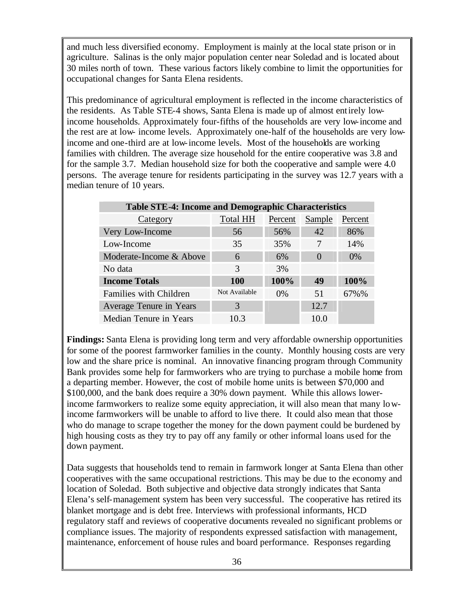and much less diversified economy. Employment is mainly at the local state prison or in agriculture. Salinas is the only major population center near Soledad and is located about 30 miles north of town. These various factors likely combine to limit the opportunities for occupational changes for Santa Elena residents.

This predominance of agricultural employment is reflected in the income characteristics of the residents. As Table STE-4 shows, Santa Elena is made up of almost entirely lowincome households. Approximately four-fifths of the households are very low-income and the rest are at low- income levels. Approximately one-half of the households are very lowincome and one-third are at low-income levels. Most of the households are working families with children. The average size household for the entire cooperative was 3.8 and for the sample 3.7. Median household size for both the cooperative and sample were 4.0 persons. The average tenure for residents participating in the survey was 12.7 years with a median tenure of 10 years.

| <b>Table STE-4: Income and Demographic Characteristics</b> |                 |         |          |         |  |
|------------------------------------------------------------|-----------------|---------|----------|---------|--|
| Category                                                   | <b>Total HH</b> | Percent | Sample   | Percent |  |
| Very Low-Income                                            | 56              | 56%     | 42       | 86%     |  |
| Low-Income                                                 | 35              | 35%     | 7        | 14%     |  |
| Moderate-Income & Above                                    | 6               | 6%      | $\theta$ | $0\%$   |  |
| No data                                                    | 3               | 3%      |          |         |  |
| <b>Income Totals</b>                                       | <b>100</b>      | 100%    | 49       | 100%    |  |
| Families with Children                                     | Not Available   | $0\%$   | 51       | 67%%    |  |
| Average Tenure in Years                                    | 3               |         | 12.7     |         |  |
| Median Tenure in Years                                     | 10.3            |         | 10.0     |         |  |

**Findings:** Santa Elena is providing long term and very affordable ownership opportunities for some of the poorest farmworker families in the county. Monthly housing costs are very low and the share price is nominal. An innovative financing program through Community Bank provides some help for farmworkers who are trying to purchase a mobile home from a departing member. However, the cost of mobile home units is between \$70,000 and \$100,000, and the bank does require a 30% down payment. While this allows lowerincome farmworkers to realize some equity appreciation, it will also mean that many lowincome farmworkers will be unable to afford to live there. It could also mean that those who do manage to scrape together the money for the down payment could be burdened by high housing costs as they try to pay off any family or other informal loans used for the down payment.

Data suggests that households tend to remain in farmwork longer at Santa Elena than other cooperatives with the same occupational restrictions. This may be due to the economy and location of Soledad. Both subjective and objective data strongly indicates that Santa Elena's self-management system has been very successful. The cooperative has retired its blanket mortgage and is debt free. Interviews with professional informants, HCD regulatory staff and reviews of cooperative documents revealed no significant problems or compliance issues. The majority of respondents expressed satisfaction with management, maintenance, enforcement of house rules and board performance. Responses regarding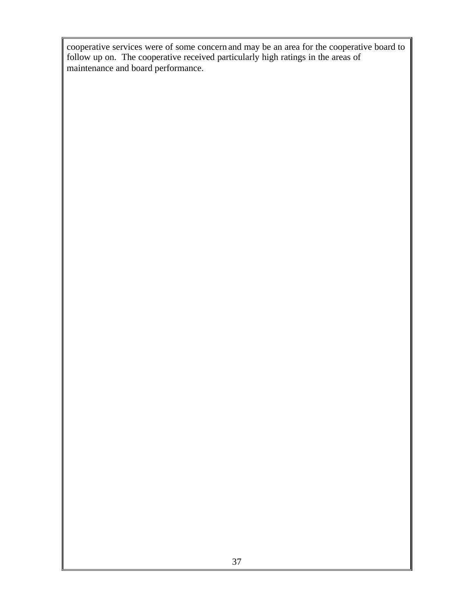cooperative services were of some concern and may be an area for the cooperative board to follow up on. The cooperative received particularly high ratings in the areas of maintenance and board performance.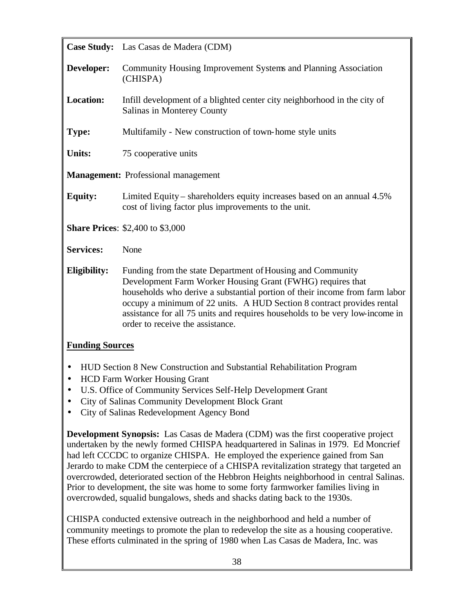|                                                                                                 | Case Study: Las Casas de Madera (CDM)                                                                                                                                                                                                                                                                                                                                                                 |  |  |  |
|-------------------------------------------------------------------------------------------------|-------------------------------------------------------------------------------------------------------------------------------------------------------------------------------------------------------------------------------------------------------------------------------------------------------------------------------------------------------------------------------------------------------|--|--|--|
| Developer:                                                                                      | Community Housing Improvement Systems and Planning Association<br>(CHISPA)                                                                                                                                                                                                                                                                                                                            |  |  |  |
| <b>Location:</b>                                                                                | Infill development of a blighted center city neighborhood in the city of<br>Salinas in Monterey County                                                                                                                                                                                                                                                                                                |  |  |  |
| Type:                                                                                           | Multifamily - New construction of town-home style units                                                                                                                                                                                                                                                                                                                                               |  |  |  |
| <b>Units:</b>                                                                                   | 75 cooperative units                                                                                                                                                                                                                                                                                                                                                                                  |  |  |  |
|                                                                                                 | <b>Management:</b> Professional management                                                                                                                                                                                                                                                                                                                                                            |  |  |  |
| <b>Equity:</b>                                                                                  | Limited Equity – shareholders equity increases based on an annual 4.5%<br>cost of living factor plus improvements to the unit.                                                                                                                                                                                                                                                                        |  |  |  |
|                                                                                                 | <b>Share Prices: \$2,400 to \$3,000</b>                                                                                                                                                                                                                                                                                                                                                               |  |  |  |
| <b>Services:</b>                                                                                | None                                                                                                                                                                                                                                                                                                                                                                                                  |  |  |  |
| Eligibility:                                                                                    | Funding from the state Department of Housing and Community<br>Development Farm Worker Housing Grant (FWHG) requires that<br>households who derive a substantial portion of their income from farm labor<br>occupy a minimum of 22 units. A HUD Section 8 contract provides rental<br>assistance for all 75 units and requires households to be very low-income in<br>order to receive the assistance. |  |  |  |
| <b>Funding Sources</b><br>HUD Section 8 New Construction and Substantial Rehabilitation Program |                                                                                                                                                                                                                                                                                                                                                                                                       |  |  |  |

- HCD Farm Worker Housing Grant
- U.S. Office of Community Services Self-Help Development Grant
- City of Salinas Community Development Block Grant
- City of Salinas Redevelopment Agency Bond

**Development Synopsis:** Las Casas de Madera (CDM) was the first cooperative project undertaken by the newly formed CHISPA headquartered in Salinas in 1979. Ed Moncrief had left CCCDC to organize CHISPA. He employed the experience gained from San Jerardo to make CDM the centerpiece of a CHISPA revitalization strategy that targeted an overcrowded, deteriorated section of the Hebbron Heights neighborhood in central Salinas. Prior to development, the site was home to some forty farmworker families living in overcrowded, squalid bungalows, sheds and shacks dating back to the 1930s.

CHISPA conducted extensive outreach in the neighborhood and held a number of community meetings to promote the plan to redevelop the site as a housing cooperative. These efforts culminated in the spring of 1980 when Las Casas de Madera, Inc. was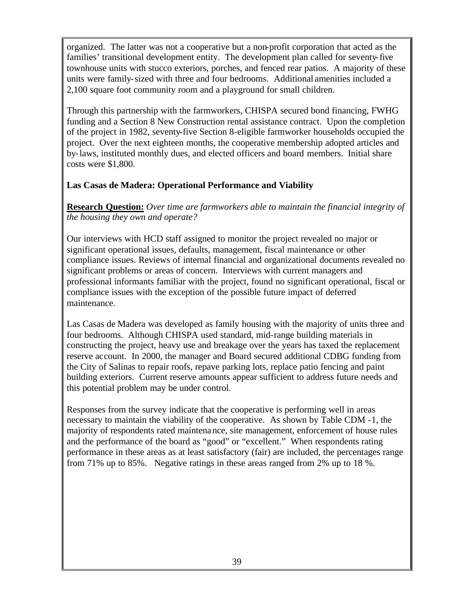organized. The latter was not a cooperative but a non-profit corporation that acted as the families' transitional development entity. The development plan called for seventy-five townhouse units with stucco exteriors, porches, and fenced rear patios. A majority of these units were family-sized with three and four bedrooms. Additional amenities included a 2,100 square foot community room and a playground for small children.

Through this partnership with the farmworkers, CHISPA secured bond financing, FWHG funding and a Section 8 New Construction rental assistance contract. Upon the completion of the project in 1982, seventy-five Section 8-eligible farmworker households occupied the project. Over the next eighteen months, the cooperative membership adopted articles and by-laws, instituted monthly dues, and elected officers and board members. Initial share costs were \$1,800.

### **Las Casas de Madera: Operational Performance and Viability**

**Research Question:** *Over time are farmworkers able to maintain the financial integrity of the housing they own and operate?*

Our interviews with HCD staff assigned to monitor the project revealed no major or significant operational issues, defaults, management, fiscal maintenance or other compliance issues. Reviews of internal financial and organizational documents revealed no significant problems or areas of concern. Interviews with current managers and professional informants familiar with the project, found no significant operational, fiscal or compliance issues with the exception of the possible future impact of deferred maintenance.

Las Casas de Madera was developed as family housing with the majority of units three and four bedrooms. Although CHISPA used standard, mid-range building materials in constructing the project, heavy use and breakage over the years has taxed the replacement reserve account. In 2000, the manager and Board secured additional CDBG funding from the City of Salinas to repair roofs, repave parking lots, replace patio fencing and paint building exteriors. Current reserve amounts appear sufficient to address future needs and this potential problem may be under control.

Responses from the survey indicate that the cooperative is performing well in areas necessary to maintain the viability of the cooperative. As shown by Table CDM -1, the majority of respondents rated maintenance, site management, enforcement of house rules and the performance of the board as "good" or "excellent." When respondents rating performance in these areas as at least satisfactory (fair) are included, the percentages range from 71% up to 85%. Negative ratings in these areas ranged from 2% up to 18 %.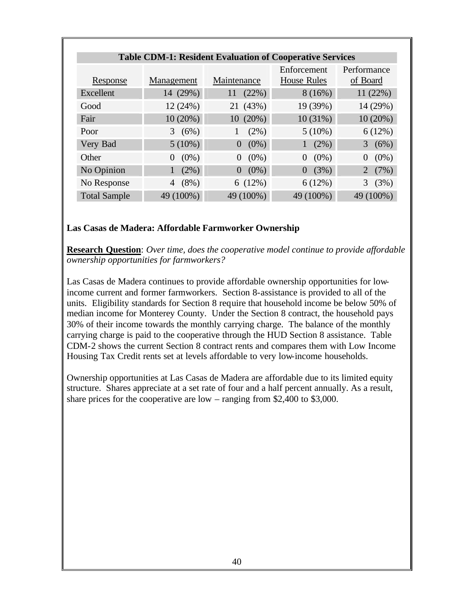| <b>Table CDM-1: Resident Evaluation of Cooperative Services</b> |                     |                     |                                   |                         |  |  |  |  |
|-----------------------------------------------------------------|---------------------|---------------------|-----------------------------------|-------------------------|--|--|--|--|
| Response                                                        | Management          | Maintenance         | Enforcement<br><b>House Rules</b> | Performance<br>of Board |  |  |  |  |
| Excellent                                                       | 14 (29%)            | (22%)<br>11         | 8(16%)                            | 11(22%)                 |  |  |  |  |
| Good                                                            | 12 (24%)            | 21 (43%)            | 19 (39%)                          | 14 (29%)                |  |  |  |  |
| Fair                                                            | $10(20\%)$          | 10(20%)             | 10(31%)                           | 10(20%)                 |  |  |  |  |
| Poor                                                            | 3(6%)               | (2%)                | $5(10\%)$                         | 6(12%)                  |  |  |  |  |
| Very Bad                                                        | $5(10\%)$           | $(0\%)$<br>$\theta$ | (2%)                              | (6%)<br>3               |  |  |  |  |
| Other                                                           | $(0\%)$<br>$\theta$ | $(0\%)$<br>$\theta$ | $(0\%)$<br>$\Omega$               | $(0\%)$<br>$\theta$     |  |  |  |  |
| No Opinion                                                      | (2%)                | $(0\%)$<br>$\theta$ | (3%)<br>$\Omega$                  | (7%)<br>$\overline{2}$  |  |  |  |  |
| No Response                                                     | $(8\%)$<br>4        | 6(12%)              | 6(12%)                            | (3%)<br>3               |  |  |  |  |
| <b>Total Sample</b>                                             | 49 (100%)           | 49 (100%)           | 49 (100%)                         | 49 (100%)               |  |  |  |  |

#### **Las Casas de Madera: Affordable Farmworker Ownership**

**Research Question**: *Over time, does the cooperative model continue to provide affordable ownership opportunities for farmworkers?*

Las Casas de Madera continues to provide affordable ownership opportunities for lowincome current and former farmworkers. Section 8-assistance is provided to all of the units. Eligibility standards for Section 8 require that household income be below 50% of median income for Monterey County. Under the Section 8 contract, the household pays 30% of their income towards the monthly carrying charge. The balance of the monthly carrying charge is paid to the cooperative through the HUD Section 8 assistance. Table CDM-2 shows the current Section 8 contract rents and compares them with Low Income Housing Tax Credit rents set at levels affordable to very low-income households.

Ownership opportunities at Las Casas de Madera are affordable due to its limited equity structure. Shares appreciate at a set rate of four and a half percent annually. As a result, share prices for the cooperative are low – ranging from \$2,400 to \$3,000.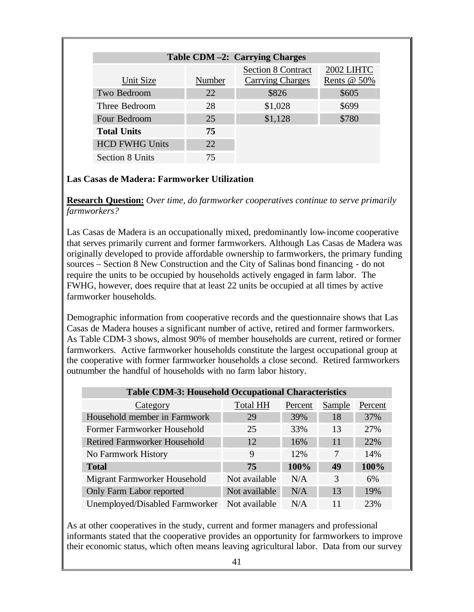| Table CDM-2: Carrying Charges |                           |                         |             |  |  |  |  |  |
|-------------------------------|---------------------------|-------------------------|-------------|--|--|--|--|--|
|                               | <b>Section 8 Contract</b> | 2002 LIHTC              |             |  |  |  |  |  |
| Unit Size                     | <b>Number</b>             | <b>Carrying Charges</b> | Rents @ 50% |  |  |  |  |  |
| Two Bedroom                   | 22                        | \$826                   | \$605       |  |  |  |  |  |
| Three Bedroom                 | 28                        | \$1,028                 | \$699       |  |  |  |  |  |
| Four Bedroom                  | 25                        | \$1,128                 | \$780       |  |  |  |  |  |
| <b>Total Units</b>            | 75                        |                         |             |  |  |  |  |  |
| <b>HCD FWHG Units</b>         | 22                        |                         |             |  |  |  |  |  |
| <b>Section 8 Units</b>        | 75                        |                         |             |  |  |  |  |  |

### **Las Casas de Madera: Farmworker Utilization**

**Research Question:** *Over time, do farmworker cooperatives continue to serve primarily farmworkers?*

Las Casas de Madera is an occupationally mixed, predominantly low-income cooperative that serves primarily current and former farmworkers. Although Las Casas de Madera was originally developed to provide affordable ownership to farmworkers, the primary funding sources – Section 8 New Construction and the City of Salinas bond financing - do not require the units to be occupied by households actively engaged in farm labor. The FWHG, however, does require that at least 22 units be occupied at all times by active farmworker households.

Demographic information from cooperative records and the questionnaire shows that Las Casas de Madera houses a significant number of active, retired and former farmworkers. As Table CDM-3 shows, almost 90% of member households are current, retired or former farmworkers. Active farmworker households constitute the largest occupational group at the cooperative with former farmworker households a close second. Retired farmworkers outnumber the handful of households with no farm labor history.

| <b>Table CDM-3: Household Occupational Characteristics</b> |                 |         |        |         |  |  |  |  |
|------------------------------------------------------------|-----------------|---------|--------|---------|--|--|--|--|
| Category                                                   | <b>Total HH</b> | Percent | Sample | Percent |  |  |  |  |
| Household member in Farmwork                               | 29              | 39%     | 18     | 37%     |  |  |  |  |
| Former Farmworker Household                                | 25              | 33%     | 13     | 27%     |  |  |  |  |
| <b>Retired Farmworker Household</b>                        | 12              | 16%     | 11     | 22%     |  |  |  |  |
| No Farmwork History                                        | 9               | 12%     | 7      | 14%     |  |  |  |  |
| <b>Total</b>                                               | 75              | 100%    | 49     | 100%    |  |  |  |  |
| Migrant Farmworker Household                               | Not available   | N/A     | 3      | 6%      |  |  |  |  |
| Only Farm Labor reported                                   | Not available   | N/A     | 13     | 19%     |  |  |  |  |
| Unemployed/Disabled Farmworker                             | Not available   | N/A     | 11     | 23%     |  |  |  |  |

As at other cooperatives in the study, current and former managers and professional informants stated that the cooperative provides an opportunity for farmworkers to improve their economic status, which often means leaving agricultural labor. Data from our survey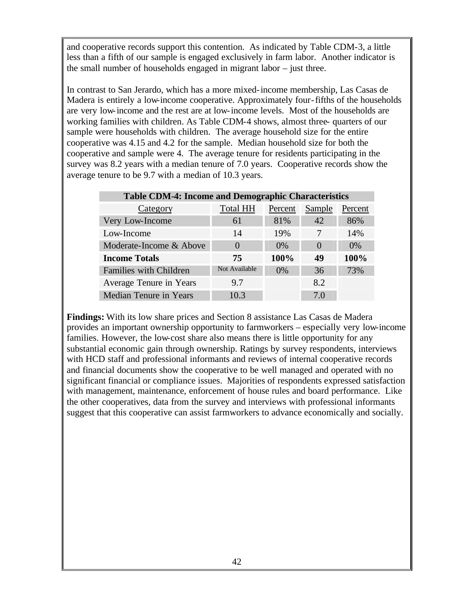and cooperative records support this contention. As indicated by Table CDM-3, a little less than a fifth of our sample is engaged exclusively in farm labor. Another indicator is the small number of households engaged in migrant labor – just three.

In contrast to San Jerardo, which has a more mixed-income membership, Las Casas de Madera is entirely a low-income cooperative. Approximately four-fifths of the households are very low-income and the rest are at low-income levels. Most of the households are working families with children. As Table CDM-4 shows, almost three- quarters of our sample were households with children. The average household size for the entire cooperative was 4.15 and 4.2 for the sample. Median household size for both the cooperative and sample were 4. The average tenure for residents participating in the survey was 8.2 years with a median tenure of 7.0 years. Cooperative records show the average tenure to be 9.7 with a median of 10.3 years.

| <b>Table CDM-4: Income and Demographic Characteristics</b> |                   |         |              |         |  |  |  |
|------------------------------------------------------------|-------------------|---------|--------------|---------|--|--|--|
| Category                                                   | <b>Total HH</b>   | Percent | Sample       | Percent |  |  |  |
| Very Low-Income                                            | 61                | 81%     | 42           | 86%     |  |  |  |
| Low-Income                                                 | 14                | 19%     |              | 14%     |  |  |  |
| Moderate-Income & Above                                    | $\mathbf{\Omega}$ | $0\%$   | $\mathbf{0}$ | $0\%$   |  |  |  |
| <b>Income Totals</b>                                       | 75                | 100%    | 49           | 100%    |  |  |  |
| Families with Children                                     | Not Available     | $0\%$   | 36           | 73%     |  |  |  |
| Average Tenure in Years                                    | 9.7               |         | 8.2          |         |  |  |  |
| Median Tenure in Years                                     | 10.3              |         | 7.0          |         |  |  |  |

**Findings:** With its low share prices and Section 8 assistance Las Casas de Madera provides an important ownership opportunity to farmworkers – especially very low-income families. However, the low-cost share also means there is little opportunity for any substantial economic gain through ownership. Ratings by survey respondents, interviews with HCD staff and professional informants and reviews of internal cooperative records and financial documents show the cooperative to be well managed and operated with no significant financial or compliance issues. Majorities of respondents expressed satisfaction with management, maintenance, enforcement of house rules and board performance. Like the other cooperatives, data from the survey and interviews with professional informants suggest that this cooperative can assist farmworkers to advance economically and socially.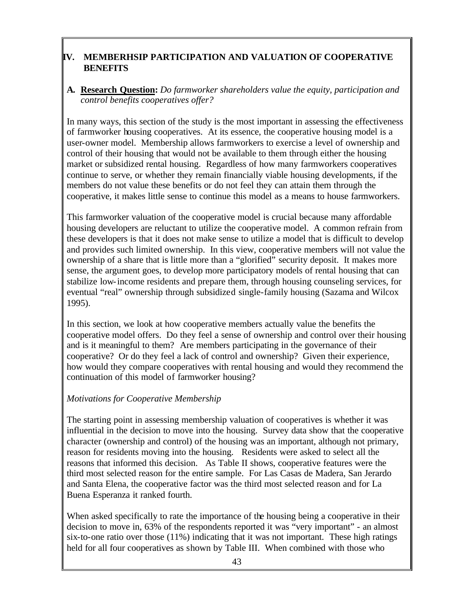# **IV. MEMBERHSIP PARTICIPATION AND VALUATION OF COOPERATIVE BENEFITS**

### **A. Research Question:** *Do farmworker shareholders value the equity, participation and control benefits cooperatives offer?*

In many ways, this section of the study is the most important in assessing the effectiveness of farmworker housing cooperatives. At its essence, the cooperative housing model is a user-owner model. Membership allows farmworkers to exercise a level of ownership and control of their housing that would not be available to them through either the housing market or subsidized rental housing. Regardless of how many farmworkers cooperatives continue to serve, or whether they remain financially viable housing developments, if the members do not value these benefits or do not feel they can attain them through the cooperative, it makes little sense to continue this model as a means to house farmworkers.

This farmworker valuation of the cooperative model is crucial because many affordable housing developers are reluctant to utilize the cooperative model. A common refrain from these developers is that it does not make sense to utilize a model that is difficult to develop and provides such limited ownership. In this view, cooperative members will not value the ownership of a share that is little more than a "glorified" security deposit. It makes more sense, the argument goes, to develop more participatory models of rental housing that can stabilize low-income residents and prepare them, through housing counseling services, for eventual "real" ownership through subsidized single-family housing (Sazama and Wilcox 1995).

In this section, we look at how cooperative members actually value the benefits the cooperative model offers. Do they feel a sense of ownership and control over their housing and is it meaningful to them? Are members participating in the governance of their cooperative? Or do they feel a lack of control and ownership? Given their experience, how would they compare cooperatives with rental housing and would they recommend the continuation of this model of farmworker housing?

### *Motivations for Cooperative Membership*

The starting point in assessing membership valuation of cooperatives is whether it was influential in the decision to move into the housing. Survey data show that the cooperative character (ownership and control) of the housing was an important, although not primary, reason for residents moving into the housing. Residents were asked to select all the reasons that informed this decision. As Table II shows, cooperative features were the third most selected reason for the entire sample. For Las Casas de Madera, San Jerardo and Santa Elena, the cooperative factor was the third most selected reason and for La Buena Esperanza it ranked fourth.

When asked specifically to rate the importance of the housing being a cooperative in their decision to move in, 63% of the respondents reported it was "very important" - an almost six-to-one ratio over those (11%) indicating that it was not important. These high ratings held for all four cooperatives as shown by Table III. When combined with those who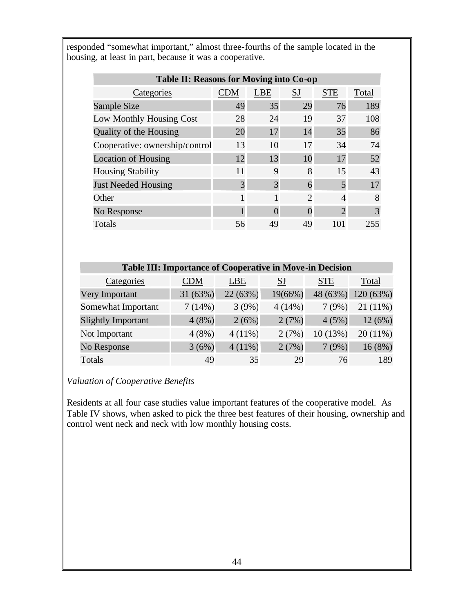responded "somewhat important," almost three-fourths of the sample located in the housing, at least in part, because it was a cooperative.

| Table II: Reasons for Moving into Co-op |            |            |                             |               |       |  |  |  |  |
|-----------------------------------------|------------|------------|-----------------------------|---------------|-------|--|--|--|--|
| Categories                              | <b>CDM</b> | <b>LBE</b> | <b>SJ</b>                   | <b>STE</b>    | Total |  |  |  |  |
| Sample Size                             | 49         | 35         | 29                          | 76            | 189   |  |  |  |  |
| Low Monthly Housing Cost                | 28         | 24         | 19                          | 37            | 108   |  |  |  |  |
| Quality of the Housing                  | 20         | 17         | 14                          | 35            | 86    |  |  |  |  |
| Cooperative: ownership/control          | 13         | 10         | 17                          | 34            | 74    |  |  |  |  |
| <b>Location of Housing</b>              | 12         | 13         | 10                          | 17            | 52    |  |  |  |  |
| <b>Housing Stability</b>                | 11         | 9          | 8                           | 15            | 43    |  |  |  |  |
| <b>Just Needed Housing</b>              | 3          | 3          | 6                           | 5             | 17    |  |  |  |  |
| Other                                   |            | 1          | $\mathcal{D}_{\mathcal{L}}$ | 4             | 8     |  |  |  |  |
| No Response                             |            |            | $\mathbf{\Omega}$           | $\mathcal{D}$ | 3     |  |  |  |  |
| Totals                                  | 56         | 49         | 49                          | 101           | 255   |  |  |  |  |

| <b>Table III: Importance of Cooperative in Move-in Decision</b> |          |           |           |            |            |  |  |  |
|-----------------------------------------------------------------|----------|-----------|-----------|------------|------------|--|--|--|
| Categories                                                      | CDM      | LBE       | <b>SJ</b> | <b>STE</b> | Total      |  |  |  |
| Very Important                                                  | 31 (63%) | 22 (63%)  | 19(66%)   | 48 (63%)   | 120(63%)   |  |  |  |
| Somewhat Important                                              | 7(14%)   | 3(9%)     | $4(14\%)$ | 7(9%)      | $21(11\%)$ |  |  |  |
| Slightly Important                                              | 4(8%)    | 2(6%)     | 2(7%)     | 4(5%)      | 12(6%)     |  |  |  |
| Not Important                                                   | $4(8\%)$ | $4(11\%)$ | 2(7%)     | 10(13%)    | $20(11\%)$ |  |  |  |
| No Response                                                     | 3(6%)    | $4(11\%)$ | 2(7%)     | 7(9%)      | 16(8%)     |  |  |  |
| Totals                                                          | 49       | 35        | 29        | 76         | 189        |  |  |  |

# *Valuation of Cooperative Benefits*

Residents at all four case studies value important features of the cooperative model. As Table IV shows, when asked to pick the three best features of their housing, ownership and control went neck and neck with low monthly housing costs.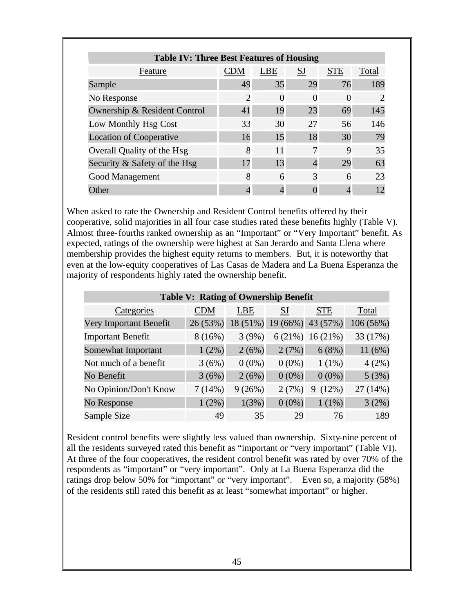| <b>Table IV: Three Best Features of Housing</b>                         |                |    |          |    |                             |  |  |
|-------------------------------------------------------------------------|----------------|----|----------|----|-----------------------------|--|--|
| <b>SJ</b><br><b>STE</b><br><b>CDM</b><br><b>LBE</b><br>Total<br>Feature |                |    |          |    |                             |  |  |
| Sample                                                                  | 49             | 35 | 29       | 76 | 189                         |  |  |
| No Response                                                             | $\overline{2}$ | 0  | $\Omega$ | 0  | $\mathcal{D}_{\mathcal{A}}$ |  |  |
| Ownership & Resident Control                                            | 41             | 19 | 23       | 69 | 145                         |  |  |
| Low Monthly Hsg Cost                                                    | 33             | 30 | 27       | 56 | 146                         |  |  |
| <b>Location of Cooperative</b>                                          | 16             | 15 | 18       | 30 | 79                          |  |  |
| Overall Quality of the Hsg                                              | 8              | 11 | 7        | 9  | 35                          |  |  |
| Security & Safety of the Hsg                                            | 17             | 13 |          | 29 | 63                          |  |  |
| Good Management                                                         | 8              | 6  | 3        | 6  | 23                          |  |  |
| Other                                                                   |                |    |          |    |                             |  |  |

When asked to rate the Ownership and Resident Control benefits offered by their cooperative, solid majorities in all four case studies rated these benefits highly (Table V). Almost three-fourths ranked ownership as an "Important" or "Very Important" benefit. As expected, ratings of the ownership were highest at San Jerardo and Santa Elena where membership provides the highest equity returns to members. But, it is noteworthy that even at the low-equity cooperatives of Las Casas de Madera and La Buena Esperanza the majority of respondents highly rated the ownership benefit.

| <b>Table V: Rating of Ownership Benefit</b> |            |            |          |                    |           |  |  |
|---------------------------------------------|------------|------------|----------|--------------------|-----------|--|--|
| Categories                                  | <b>CDM</b> | <b>LBE</b> | SJ       | <b>STE</b>         | Total     |  |  |
| Very Important Benefit                      | 26(53%)    | $18(51\%)$ |          | 19 (66%) 43 (57%)  | 106 (56%) |  |  |
| <b>Important Benefit</b>                    | 8(16%)     | 3(9%)      |          | $6(21\%)$ 16 (21%) | 33 (17%)  |  |  |
| Somewhat Important                          | $1(2\%)$   | 2(6%)      | 2(7%)    | 6(8%)              | 11(6%)    |  |  |
| Not much of a benefit                       | 3(6%)      | $0(0\%)$   | $0(0\%)$ | $1(1\%)$           | 4(2%)     |  |  |
| No Benefit                                  | 3(6%)      | 2(6%)      | $0(0\%)$ | $0(0\%)$           | 5(3%)     |  |  |
| No Opinion/Don't Know                       | 7(14%)     | 9(26%)     | 2(7%)    | (12%)<br>9         | 27 (14%)  |  |  |
| No Response                                 | $1(2\%)$   | 1(3%)      | $0(0\%)$ | $1(1\%)$           | 3(2%)     |  |  |
| Sample Size                                 | 49         | 35         | 29       | 76                 | 189       |  |  |

Resident control benefits were slightly less valued than ownership. Sixty-nine percent of all the residents surveyed rated this benefit as "important or "very important" (Table VI). At three of the four cooperatives, the resident control benefit was rated by over 70% of the respondents as "important" or "very important". Only at La Buena Esperanza did the ratings drop below 50% for "important" or "very important". Even so, a majority (58%) of the residents still rated this benefit as at least "somewhat important" or higher.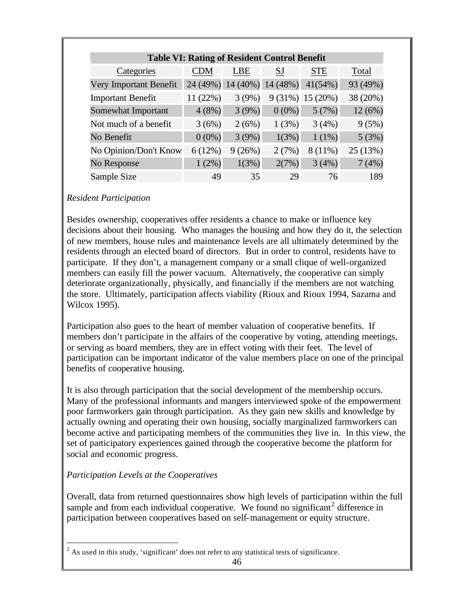| <b>Table VI: Rating of Resident Control Benefit</b> |            |            |           |                    |          |  |  |  |
|-----------------------------------------------------|------------|------------|-----------|--------------------|----------|--|--|--|
| Categories                                          | <b>CDM</b> | LBE        | <b>SJ</b> | <b>STE</b>         | Total    |  |  |  |
| Very Important Benefit                              | 24 (49%)   | $14(40\%)$ | 14 (48%)  | 41(54%)            | 93 (49%) |  |  |  |
| <b>Important Benefit</b>                            | 11(22%)    | 3(9%)      |           | $9(31\%) 15(20\%)$ | 38 (20%) |  |  |  |
| Somewhat Important                                  | 4(8%)      | 3(9%)      | $0(0\%)$  | 5(7%)              | 12(6%)   |  |  |  |
| Not much of a benefit                               | 3(6%)      | 2(6%)      | 1(3%)     | 3(4%)              | 9(5%)    |  |  |  |
| No Benefit                                          | $0(0\%)$   | 3(9%)      | 1(3%)     | $1(1\%)$           | 5(3%)    |  |  |  |
| No Opinion/Don't Know                               | 6(12%)     | 9(26%)     | 2(7%)     | $8(11\%)$          | 25 (13%) |  |  |  |
| No Response                                         | 1(2%)      | 1(3%)      | 2(7%)     | 3(4%)              | 7(4%)    |  |  |  |
| Sample Size                                         | 49         | 35         | 29        | 76                 | 189      |  |  |  |

### *Resident Participation*

Besides ownership, cooperatives offer residents a chance to make or influence key decisions about their housing. Who manages the housing and how they do it, the selection of new members, house rules and maintenance levels are all ultimately determined by the residents through an elected board of directors. But in order to control, residents have to participate. If they don't, a management company or a small clique of well-organized members can easily fill the power vacuum. Alternatively, the cooperative can simply deteriorate organizationally, physically, and financially if the members are not watching the store. Ultimately, participation affects viability (Rioux and Rioux 1994, Sazama and Wilcox 1995).

Participation also goes to the heart of member valuation of cooperative benefits. If members don't participate in the affairs of the cooperative by voting, attending meetings, or serving as board members, they are in effect voting with their feet. The level of participation can be important indicator of the value members place on one of the principal benefits of cooperative housing.

It is also through participation that the social development of the membership occurs. Many of the professional informants and mangers interviewed spoke of the empowerment poor farmworkers gain through participation. As they gain new skills and knowledge by actually owning and operating their own housing, socially marginalized farmworkers can become active and participating members of the communities they live in. In this view, the set of participatory experiences gained through the cooperative become the platform for social and economic progress.

### *Participation Levels at the Cooperatives*

 $\overline{a}$ 

Overall, data from returned questionnaires show high levels of participation within the full sample and from each individual cooperative. We found no significant<sup>2</sup> difference in participation between cooperatives based on self-management or equity structure.

 $2^{2}$  As used in this study, 'significant' does not refer to any statistical tests of significance.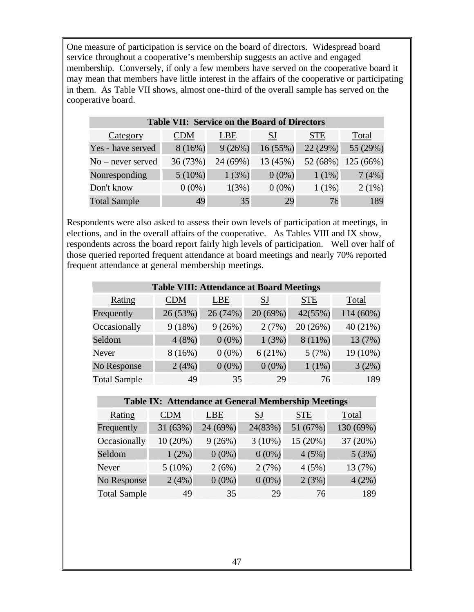One measure of participation is service on the board of directors. Widespread board service throughout a cooperative's membership suggests an active and engaged membership. Conversely, if only a few members have served on the cooperative board it may mean that members have little interest in the affairs of the cooperative or participating in them. As Table VII shows, almost one-third of the overall sample has served on the cooperative board.

| <b>Table VII: Service on the Board of Directors</b> |            |            |          |            |          |  |  |  |
|-----------------------------------------------------|------------|------------|----------|------------|----------|--|--|--|
| Category                                            | <b>CDM</b> | <b>LBE</b> | SJ       | <b>STE</b> | Total    |  |  |  |
| Yes - have served                                   | 8(16%)     | 9(26%)     | 16(55%)  | 22 (29%)   | 55 (29%) |  |  |  |
| $No$ – never served                                 | 36 (73%)   | 24 (69%)   | 13 (45%) | 52 (68%)   | 125(66%) |  |  |  |
| Nonresponding                                       | $5(10\%)$  | 1(3%)      | $0(0\%)$ | $1(1\%)$   | 7(4%)    |  |  |  |
| Don't know                                          | $0(0\%)$   | 1(3%)      | $0(0\%)$ | $1(1\%)$   | 2(1%)    |  |  |  |
| <b>Total Sample</b>                                 | 49         | 35         | 29       | 76         | 189      |  |  |  |

Respondents were also asked to assess their own levels of participation at meetings, in elections, and in the overall affairs of the cooperative. As Tables VIII and IX show, respondents across the board report fairly high levels of participation. Well over half of those queried reported frequent attendance at board meetings and nearly 70% reported frequent attendance at general membership meetings.

| <b>Table VIII: Attendance at Board Meetings</b> |            |            |           |            |          |  |  |  |  |
|-------------------------------------------------|------------|------------|-----------|------------|----------|--|--|--|--|
| Rating                                          | <b>CDM</b> | <b>LBE</b> | <b>SJ</b> | <b>STE</b> | Total    |  |  |  |  |
| Frequently                                      | 26 (53%)   | 26 (74%)   | 20 (69%)  | 42(55%)    | 114(60%) |  |  |  |  |
| Occasionally                                    | 9(18%)     | 9(26%)     | 2(7%)     | 20 (26%)   | 40 (21%) |  |  |  |  |
| Seldom                                          | 4(8%)      | $0(0\%)$   | 1(3%)     | $8(11\%)$  | 13 (7%)  |  |  |  |  |
| <b>Never</b>                                    | 8(16%)     | $0(0\%)$   | 6(21%)    | 5(7%)      | 19 (10%) |  |  |  |  |
| No Response                                     | 2(4%)      | $0(0\%)$   | $0(0\%)$  | 1(1%)      | 3(2%)    |  |  |  |  |
| <b>Total Sample</b>                             | 49         | 35         | 29        | 76         | 189      |  |  |  |  |

#### **Table IX: Attendance at General Membership Meetings**

| Rating              | <b>CDM</b> | <b>LBE</b> | SJ        | <b>STE</b> | Total     |
|---------------------|------------|------------|-----------|------------|-----------|
| Frequently          | 31 (63%)   | 24 (69%)   | 24(83%)   | 51 (67%)   | 130 (69%) |
| Occasionally        | $10(20\%)$ | 9(26%)     | $3(10\%)$ | 15 (20%)   | 37 (20%)  |
| Seldom              | 1(2%)      | $0(0\%)$   | $0(0\%)$  | 4(5%)      | 5(3%)     |
| Never               | $5(10\%)$  | 2(6%)      | 2(7%)     | 4(5%)      | 13 (7%)   |
| No Response         | 2(4%)      | $0(0\%)$   | $0(0\%)$  | 2(3%)      | 4(2%)     |
| <b>Total Sample</b> | 49         | 35         | 29        | 76         | 189       |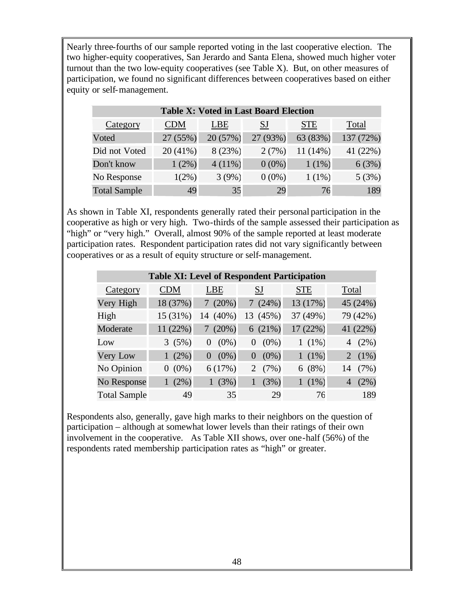Nearly three-fourths of our sample reported voting in the last cooperative election. The two higher-equity cooperatives, San Jerardo and Santa Elena, showed much higher voter turnout than the two low-equity cooperatives (see Table X). But, on other measures of participation, we found no significant differences between cooperatives based on either equity or self-management.

| <b>Table X: Voted in Last Board Election</b> |            |           |           |            |           |  |  |  |  |
|----------------------------------------------|------------|-----------|-----------|------------|-----------|--|--|--|--|
| Category                                     | <b>CDM</b> | LBE       | <b>SJ</b> | <b>STE</b> | Total     |  |  |  |  |
| Voted                                        | 27(55%)    | 20 (57%)  | 27 (93%)  | 63 (83%)   | 137 (72%) |  |  |  |  |
| Did not Voted                                | 20 (41%)   | 8 (23%)   | 2(7%)     | $11(14\%)$ | 41 (22%)  |  |  |  |  |
| Don't know                                   | $1(2\%)$   | $4(11\%)$ | $0(0\%)$  | $1(1\%)$   | 6(3%)     |  |  |  |  |
| No Response                                  | $1(2\%)$   | 3(9%)     | $0(0\%)$  | $1(1\%)$   | 5(3%)     |  |  |  |  |
| <b>Total Sample</b>                          | 49         | 35        | 29        | 76         | 189       |  |  |  |  |

As shown in Table XI, respondents generally rated their personal participation in the cooperative as high or very high. Two-thirds of the sample assessed their participation as "high" or "very high." Overall, almost 90% of the sample reported at least moderate participation rates. Respondent participation rates did not vary significantly between cooperatives or as a result of equity structure or self-management.

| <b>Table XI: Level of Respondent Participation</b> |            |               |                     |            |              |  |  |  |  |
|----------------------------------------------------|------------|---------------|---------------------|------------|--------------|--|--|--|--|
| Category                                           | <b>CDM</b> | <b>LBE</b>    | <b>SJ</b>           | <b>STE</b> | Total        |  |  |  |  |
| Very High                                          | 18 (37%)   | $(20\%)$<br>7 | (24%)<br>7          | 13 (17%)   | 45 (24%)     |  |  |  |  |
| High                                               | 15 (31%)   | 14 (40%)      | (45%)<br>13         | 37 (49%)   | 79 (42%)     |  |  |  |  |
| Moderate                                           | 11 (22%)   | $(20\%)$      | 6(21%)              | 17(22%)    | 41 (22%)     |  |  |  |  |
| Low                                                | 3(5%)      | $(0\%)$<br>0  | $(0\%)$<br>$\theta$ | $1(1\%)$   | (2%)<br>4    |  |  |  |  |
| Very Low                                           | $1(2\%)$   | $(0\%)$<br>0  | $(0\%)$<br>$\Omega$ | $1(1\%)$   | $(1\%)$<br>2 |  |  |  |  |
| No Opinion                                         | $0(0\%)$   | 6(17%)        | (7%)<br>2           | 6(8%)      | (7%)<br>14   |  |  |  |  |
| No Response                                        | $1(2\%)$   | (3%)          | (3%)                | $1(1\%)$   | (2%)         |  |  |  |  |
| <b>Total Sample</b>                                | 49         | 35            | 29                  | 76         | 189          |  |  |  |  |

Respondents also, generally, gave high marks to their neighbors on the question of participation – although at somewhat lower levels than their ratings of their own involvement in the cooperative. As Table XII shows, over one-half (56%) of the respondents rated membership participation rates as "high" or greater.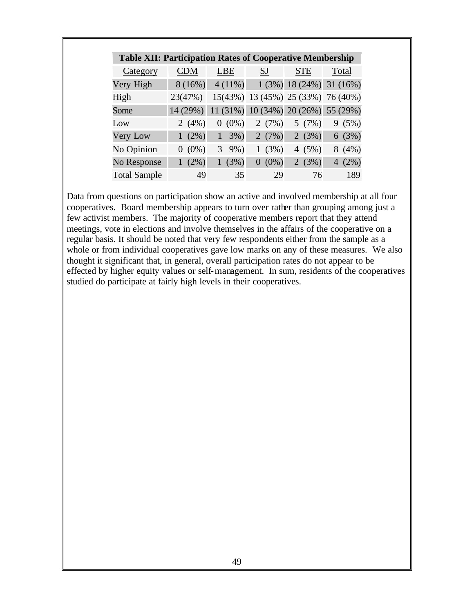| <b>Table XII: Participation Rates of Cooperative Membership</b> |            |           |                      |                                     |                            |  |  |  |
|-----------------------------------------------------------------|------------|-----------|----------------------|-------------------------------------|----------------------------|--|--|--|
| Category                                                        | <b>CDM</b> | LBE       | <b>SJ</b>            | STE                                 | Total                      |  |  |  |
| Very High                                                       | 8(16%)     | $4(11\%)$ |                      |                                     | $1(3\%)$ 18 (24%) 31 (16%) |  |  |  |
| High                                                            | 23(47%)    |           |                      | 15(43%) 13 (45%) 25 (33%) 76 (40%)  |                            |  |  |  |
| Some                                                            | 14(29%)    |           |                      | 11 (31%) 10 (34%) 20 (26%) 55 (29%) |                            |  |  |  |
| Low                                                             | 2 $(4%)$   | $(0\%)$   | 2(7%)                | 5(7%)                               | (5%)<br>9                  |  |  |  |
| Very Low                                                        | $1(2\%)$   | 3%)<br>1  | 2 $(7%)$             | 2(3%)                               | 6(3%)                      |  |  |  |
| No Opinion                                                      | $0(0\%)$   | 3<br>9%)  | (3%)<br>$\mathbf{1}$ | 4 $(5%)$                            | 8(4%)                      |  |  |  |
| No Response                                                     | $1(2\%)$   | (3%)      | $(0\%)$<br>$\Omega$  | 2(3%)                               | $(2\%)$<br>$\overline{4}$  |  |  |  |
| <b>Total Sample</b>                                             | 49         | 35        | 29                   | 76                                  | 189                        |  |  |  |

Data from questions on participation show an active and involved membership at all four cooperatives. Board membership appears to turn over rather than grouping among just a few activist members. The majority of cooperative members report that they attend meetings, vote in elections and involve themselves in the affairs of the cooperative on a regular basis. It should be noted that very few respondents either from the sample as a whole or from individual cooperatives gave low marks on any of these measures. We also thought it significant that, in general, overall participation rates do not appear to be effected by higher equity values or self-management. In sum, residents of the cooperatives studied do participate at fairly high levels in their cooperatives.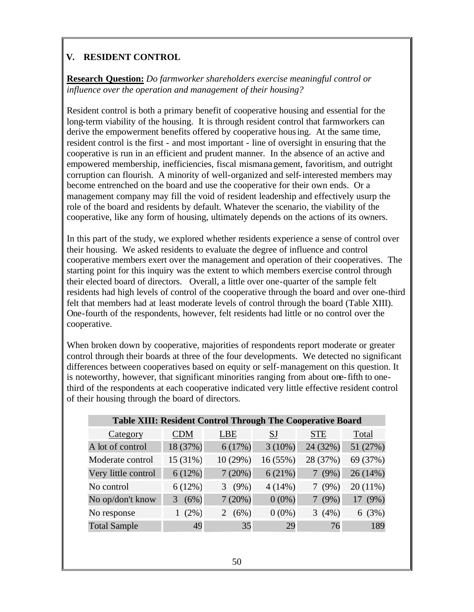# **V. RESIDENT CONTROL**

**Research Question:** *Do farmworker shareholders exercise meaningful control or influence over the operation and management of their housing?*

Resident control is both a primary benefit of cooperative housing and essential for the long-term viability of the housing. It is through resident control that farmworkers can derive the empowerment benefits offered by cooperative housing. At the same time, resident control is the first - and most important - line of oversight in ensuring that the cooperative is run in an efficient and prudent manner. In the absence of an active and empowered membership, inefficiencies, fiscal mismanagement, favoritism, and outright corruption can flourish. A minority of well-organized and self-interested members may become entrenched on the board and use the cooperative for their own ends. Or a management company may fill the void of resident leadership and effectively usurp the role of the board and residents by default. Whatever the scenario, the viability of the cooperative, like any form of housing, ultimately depends on the actions of its owners.

In this part of the study, we explored whether residents experience a sense of control over their housing. We asked residents to evaluate the degree of influence and control cooperative members exert over the management and operation of their cooperatives. The starting point for this inquiry was the extent to which members exercise control through their elected board of directors. Overall, a little over one-quarter of the sample felt residents had high levels of control of the cooperative through the board and over one-third felt that members had at least moderate levels of control through the board (Table XIII). One-fourth of the respondents, however, felt residents had little or no control over the cooperative.

When broken down by cooperative, majorities of respondents report moderate or greater control through their boards at three of the four developments. We detected no significant differences between cooperatives based on equity or self-management on this question. It is noteworthy, however, that significant minorities ranging from about one-fifth to onethird of the respondents at each cooperative indicated very little effective resident control of their housing through the board of directors.

| <b>Table XIII: Resident Control Through The Cooperative Board</b> |            |              |           |            |            |  |  |  |
|-------------------------------------------------------------------|------------|--------------|-----------|------------|------------|--|--|--|
| Category                                                          | <b>CDM</b> | <b>LBE</b>   | <b>SJ</b> | <b>STE</b> | Total      |  |  |  |
| A lot of control                                                  | 18 (37%)   | 6(17%)       | $3(10\%)$ | 24 (32%)   | 51 (27%)   |  |  |  |
| Moderate control                                                  | 15 (31%)   | 10(29%)      | 16(55%)   | 28 (37%)   | 69 (37%)   |  |  |  |
| Very little control                                               | 6(12%)     | 7(20%)       | 6(21%)    | 7(9%)      | 26(14%)    |  |  |  |
| No control                                                        | 6(12%)     | $(9\%)$<br>3 | 4(14%)    | $(9\%)$    | $20(11\%)$ |  |  |  |
| No op/don't know                                                  | (6%)<br>3  | 7(20%)       | $0(0\%)$  | (9%)       | (9%)<br>17 |  |  |  |
| No response                                                       | $(2\%)$    | (6%)<br>2    | $0(0\%)$  | 3(4%)      | 6(3%)      |  |  |  |
| <b>Total Sample</b>                                               | 49         | 35           | 29        | 76         | 189        |  |  |  |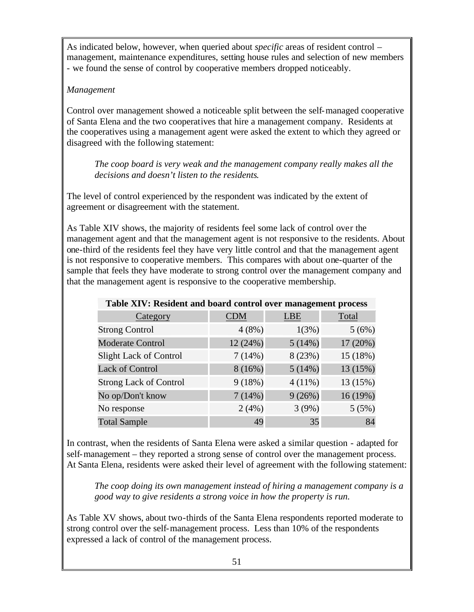As indicated below, however, when queried about *specific* areas of resident control – management, maintenance expenditures, setting house rules and selection of new members - we found the sense of control by cooperative members dropped noticeably.

#### *Management*

Control over management showed a noticeable split between the self-managed cooperative of Santa Elena and the two cooperatives that hire a management company. Residents at the cooperatives using a management agent were asked the extent to which they agreed or disagreed with the following statement:

*The coop board is very weak and the management company really makes all the decisions and doesn't listen to the residents*.

The level of control experienced by the respondent was indicated by the extent of agreement or disagreement with the statement.

As Table XIV shows, the majority of residents feel some lack of control over the management agent and that the management agent is not responsive to the residents. About one-third of the residents feel they have very little control and that the management agent is not responsive to cooperative members. This compares with about one-quarter of the sample that feels they have moderate to strong control over the management company and that the management agent is responsive to the cooperative membership.

| Table XIV: Resident and board control over management process |            |            |          |  |  |  |  |  |
|---------------------------------------------------------------|------------|------------|----------|--|--|--|--|--|
| Category                                                      | <b>CDM</b> | <b>LBE</b> | Total    |  |  |  |  |  |
| <b>Strong Control</b>                                         | 4(8%)      | 1(3%)      | 5(6%)    |  |  |  |  |  |
| <b>Moderate Control</b>                                       | 12(24%)    | 5(14%)     | 17(20%)  |  |  |  |  |  |
| <b>Slight Lack of Control</b>                                 | 7(14%)     | 8 (23%)    | 15(18%)  |  |  |  |  |  |
| <b>Lack of Control</b>                                        | 8(16%)     | 5(14%)     | 13 (15%) |  |  |  |  |  |
| <b>Strong Lack of Control</b>                                 | 9(18%)     | $4(11\%)$  | 13 (15%) |  |  |  |  |  |
| No op/Don't know                                              | 7(14%)     | 9(26%)     | 16(19%)  |  |  |  |  |  |
| No response                                                   | 2(4%)      | 3(9%)      | 5(5%)    |  |  |  |  |  |
| <b>Total Sample</b>                                           | 49         | 35         | 84       |  |  |  |  |  |

In contrast, when the residents of Santa Elena were asked a similar question - adapted for self-management – they reported a strong sense of control over the management process. At Santa Elena, residents were asked their level of agreement with the following statement:

*The coop doing its own management instead of hiring a management company is a good way to give residents a strong voice in how the property is run.*

As Table XV shows, about two-thirds of the Santa Elena respondents reported moderate to strong control over the self-management process. Less than 10% of the respondents expressed a lack of control of the management process.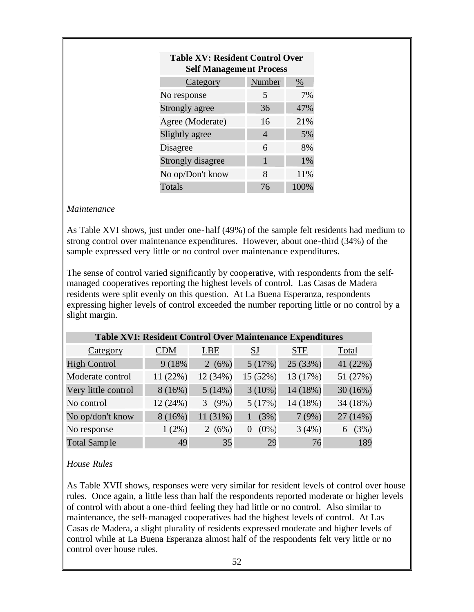| <b>Table XV: Resident Control Over</b><br><b>Self Management Process</b> |                |      |  |  |  |  |  |
|--------------------------------------------------------------------------|----------------|------|--|--|--|--|--|
| Category                                                                 | Number         | %    |  |  |  |  |  |
| No response                                                              | 5              | 7%   |  |  |  |  |  |
| Strongly agree                                                           | 36             | 47%  |  |  |  |  |  |
| Agree (Moderate)                                                         | 16             | 21%  |  |  |  |  |  |
| Slightly agree                                                           | $\overline{4}$ | 5%   |  |  |  |  |  |
| Disagree                                                                 | 6              | 8%   |  |  |  |  |  |
| Strongly disagree                                                        | 1              | 1%   |  |  |  |  |  |
| No op/Don't know                                                         | 8              | 11%  |  |  |  |  |  |
| <b>Totals</b>                                                            | 76             | 100% |  |  |  |  |  |

#### *Maintenance*

As Table XVI shows, just under one-half (49%) of the sample felt residents had medium to strong control over maintenance expenditures. However, about one-third (34%) of the sample expressed very little or no control over maintenance expenditures.

The sense of control varied significantly by cooperative, with respondents from the selfmanaged cooperatives reporting the highest levels of control. Las Casas de Madera residents were split evenly on this question. At La Buena Esperanza, respondents expressing higher levels of control exceeded the number reporting little or no control by a slight margin.

| Table XVI: Resident Control Over Maintenance Expenditures |            |              |                     |            |           |  |  |  |
|-----------------------------------------------------------|------------|--------------|---------------------|------------|-----------|--|--|--|
| Category                                                  | <b>CDM</b> | <b>LBE</b>   | SJ                  | <b>STE</b> | Total     |  |  |  |
| <b>High Control</b>                                       | 9 (18%)    | 2(6%)        | 5(17%)              | 25 (33%)   | 41 (22%)  |  |  |  |
| Moderate control                                          | 11 (22%)   | 12 (34%)     | 15 (52%)            | 13 (17%)   | 51 (27%)  |  |  |  |
| Very little control                                       | 8(16%)     | 5(14%)       | $3(10\%)$           | 14 (18%)   | 30(16%)   |  |  |  |
| No control                                                | 12(24%)    | $(9\%)$<br>3 | 5(17%)              | 14 (18%)   | 34 (18%)  |  |  |  |
| No op/don't know                                          | 8(16%)     | $11(31\%)$   | (3%)                | 7(9%)      | 27 (14%)  |  |  |  |
| No response                                               | $1(2\%)$   | 2 $(6%)$     | $(0\%)$<br>$\theta$ | 3(4%)      | (3%)<br>6 |  |  |  |
| <b>Total Sample</b>                                       | 49         | 35           | 29                  | 76         | 189       |  |  |  |

#### *House Rules*

As Table XVII shows, responses were very similar for resident levels of control over house rules. Once again, a little less than half the respondents reported moderate or higher levels of control with about a one-third feeling they had little or no control. Also similar to maintenance, the self-managed cooperatives had the highest levels of control. At Las Casas de Madera, a slight plurality of residents expressed moderate and higher levels of control while at La Buena Esperanza almost half of the respondents felt very little or no control over house rules.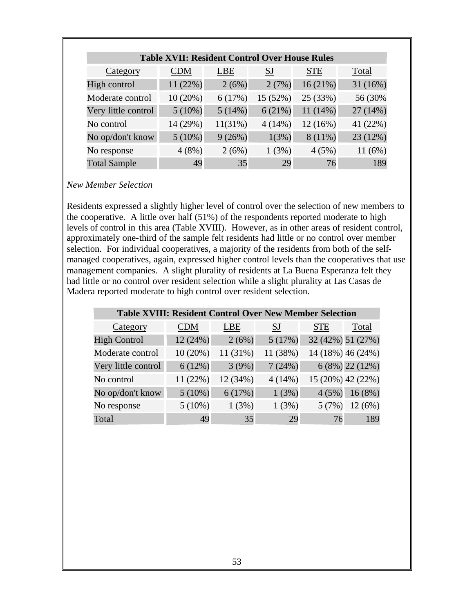| <b>Table XVII: Resident Control Over House Rules</b> |            |            |          |            |          |  |  |  |
|------------------------------------------------------|------------|------------|----------|------------|----------|--|--|--|
| Category                                             | <b>CDM</b> | <b>LBE</b> | SJ       | <b>STE</b> | Total    |  |  |  |
| High control                                         | 11 (22%)   | 2(6%)      | 2(7%)    | 16(21%)    | 31 (16%) |  |  |  |
| Moderate control                                     | 10(20%)    | 6(17%)     | 15 (52%) | 25 (33%)   | 56 (30%) |  |  |  |
| Very little control                                  | $5(10\%)$  | 5(14%)     | 6(21%)   | $11(14\%)$ | 27 (14%) |  |  |  |
| No control                                           | 14 (29%)   | 11(31%)    | 4(14%)   | 12(16%)    | 41 (22%) |  |  |  |
| No op/don't know                                     | $5(10\%)$  | 9(26%)     | 1(3%)    | $8(11\%)$  | 23 (12%) |  |  |  |
| No response                                          | 4(8%)      | 2(6%)      | 1(3%)    | 4(5%)      | 11(6%)   |  |  |  |
| <b>Total Sample</b>                                  | 49         | 35         | 29       | 76         | 189      |  |  |  |

#### *New Member Selection*

Residents expressed a slightly higher level of control over the selection of new members to the cooperative. A little over half (51%) of the respondents reported moderate to high levels of control in this area (Table XVIII). However, as in other areas of resident control, approximately one-third of the sample felt residents had little or no control over member selection. For individual cooperatives, a majority of the residents from both of the selfmanaged cooperatives, again, expressed higher control levels than the cooperatives that use management companies. A slight plurality of residents at La Buena Esperanza felt they had little or no control over resident selection while a slight plurality at Las Casas de Madera reported moderate to high control over resident selection.

| <b>Table XVIII: Resident Control Over New Member Selection</b> |            |          |           |            |                   |  |  |  |
|----------------------------------------------------------------|------------|----------|-----------|------------|-------------------|--|--|--|
| Category                                                       | <b>CDM</b> | LBE      | <b>SJ</b> | <b>STE</b> | Total             |  |  |  |
| <b>High Control</b>                                            | 12 (24%)   | 2(6%)    | 5(17%)    |            | 32 (42%) 51 (27%) |  |  |  |
| Moderate control                                               | 10(20%)    | 11 (31%) | 11 (38%)  |            | 14 (18%) 46 (24%) |  |  |  |
| Very little control                                            | 6(12%)     | 3(9%)    | 7(24%)    |            | $6(8\%)$ 22 (12%) |  |  |  |
| No control                                                     | 11(22%)    | 12 (34%) | 4(14%)    |            | 15 (20%) 42 (22%) |  |  |  |
| No op/don't know                                               | $5(10\%)$  | 6(17%)   | 1(3%)     | 4(5%)      | 16(8%)            |  |  |  |
| No response                                                    | $5(10\%)$  | 1(3%)    | 1(3%)     | 5(7%)      | 12(6%)            |  |  |  |
| Total                                                          | 49         | 35       | 29        | 76         | 189               |  |  |  |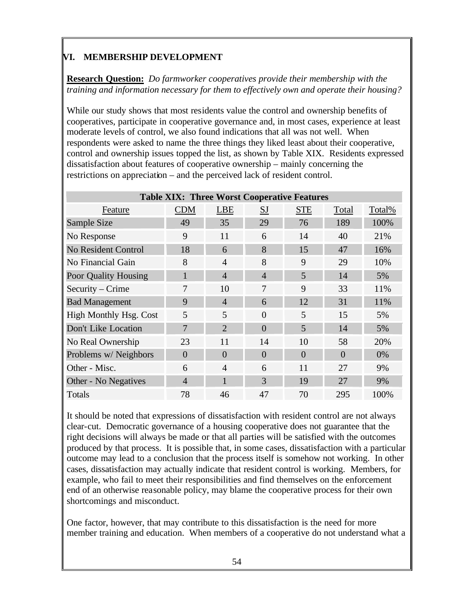# **VI. MEMBERSHIP DEVELOPMENT**

**Research Question:** *Do farmworker cooperatives provide their membership with the training and information necessary for them to effectively own and operate their housing?*

While our study shows that most residents value the control and ownership benefits of cooperatives, participate in cooperative governance and, in most cases, experience at least moderate levels of control, we also found indications that all was not well. When respondents were asked to name the three things they liked least about their cooperative, control and ownership issues topped the list, as shown by Table XIX. Residents expressed dissatisfaction about features of cooperative ownership – mainly concerning the restrictions on appreciation – and the perceived lack of resident control.

|                               | <b>Table XIX: Three Worst Cooperative Features</b> |                |                |            |          |        |  |  |  |
|-------------------------------|----------------------------------------------------|----------------|----------------|------------|----------|--------|--|--|--|
| Feature                       | <b>CDM</b>                                         | <b>LBE</b>     | <b>SJ</b>      | <b>STE</b> | Total    | Total% |  |  |  |
| Sample Size                   | 49                                                 | 35             | 29             | 76         | 189      | 100%   |  |  |  |
| No Response                   | 9                                                  | 11             | 6              | 14         | 40       | 21%    |  |  |  |
| <b>No Resident Control</b>    | 18                                                 | 6              | 8              | 15         | 47       | 16%    |  |  |  |
| No Financial Gain             | 8                                                  | $\overline{4}$ | 8              | 9          | 29       | 10%    |  |  |  |
| Poor Quality Housing          | $\mathbf{1}$                                       | $\overline{4}$ | $\overline{4}$ | 5          | 14       | 5%     |  |  |  |
| Security – Crime              | 7                                                  | 10             | 7              | 9          | 33       | 11%    |  |  |  |
| <b>Bad Management</b>         | 9                                                  | $\overline{4}$ | 6              | 12         | 31       | 11%    |  |  |  |
| <b>High Monthly Hsg. Cost</b> | 5                                                  | 5              | $\Omega$       | 5          | 15       | 5%     |  |  |  |
| Don't Like Location           | 7                                                  | $\overline{2}$ | $\Omega$       | 5          | 14       | 5%     |  |  |  |
| No Real Ownership             | 23                                                 | 11             | 14             | 10         | 58       | 20%    |  |  |  |
| Problems w/ Neighbors         | $\overline{0}$                                     | $\overline{0}$ | $\overline{0}$ | $\Omega$   | $\Omega$ | $0\%$  |  |  |  |
| Other - Misc.                 | 6                                                  | $\overline{4}$ | 6              | 11         | 27       | 9%     |  |  |  |
| Other - No Negatives          | $\overline{4}$                                     | $\mathbf{1}$   | 3              | 19         | 27       | 9%     |  |  |  |
| Totals                        | 78                                                 | 46             | 47             | 70         | 295      | 100%   |  |  |  |

It should be noted that expressions of dissatisfaction with resident control are not always clear-cut. Democratic governance of a housing cooperative does not guarantee that the right decisions will always be made or that all parties will be satisfied with the outcomes produced by that process. It is possible that, in some cases, dissatisfaction with a particular outcome may lead to a conclusion that the process itself is somehow not working. In other cases, dissatisfaction may actually indicate that resident control is working. Members, for example, who fail to meet their responsibilities and find themselves on the enforcement end of an otherwise reasonable policy, may blame the cooperative process for their own shortcomings and misconduct.

One factor, however, that may contribute to this dissatisfaction is the need for more member training and education. When members of a cooperative do not understand what a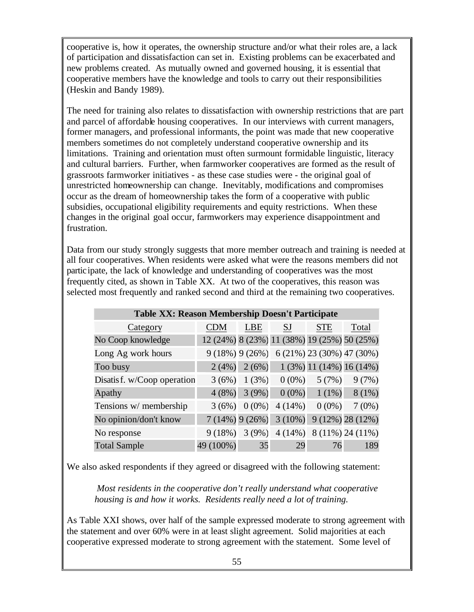cooperative is, how it operates, the ownership structure and/or what their roles are, a lack of participation and dissatisfaction can set in. Existing problems can be exacerbated and new problems created. As mutually owned and governed housing, it is essential that cooperative members have the knowledge and tools to carry out their responsibilities (Heskin and Bandy 1989).

The need for training also relates to dissatisfaction with ownership restrictions that are part and parcel of affordable housing cooperatives. In our interviews with current managers, former managers, and professional informants, the point was made that new cooperative members sometimes do not completely understand cooperative ownership and its limitations. Training and orientation must often surmount formidable linguistic, literacy and cultural barriers. Further, when farmworker cooperatives are formed as the result of grassroots farmworker initiatives - as these case studies were - the original goal of unrestricted homeownership can change. Inevitably, modifications and compromises occur as the dream of homeownership takes the form of a cooperative with public subsidies, occupational eligibility requirements and equity restrictions. When these changes in the original goal occur, farmworkers may experience disappointment and frustration.

Data from our study strongly suggests that more member outreach and training is needed at all four cooperatives. When residents were asked what were the reasons members did not participate, the lack of knowledge and understanding of cooperatives was the most frequently cited, as shown in Table XX. At two of the cooperatives, this reason was selected most frequently and ranked second and third at the remaining two cooperatives.

| Table XX: Reason Membership Doesn't Participate |            |                  |                                             |                            |                    |  |  |  |  |
|-------------------------------------------------|------------|------------------|---------------------------------------------|----------------------------|--------------------|--|--|--|--|
| Category                                        | <b>CDM</b> | LBE              | SJ                                          | <b>STE</b>                 | Total              |  |  |  |  |
| No Coop knowledge                               |            |                  | 12 (24%) 8 (23%) 11 (38%) 19 (25%) 50 (25%) |                            |                    |  |  |  |  |
| Long Ag work hours                              |            | $9(18\%)$ 9(26%) |                                             | 6 (21%) 23 (30%) 47 (30%)  |                    |  |  |  |  |
| Too busy                                        | 2(4%)      | 2(6%)            |                                             | $1(3\%)$ 11 (14%) 16 (14%) |                    |  |  |  |  |
| Disatis f. w/Coop operation                     | 3(6%)      | 1(3%)            | $0(0\%)$                                    | 5(7%)                      | 9(7%)              |  |  |  |  |
| Apathy                                          | 4(8%)      | 3(9%)            | $0(0\%)$                                    | $1(1\%)$                   | $8(1\%)$           |  |  |  |  |
| Tensions w/ membership                          | 3(6%)      | $0(0\%)$         | 4(14%)                                      | $0(0\%)$                   | 7(0%)              |  |  |  |  |
| No opinion/don't know                           |            | $7(14\%)$ 9(26%) | $3(10\%)$                                   |                            | $9(12\%)$ 28 (12%) |  |  |  |  |
| No response                                     | 9(18%)     | 3(9%)            | $4(14\%)$                                   |                            | 8 (11%) 24 (11%)   |  |  |  |  |
| <b>Total Sample</b>                             | 49 (100%)  | 35               | 29                                          | 76                         | 189                |  |  |  |  |

We also asked respondents if they agreed or disagreed with the following statement:

*Most residents in the cooperative don't really understand what cooperative housing is and how it works. Residents really need a lot of training.*

As Table XXI shows, over half of the sample expressed moderate to strong agreement with the statement and over 60% were in at least slight agreement. Solid majorities at each cooperative expressed moderate to strong agreement with the statement. Some level of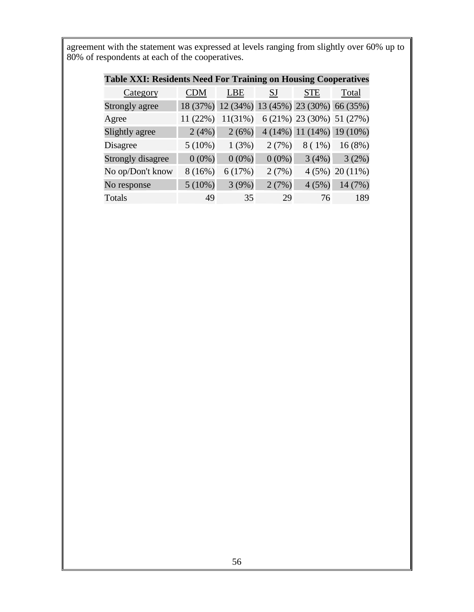agreement with the statement was expressed at levels ranging from slightly over 60% up to 80% of respondents at each of the cooperatives.

| Table XXI: Residents Need For Training on Housing Cooperatives |            |                                              |          |                           |                           |  |
|----------------------------------------------------------------|------------|----------------------------------------------|----------|---------------------------|---------------------------|--|
| Category                                                       | <b>CDM</b> | <b>LBE</b>                                   | SJ       | <b>STE</b>                | Total                     |  |
| Strongly agree                                                 |            | 18 (37%) 12 (34%) 13 (45%) 23 (30%) 66 (35%) |          |                           |                           |  |
| Agree                                                          | 11 (22%)   | $11(31\%)$                                   |          | 6 (21%) 23 (30%) 51 (27%) |                           |  |
| Slightly agree                                                 | 2(4%)      | 2(6%)                                        |          |                           | 4 (14%) 11 (14%) 19 (10%) |  |
| Disagree                                                       | 5(10%)     | 1(3%)                                        | 2(7%)    | $8(1\%)$                  | 16(8%)                    |  |
| <b>Strongly disagree</b>                                       | $0(0\%)$   | $0(0\%)$                                     | $0(0\%)$ | 3(4%)                     | 3(2%)                     |  |
| No op/Don't know                                               | 8(16%)     | 6(17%)                                       | 2(7%)    |                           | $4(5\%)$ 20 (11%)         |  |
| No response                                                    | $5(10\%)$  | 3(9%)                                        | 2(7%)    | 4(5%)                     | 14 (7%)                   |  |
| <b>Totals</b>                                                  | 49         | 35                                           | 29       | 76                        | 189                       |  |

### **Table XXI: Residents Need For Training on Housing Cooperatives**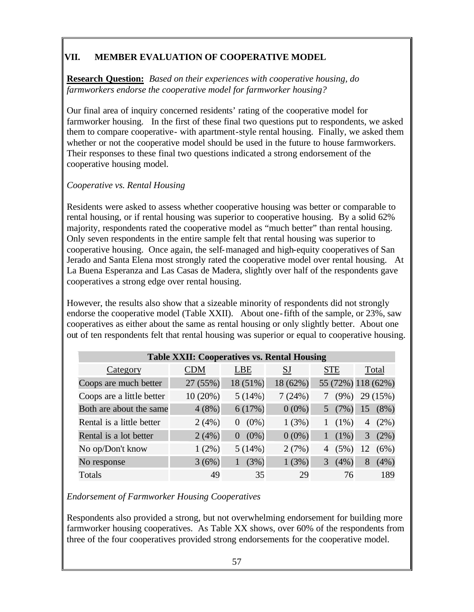# **VII. MEMBER EVALUATION OF COOPERATIVE MODEL**

**Research Question:** *Based on their experiences with cooperative housing, do farmworkers endorse the cooperative model for farmworker housing?* 

Our final area of inquiry concerned residents' rating of the cooperative model for farmworker housing. In the first of these final two questions put to respondents, we asked them to compare cooperative- with apartment-style rental housing. Finally, we asked them whether or not the cooperative model should be used in the future to house farmworkers. Their responses to these final two questions indicated a strong endorsement of the cooperative housing model.

## *Cooperative vs. Rental Housing*

Residents were asked to assess whether cooperative housing was better or comparable to rental housing, or if rental housing was superior to cooperative housing. By a solid 62% majority, respondents rated the cooperative model as "much better" than rental housing. Only seven respondents in the entire sample felt that rental housing was superior to cooperative housing. Once again, the self-managed and high-equity cooperatives of San Jerado and Santa Elena most strongly rated the cooperative model over rental housing. At La Buena Esperanza and Las Casas de Madera, slightly over half of the respondents gave cooperatives a strong edge over rental housing.

However, the results also show that a sizeable minority of respondents did not strongly endorse the cooperative model (Table XXII). About one-fifth of the sample, or 23%, saw cooperatives as either about the same as rental housing or only slightly better. About one out of ten respondents felt that rental housing was superior or equal to cooperative housing.

| <b>Table XXII: Cooperatives vs. Rental Housing</b> |            |                     |           |                    |    |          |  |
|----------------------------------------------------|------------|---------------------|-----------|--------------------|----|----------|--|
| Category                                           | <b>CDM</b> | <b>LBE</b>          | <b>SJ</b> | <b>STE</b>         |    | Total    |  |
| Coops are much better                              | 27 (55%)   | 18 (51%)            | 18 (62%)  | 55 (72%) 118 (62%) |    |          |  |
| Coops are a little better                          | 10(20%)    | 5(14%)              | 7(24%)    | $(9\%)$            |    | 29 (15%) |  |
| Both are about the same                            | 4(8%)      | 6(17%)              | $0(0\%)$  | (7%)               | 15 | $(8\%)$  |  |
| Rental is a little better                          | 2(4%)      | $(0\%)$<br>$\theta$ | 1(3%)     | $(1\%)$            | 4  | $(2\%)$  |  |
| Rental is a lot better                             | 2(4%)      | $(0\%)$<br>$\theta$ | $0(0\%)$  | $(1\%)$            | 3  | (2%)     |  |
| No op/Don't know                                   | $1(2\%)$   | 5(14%)              | 2(7%)     | (5%)<br>4          | 12 | (6%)     |  |
| No response                                        | 3(6%)      | (3%)                | 1(3%)     | 3<br>(4% )         | 8  | (4%)     |  |
| Totals                                             | 49         | 35                  | 29        |                    | 76 | 189      |  |

# *Endorsement of Farmworker Housing Cooperatives*

Respondents also provided a strong, but not overwhelming endorsement for building more farmworker housing cooperatives. As Table XX shows, over 60% of the respondents from three of the four cooperatives provided strong endorsements for the cooperative model.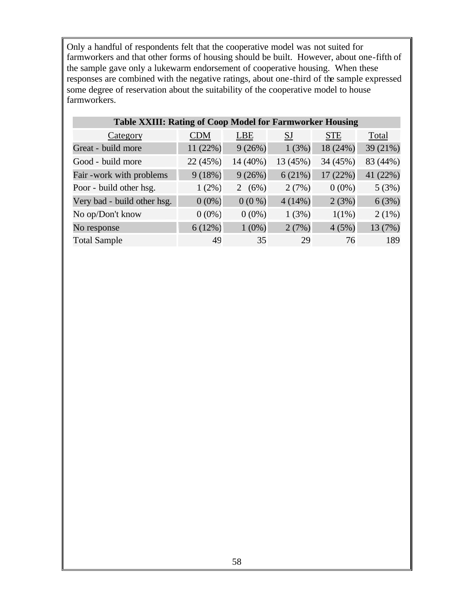Only a handful of respondents felt that the cooperative model was not suited for farmworkers and that other forms of housing should be built. However, about one-fifth of the sample gave only a lukewarm endorsement of cooperative housing. When these responses are combined with the negative ratings, about one-third of the sample expressed some degree of reservation about the suitability of the cooperative model to house farmworkers.

| <b>Table XXIII: Rating of Coop Model for Farmworker Housing</b> |            |            |           |            |          |  |
|-----------------------------------------------------------------|------------|------------|-----------|------------|----------|--|
| Category                                                        | <b>CDM</b> | <b>LBE</b> | <b>SJ</b> | <b>STE</b> | Total    |  |
| Great - build more                                              | 11 (22%)   | 9(26%)     | 1(3%)     | 18 (24%)   | 39 (21%) |  |
| Good - build more                                               | 22 (45%)   | 14 (40%)   | 13 (45%)  | 34 (45%)   | 83 (44%) |  |
| Fair - work with problems                                       | 9(18%)     | 9(26%)     | 6(21%)    | 17(22%)    | 41 (22%) |  |
| Poor - build other hsg.                                         | $1(2\%)$   | (6%)<br>2  | 2(7%)     | $0(0\%)$   | 5(3%)    |  |
| Very bad - build other hsg.                                     | $0(0\%)$   | $0(0\%)$   | $4(14\%)$ | 2(3%)      | 6(3%)    |  |
| No op/Don't know                                                | $0(0\%)$   | $0(0\%)$   | 1(3%)     | $1(1\%)$   | 2(1%)    |  |
| No response                                                     | 6(12%)     | $1(0\%)$   | 2(7%)     | 4(5%)      | 13 (7%)  |  |
| <b>Total Sample</b>                                             | 49         | 35         | 29        | 76         | 189      |  |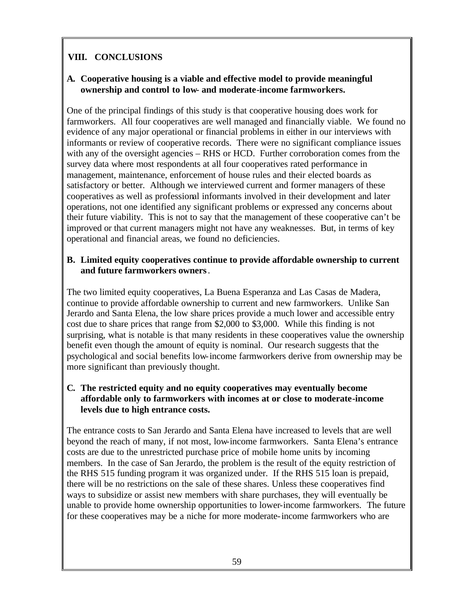# **VIII. CONCLUSIONS**

## **A. Cooperative housing is a viable and effective model to provide meaningful ownership and control to low- and moderate-income farmworkers.**

One of the principal findings of this study is that cooperative housing does work for farmworkers. All four cooperatives are well managed and financially viable. We found no evidence of any major operational or financial problems in either in our interviews with informants or review of cooperative records. There were no significant compliance issues with any of the oversight agencies – RHS or HCD. Further corroboration comes from the survey data where most respondents at all four cooperatives rated performance in management, maintenance, enforcement of house rules and their elected boards as satisfactory or better. Although we interviewed current and former managers of these cooperatives as well as professional informants involved in their development and later operations, not one identified any significant problems or expressed any concerns about their future viability. This is not to say that the management of these cooperative can't be improved or that current managers might not have any weaknesses. But, in terms of key operational and financial areas, we found no deficiencies.

#### **B. Limited equity cooperatives continue to provide affordable ownership to current and future farmworkers owners**.

The two limited equity cooperatives, La Buena Esperanza and Las Casas de Madera, continue to provide affordable ownership to current and new farmworkers. Unlike San Jerardo and Santa Elena, the low share prices provide a much lower and accessible entry cost due to share prices that range from \$2,000 to \$3,000. While this finding is not surprising, what is notable is that many residents in these cooperatives value the ownership benefit even though the amount of equity is nominal. Our research suggests that the psychological and social benefits low-income farmworkers derive from ownership may be more significant than previously thought.

#### **C. The restricted equity and no equity cooperatives may eventually become affordable only to farmworkers with incomes at or close to moderate-income levels due to high entrance costs.**

The entrance costs to San Jerardo and Santa Elena have increased to levels that are well beyond the reach of many, if not most, low-income farmworkers. Santa Elena's entrance costs are due to the unrestricted purchase price of mobile home units by incoming members. In the case of San Jerardo, the problem is the result of the equity restriction of the RHS 515 funding program it was organized under. If the RHS 515 loan is prepaid, there will be no restrictions on the sale of these shares. Unless these cooperatives find ways to subsidize or assist new members with share purchases, they will eventually be unable to provide home ownership opportunities to lower-income farmworkers. The future for these cooperatives may be a niche for more moderate-income farmworkers who are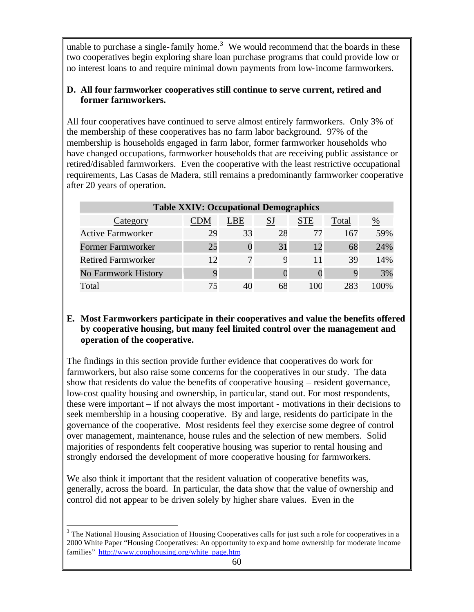unable to purchase a single-family home.<sup>3</sup> We would recommend that the boards in these two cooperatives begin exploring share loan purchase programs that could provide low or no interest loans to and require minimal down payments from low-income farmworkers.

### **D. All four farmworker cooperatives still continue to serve current, retired and former farmworkers.**

All four cooperatives have continued to serve almost entirely farmworkers. Only 3% of the membership of these cooperatives has no farm labor background. 97% of the membership is households engaged in farm labor, former farmworker households who have changed occupations, farmworker households that are receiving public assistance or retired/disabled farmworkers. Even the cooperative with the least restrictive occupational requirements, Las Casas de Madera, still remains a predominantly farmworker cooperative after 20 years of operation.

| <b>Table XXIV: Occupational Demographics</b> |     |     |    |            |       |     |  |
|----------------------------------------------|-----|-----|----|------------|-------|-----|--|
| Category                                     | `DM | LBE | SJ | <b>STE</b> | Total | %   |  |
| <b>Active Farmworker</b>                     | 29  | 33  | 28 | 77         | 167   | 59% |  |
| <b>Former Farmworker</b>                     | 25  |     | 31 | 12         | 68    | 24% |  |
| <b>Retired Farmworker</b>                    | 12  |     | 9  | 11         | 39    | 14% |  |
| No Farmwork History                          |     |     |    |            |       | 3%  |  |
| Total                                        |     |     | 68 | 100        | 283   | ገበ% |  |

### **E. Most Farmworkers participate in their cooperatives and value the benefits offered by cooperative housing, but many feel limited control over the management and operation of the cooperative.**

The findings in this section provide further evidence that cooperatives do work for farmworkers, but also raise some concerns for the cooperatives in our study. The data show that residents do value the benefits of cooperative housing – resident governance, low-cost quality housing and ownership, in particular, stand out. For most respondents, these were important – if not always the most important - motivations in their decisions to seek membership in a housing cooperative. By and large, residents do participate in the governance of the cooperative. Most residents feel they exercise some degree of control over management, maintenance, house rules and the selection of new members. Solid majorities of respondents felt cooperative housing was superior to rental housing and strongly endorsed the development of more cooperative housing for farmworkers.

We also think it important that the resident valuation of cooperative benefits was, generally, across the board. In particular, the data show that the value of ownership and control did not appear to be driven solely by higher share values. Even in the

 $\overline{a}$ 

 $3$  The National Housing Association of Housing Cooperatives calls for just such a role for cooperatives in a 2000 White Paper "Housing Cooperatives: An opportunity to exp and home ownership for moderate income families" http://www.coophousing.org/white\_page.htm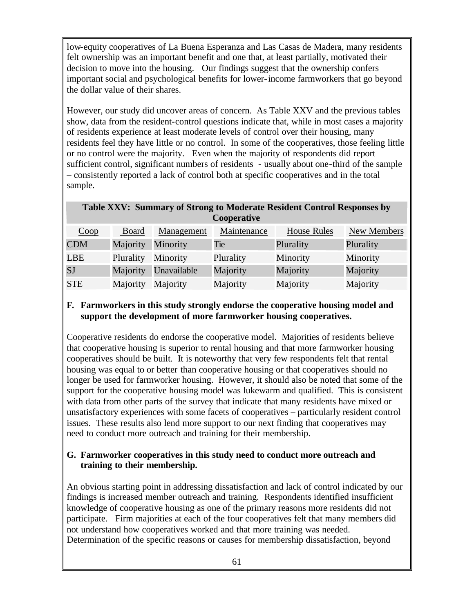low-equity cooperatives of La Buena Esperanza and Las Casas de Madera, many residents felt ownership was an important benefit and one that, at least partially, motivated their decision to move into the housing. Our findings suggest that the ownership confers important social and psychological benefits for lower-income farmworkers that go beyond the dollar value of their shares.

However, our study did uncover areas of concern. As Table XXV and the previous tables show, data from the resident-control questions indicate that, while in most cases a majority of residents experience at least moderate levels of control over their housing, many residents feel they have little or no control. In some of the cooperatives, those feeling little or no control were the majority. Even when the majority of respondents did report sufficient control, significant numbers of residents - usually about one-third of the sample – consistently reported a lack of control both at specific cooperatives and in the total sample.

#### **Table XXV: Summary of Strong to Moderate Resident Control Responses by Cooperative**

| Coop       | Board           | Management  | Maintenance | House Rules | New Members |
|------------|-----------------|-------------|-------------|-------------|-------------|
| <b>CDM</b> | <b>Majority</b> | Minority    | Tie         | Plurality   | Plurality   |
| <b>LBE</b> | Plurality       | Minority    | Plurality   | Minority    | Minority    |
| <b>SJ</b>  | Majority        | Unavailable | Majority    | Majority    | Majority    |
| <b>STE</b> | Majority        | Majority    | Majority    | Majority    | Majority    |

#### **F. Farmworkers in this study strongly endorse the cooperative housing model and support the development of more farmworker housing cooperatives.**

Cooperative residents do endorse the cooperative model. Majorities of residents believe that cooperative housing is superior to rental housing and that more farmworker housing cooperatives should be built. It is noteworthy that very few respondents felt that rental housing was equal to or better than cooperative housing or that cooperatives should no longer be used for farmworker housing. However, it should also be noted that some of the support for the cooperative housing model was lukewarm and qualified. This is consistent with data from other parts of the survey that indicate that many residents have mixed or unsatisfactory experiences with some facets of cooperatives – particularly resident control issues. These results also lend more support to our next finding that cooperatives may need to conduct more outreach and training for their membership.

#### **G. Farmworker cooperatives in this study need to conduct more outreach and training to their membership.**

An obvious starting point in addressing dissatisfaction and lack of control indicated by our findings is increased member outreach and training. Respondents identified insufficient knowledge of cooperative housing as one of the primary reasons more residents did not participate. Firm majorities at each of the four cooperatives felt that many members did not understand how cooperatives worked and that more training was needed. Determination of the specific reasons or causes for membership dissatisfaction, beyond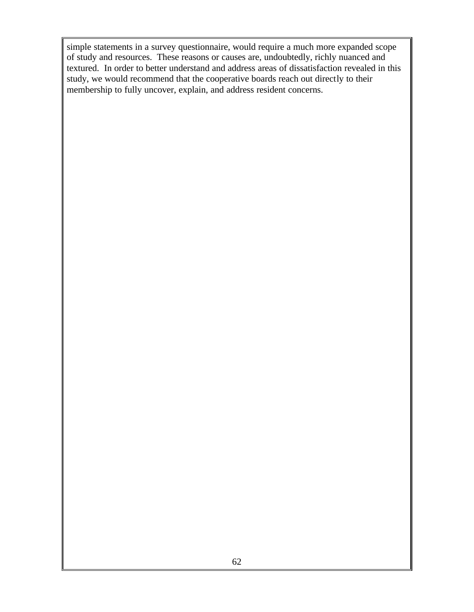simple statements in a survey questionnaire, would require a much more expanded scope of study and resources. These reasons or causes are, undoubtedly, richly nuanced and textured. In order to better understand and address areas of dissatisfaction revealed in this study, we would recommend that the cooperative boards reach out directly to their membership to fully uncover, explain, and address resident concerns.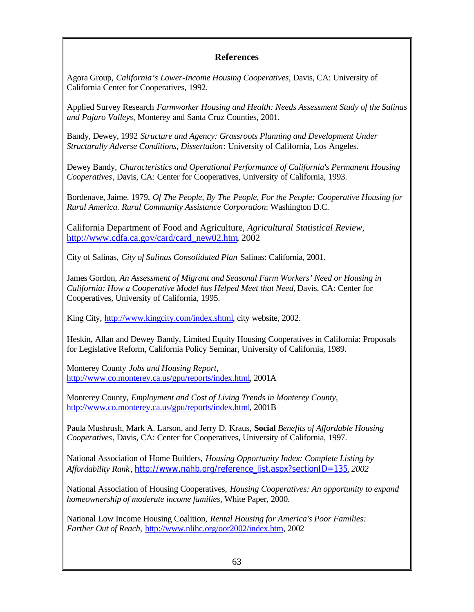## **References**

Agora Group, *California's Lower-Income Housing Cooperatives,* Davis, CA: University of California Center for Cooperatives, 1992.

Applied Survey Research *Farmworker Housing and Health: Needs Assessment Study of the Salinas and Pajaro Valleys,* Monterey and Santa Cruz Counties, 2001.

Bandy, Dewey, 1992 *Structure and Agency: Grassroots Planning and Development Under Structurally Adverse Conditions, Dissertation*: University of California, Los Angeles.

Dewey Bandy, *Characteristics and Operational Performance of California's Permanent Housing Cooperatives,* Davis, CA: Center for Cooperatives, University of California, 1993.

Bordenave, Jaime. 1979, *Of The People, By The People, For the People: Cooperative Housing for Rural America. Rural Community Assistance Corporation*: Washington D.C.

California Department of Food and Agriculture, *Agricultural Statistical Review*, http://www.cdfa.ca.gov/card/card\_new02.htm, 2002

City of Salinas, *City of Salinas Consolidated Plan* Salinas: California, 2001.

James Gordon, *An Assessment of Migrant and Seasonal Farm Workers' Need or Housing in California: How a Cooperative Model has Helped Meet that Need,* Davis, CA: Center for Cooperatives, University of California, 1995.

King City, http://www.kingcity.com/index.shtml, city website, 2002.

Heskin, Allan and Dewey Bandy, Limited Equity Housing Cooperatives in California: Proposals for Legislative Reform, California Policy Seminar, University of California, 1989.

Monterey County *Jobs and Housing Report*, http://www.co.monterey.ca.us/gpu/reports/index.html, 2001A

Monterey County, *Employment and Cost of Living Trends in Monterey County,*  http://www.co.monterey.ca.us/gpu/reports/index.html, 2001B

Paula Mushrush, Mark A. Larson, and Jerry D. Kraus, **Social** *Benefits of Affordable Housing Cooperatives,* Davis, CA: Center for Cooperatives, University of California, 1997.

National Association of Home Builders, *Housing Opportunity Index: Complete Listing by Affordability Rank* , http://www.nahb.org/reference\_list.aspx?sectionID=135*, 2002*

National Association of Housing Cooperatives, *Housing Cooperatives: An opportunity to expand homeownership of moderate income families,* White Paper, 2000.

National Low Income Housing Coalition, *Rental Housing for America's Poor Families: Farther Out of Reach,* http://www.nlihc.org/oor2002/index.htm, 2002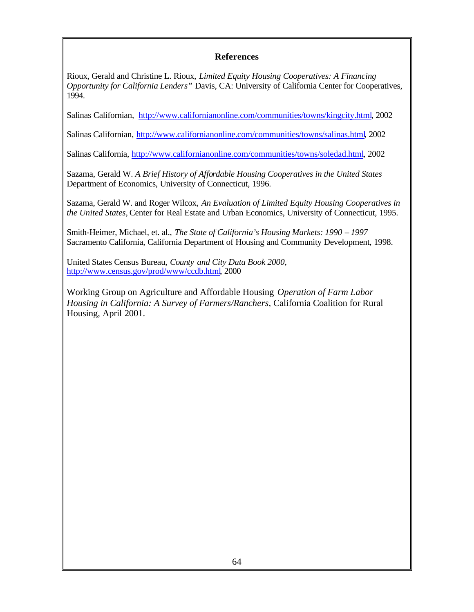#### **References**

Rioux, Gerald and Christine L. Rioux, *Limited Equity Housing Cooperatives: A Financing Opportunity for California Lenders"* Davis, CA: University of California Center for Cooperatives, 1994.

Salinas Californian, http://www.californianonline.com/communities/towns/kingcity.html, 2002

Salinas Californian, http://www.californianonline.com/communities/towns/salinas.html, 2002

Salinas California, http://www.californianonline.com/communities/towns/soledad.html, 2002

Sazama, Gerald W. *A Brief History of Affordable Housing Cooperatives in the United States* Department of Economics, University of Connecticut, 1996.

Sazama, Gerald W. and Roger Wilcox, *An Evaluation of Limited Equity Housing Cooperatives in the United States,* Center for Real Estate and Urban Economics, University of Connecticut, 1995.

Smith-Heimer, Michael, et. al., *The State of California's Housing Markets: 1990 – 1997*  Sacramento California, California Department of Housing and Community Development, 1998.

United States Census Bureau, *County and City Data Book 2000,* http://www.census.gov/prod/www/ccdb.html, 2000

Working Group on Agriculture and Affordable Housing *Operation of Farm Labor Housing in California: A Survey of Farmers/Ranchers,* California Coalition for Rural Housing, April 2001.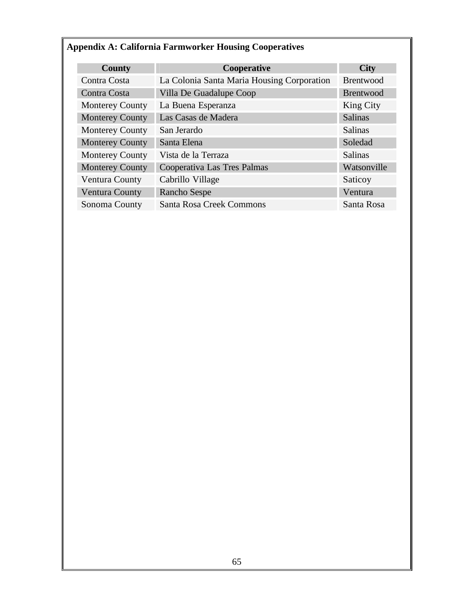# **Appendix A: California Farmworker Housing Cooperatives**

| <b>County</b>          | Cooperative                                | <b>City</b>      |
|------------------------|--------------------------------------------|------------------|
| Contra Costa           | La Colonia Santa Maria Housing Corporation | <b>Brentwood</b> |
| Contra Costa           | Villa De Guadalupe Coop                    | <b>Brentwood</b> |
| <b>Monterey County</b> | La Buena Esperanza                         | King City        |
| <b>Monterey County</b> | Las Casas de Madera                        | <b>Salinas</b>   |
| <b>Monterey County</b> | San Jerardo                                | <b>Salinas</b>   |
| <b>Monterey County</b> | Santa Elena                                | Soledad          |
| <b>Monterey County</b> | Vista de la Terraza                        | <b>Salinas</b>   |
| <b>Monterey County</b> | Cooperativa Las Tres Palmas                | Watsonville      |
| Ventura County         | Cabrillo Village                           | Saticoy          |
| Ventura County         | <b>Rancho Sespe</b>                        | Ventura          |
| Sonoma County          | <b>Santa Rosa Creek Commons</b>            | Santa Rosa       |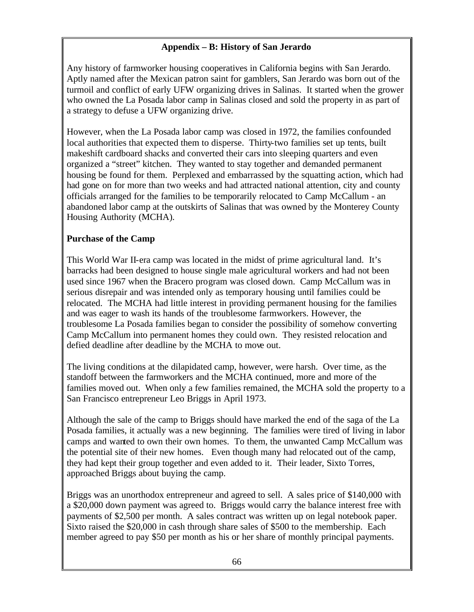# **Appendix – B: History of San Jerardo**

Any history of farmworker housing cooperatives in California begins with San Jerardo. Aptly named after the Mexican patron saint for gamblers, San Jerardo was born out of the turmoil and conflict of early UFW organizing drives in Salinas. It started when the grower who owned the La Posada labor camp in Salinas closed and sold the property in as part of a strategy to defuse a UFW organizing drive.

However, when the La Posada labor camp was closed in 1972, the families confounded local authorities that expected them to disperse. Thirty-two families set up tents, built makeshift cardboard shacks and converted their cars into sleeping quarters and even organized a "street" kitchen. They wanted to stay together and demanded permanent housing be found for them. Perplexed and embarrassed by the squatting action, which had had gone on for more than two weeks and had attracted national attention, city and county officials arranged for the families to be temporarily relocated to Camp McCallum - an abandoned labor camp at the outskirts of Salinas that was owned by the Monterey County Housing Authority (MCHA).

## **Purchase of the Camp**

This World War II-era camp was located in the midst of prime agricultural land. It's barracks had been designed to house single male agricultural workers and had not been used since 1967 when the Bracero program was closed down. Camp McCallum was in serious disrepair and was intended only as temporary housing until families could be relocated. The MCHA had little interest in providing permanent housing for the families and was eager to wash its hands of the troublesome farmworkers. However, the troublesome La Posada families began to consider the possibility of somehow converting Camp McCallum into permanent homes they could own. They resisted relocation and defied deadline after deadline by the MCHA to move out.

The living conditions at the dilapidated camp, however, were harsh. Over time, as the standoff between the farmworkers and the MCHA continued, more and more of the families moved out. When only a few families remained, the MCHA sold the property to a San Francisco entrepreneur Leo Briggs in April 1973.

Although the sale of the camp to Briggs should have marked the end of the saga of the La Posada families, it actually was a new beginning. The families were tired of living in labor camps and wanted to own their own homes. To them, the unwanted Camp McCallum was the potential site of their new homes. Even though many had relocated out of the camp, they had kept their group together and even added to it. Their leader, Sixto Torres, approached Briggs about buying the camp.

Briggs was an unorthodox entrepreneur and agreed to sell. A sales price of \$140,000 with a \$20,000 down payment was agreed to. Briggs would carry the balance interest free with payments of \$2,500 per month. A sales contract was written up on legal notebook paper. Sixto raised the \$20,000 in cash through share sales of \$500 to the membership. Each member agreed to pay \$50 per month as his or her share of monthly principal payments.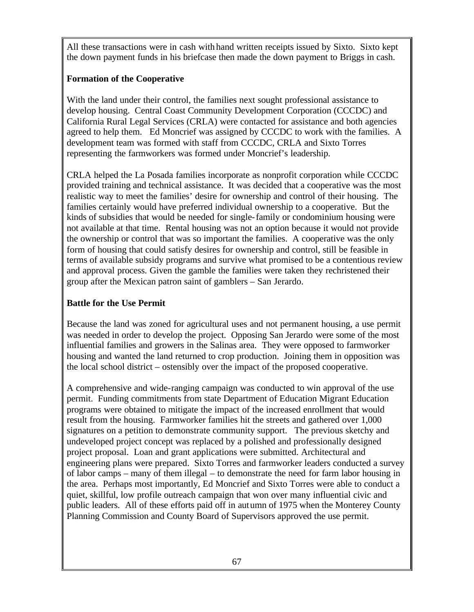All these transactions were in cash with hand written receipts issued by Sixto. Sixto kept the down payment funds in his briefcase then made the down payment to Briggs in cash.

# **Formation of the Cooperative**

With the land under their control, the families next sought professional assistance to develop housing. Central Coast Community Development Corporation (CCCDC) and California Rural Legal Services (CRLA) were contacted for assistance and both agencies agreed to help them. Ed Moncrief was assigned by CCCDC to work with the families. A development team was formed with staff from CCCDC, CRLA and Sixto Torres representing the farmworkers was formed under Moncrief's leadership.

CRLA helped the La Posada families incorporate as nonprofit corporation while CCCDC provided training and technical assistance. It was decided that a cooperative was the most realistic way to meet the families' desire for ownership and control of their housing. The families certainly would have preferred individual ownership to a cooperative. But the kinds of subsidies that would be needed for single-family or condominium housing were not available at that time. Rental housing was not an option because it would not provide the ownership or control that was so important the families. A cooperative was the only form of housing that could satisfy desires for ownership and control, still be feasible in terms of available subsidy programs and survive what promised to be a contentious review and approval process. Given the gamble the families were taken they rechristened their group after the Mexican patron saint of gamblers – San Jerardo.

# **Battle for the Use Permit**

Because the land was zoned for agricultural uses and not permanent housing, a use permit was needed in order to develop the project. Opposing San Jerardo were some of the most influential families and growers in the Salinas area. They were opposed to farmworker housing and wanted the land returned to crop production. Joining them in opposition was the local school district – ostensibly over the impact of the proposed cooperative.

A comprehensive and wide-ranging campaign was conducted to win approval of the use permit. Funding commitments from state Department of Education Migrant Education programs were obtained to mitigate the impact of the increased enrollment that would result from the housing. Farmworker families hit the streets and gathered over 1,000 signatures on a petition to demonstrate community support. The previous sketchy and undeveloped project concept was replaced by a polished and professionally designed project proposal. Loan and grant applications were submitted. Architectural and engineering plans were prepared. Sixto Torres and farmworker leaders conducted a survey of labor camps – many of them illegal – to demonstrate the need for farm labor housing in the area. Perhaps most importantly, Ed Moncrief and Sixto Torres were able to conduct a quiet, skillful, low profile outreach campaign that won over many influential civic and public leaders. All of these efforts paid off in autumn of 1975 when the Monterey County Planning Commission and County Board of Supervisors approved the use permit.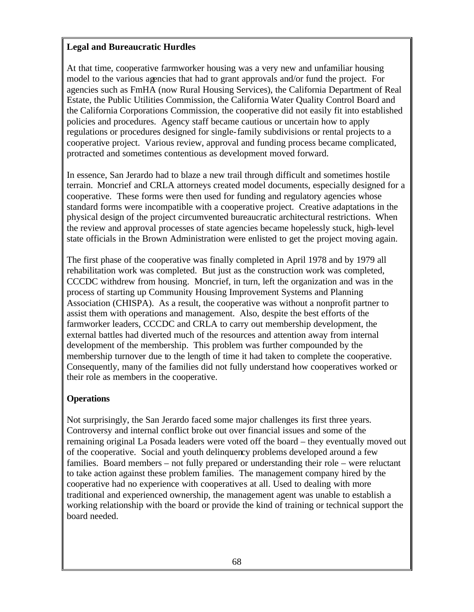### **Legal and Bureaucratic Hurdles**

At that time, cooperative farmworker housing was a very new and unfamiliar housing model to the various agencies that had to grant approvals and/or fund the project. For agencies such as FmHA (now Rural Housing Services), the California Department of Real Estate, the Public Utilities Commission, the California Water Quality Control Board and the California Corporations Commission, the cooperative did not easily fit into established policies and procedures. Agency staff became cautious or uncertain how to apply regulations or procedures designed for single-family subdivisions or rental projects to a cooperative project. Various review, approval and funding process became complicated, protracted and sometimes contentious as development moved forward.

In essence, San Jerardo had to blaze a new trail through difficult and sometimes hostile terrain. Moncrief and CRLA attorneys created model documents, especially designed for a cooperative. These forms were then used for funding and regulatory agencies whose standard forms were incompatible with a cooperative project. Creative adaptations in the physical design of the project circumvented bureaucratic architectural restrictions. When the review and approval processes of state agencies became hopelessly stuck, high-level state officials in the Brown Administration were enlisted to get the project moving again.

The first phase of the cooperative was finally completed in April 1978 and by 1979 all rehabilitation work was completed. But just as the construction work was completed, CCCDC withdrew from housing. Moncrief, in turn, left the organization and was in the process of starting up Community Housing Improvement Systems and Planning Association (CHISPA). As a result, the cooperative was without a nonprofit partner to assist them with operations and management. Also, despite the best efforts of the farmworker leaders, CCCDC and CRLA to carry out membership development, the external battles had diverted much of the resources and attention away from internal development of the membership. This problem was further compounded by the membership turnover due to the length of time it had taken to complete the cooperative. Consequently, many of the families did not fully understand how cooperatives worked or their role as members in the cooperative.

### **Operations**

Not surprisingly, the San Jerardo faced some major challenges its first three years. Controversy and internal conflict broke out over financial issues and some of the remaining original La Posada leaders were voted off the board – they eventually moved out of the cooperative. Social and youth delinquency problems developed around a few families. Board members – not fully prepared or understanding their role – were reluctant to take action against these problem families. The management company hired by the cooperative had no experience with cooperatives at all. Used to dealing with more traditional and experienced ownership, the management agent was unable to establish a working relationship with the board or provide the kind of training or technical support the board needed.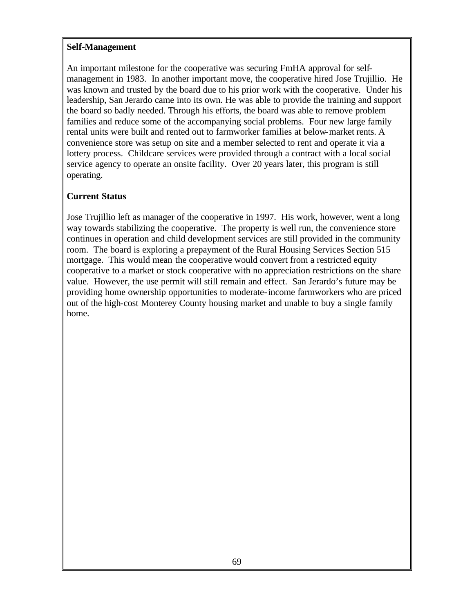#### **Self-Management**

An important milestone for the cooperative was securing FmHA approval for selfmanagement in 1983. In another important move, the cooperative hired Jose Trujillio. He was known and trusted by the board due to his prior work with the cooperative. Under his leadership, San Jerardo came into its own. He was able to provide the training and support the board so badly needed. Through his efforts, the board was able to remove problem families and reduce some of the accompanying social problems. Four new large family rental units were built and rented out to farmworker families at below-market rents. A convenience store was setup on site and a member selected to rent and operate it via a lottery process. Childcare services were provided through a contract with a local social service agency to operate an onsite facility. Over 20 years later, this program is still operating.

## **Current Status**

Jose Trujillio left as manager of the cooperative in 1997. His work, however, went a long way towards stabilizing the cooperative. The property is well run, the convenience store continues in operation and child development services are still provided in the community room. The board is exploring a prepayment of the Rural Housing Services Section 515 mortgage. This would mean the cooperative would convert from a restricted equity cooperative to a market or stock cooperative with no appreciation restrictions on the share value. However, the use permit will still remain and effect. San Jerardo's future may be providing home ownership opportunities to moderate-income farmworkers who are priced out of the high-cost Monterey County housing market and unable to buy a single family home.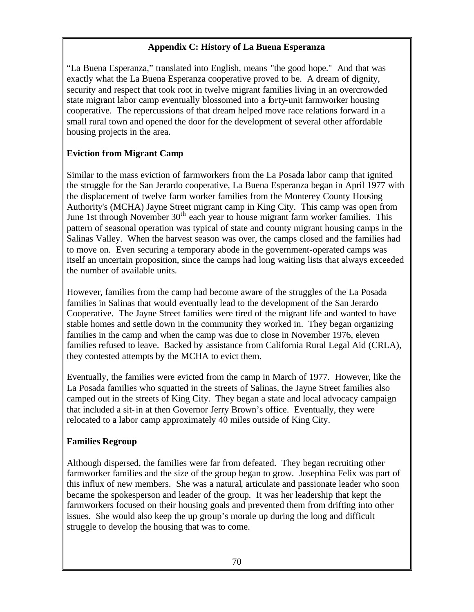## **Appendix C: History of La Buena Esperanza**

"La Buena Esperanza," translated into English, means "the good hope." And that was exactly what the La Buena Esperanza cooperative proved to be. A dream of dignity, security and respect that took root in twelve migrant families living in an overcrowded state migrant labor camp eventually blossomed into a forty-unit farmworker housing cooperative. The repercussions of that dream helped move race relations forward in a small rural town and opened the door for the development of several other affordable housing projects in the area.

# **Eviction from Migrant Camp**

Similar to the mass eviction of farmworkers from the La Posada labor camp that ignited the struggle for the San Jerardo cooperative, La Buena Esperanza began in April 1977 with the displacement of twelve farm worker families from the Monterey County Housing Authority's (MCHA) Jayne Street migrant camp in King City. This camp was open from June 1st through November  $30<sup>th</sup>$  each year to house migrant farm worker families. This pattern of seasonal operation was typical of state and county migrant housing camps in the Salinas Valley. When the harvest season was over, the camps closed and the families had to move on. Even securing a temporary abode in the government-operated camps was itself an uncertain proposition, since the camps had long waiting lists that always exceeded the number of available units.

However, families from the camp had become aware of the struggles of the La Posada families in Salinas that would eventually lead to the development of the San Jerardo Cooperative. The Jayne Street families were tired of the migrant life and wanted to have stable homes and settle down in the community they worked in. They began organizing families in the camp and when the camp was due to close in November 1976, eleven families refused to leave. Backed by assistance from California Rural Legal Aid (CRLA), they contested attempts by the MCHA to evict them.

Eventually, the families were evicted from the camp in March of 1977. However, like the La Posada families who squatted in the streets of Salinas, the Jayne Street families also camped out in the streets of King City. They began a state and local advocacy campaign that included a sit-in at then Governor Jerry Brown's office. Eventually, they were relocated to a labor camp approximately 40 miles outside of King City.

# **Families Regroup**

Although dispersed, the families were far from defeated. They began recruiting other farmworker families and the size of the group began to grow. Josephina Felix was part of this influx of new members. She was a natural, articulate and passionate leader who soon became the spokesperson and leader of the group. It was her leadership that kept the farmworkers focused on their housing goals and prevented them from drifting into other issues. She would also keep the up group's morale up during the long and difficult struggle to develop the housing that was to come.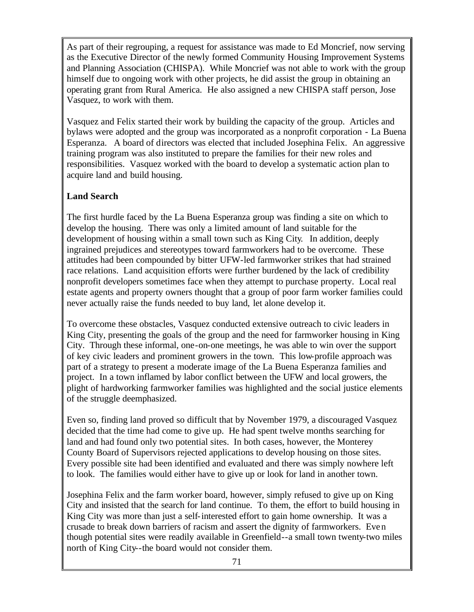As part of their regrouping, a request for assistance was made to Ed Moncrief, now serving as the Executive Director of the newly formed Community Housing Improvement Systems and Planning Association (CHISPA). While Moncrief was not able to work with the group himself due to ongoing work with other projects, he did assist the group in obtaining an operating grant from Rural America. He also assigned a new CHISPA staff person, Jose Vasquez, to work with them.

Vasquez and Felix started their work by building the capacity of the group. Articles and bylaws were adopted and the group was incorporated as a nonprofit corporation - La Buena Esperanza. A board of directors was elected that included Josephina Felix. An aggressive training program was also instituted to prepare the families for their new roles and responsibilities. Vasquez worked with the board to develop a systematic action plan to acquire land and build housing.

# **Land Search**

The first hurdle faced by the La Buena Esperanza group was finding a site on which to develop the housing. There was only a limited amount of land suitable for the development of housing within a small town such as King City. In addition, deeply ingrained prejudices and stereotypes toward farmworkers had to be overcome. These attitudes had been compounded by bitter UFW-led farmworker strikes that had strained race relations. Land acquisition efforts were further burdened by the lack of credibility nonprofit developers sometimes face when they attempt to purchase property. Local real estate agents and property owners thought that a group of poor farm worker families could never actually raise the funds needed to buy land, let alone develop it.

To overcome these obstacles, Vasquez conducted extensive outreach to civic leaders in King City, presenting the goals of the group and the need for farmworker housing in King City. Through these informal, one-on-one meetings, he was able to win over the support of key civic leaders and prominent growers in the town. This low-profile approach was part of a strategy to present a moderate image of the La Buena Esperanza families and project. In a town inflamed by labor conflict between the UFW and local growers, the plight of hardworking farmworker families was highlighted and the social justice elements of the struggle deemphasized.

Even so, finding land proved so difficult that by November 1979, a discouraged Vasquez decided that the time had come to give up. He had spent twelve months searching for land and had found only two potential sites. In both cases, however, the Monterey County Board of Supervisors rejected applications to develop housing on those sites. Every possible site had been identified and evaluated and there was simply nowhere left to look. The families would either have to give up or look for land in another town.

Josephina Felix and the farm worker board, however, simply refused to give up on King City and insisted that the search for land continue. To them, the effort to build housing in King City was more than just a self-interested effort to gain home ownership. It was a crusade to break down barriers of racism and assert the dignity of farmworkers. Even though potential sites were readily available in Greenfield--a small town twenty-two miles north of King City--the board would not consider them.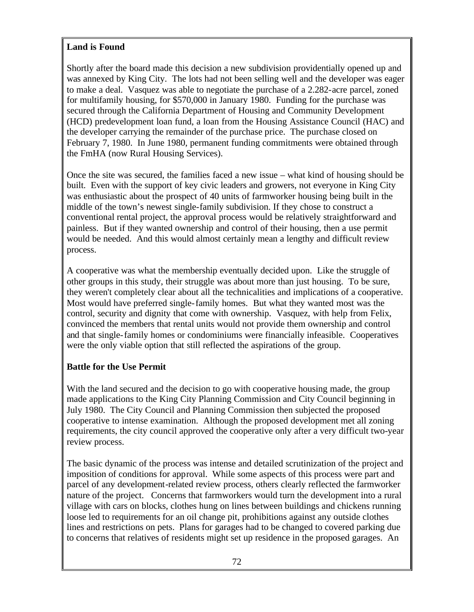### **Land is Found**

Shortly after the board made this decision a new subdivision providentially opened up and was annexed by King City. The lots had not been selling well and the developer was eager to make a deal. Vasquez was able to negotiate the purchase of a 2.282-acre parcel, zoned for multifamily housing, for \$570,000 in January 1980. Funding for the purchase was secured through the California Department of Housing and Community Development (HCD) predevelopment loan fund, a loan from the Housing Assistance Council (HAC) and the developer carrying the remainder of the purchase price. The purchase closed on February 7, 1980. In June 1980, permanent funding commitments were obtained through the FmHA (now Rural Housing Services).

Once the site was secured, the families faced a new issue – what kind of housing should be built. Even with the support of key civic leaders and growers, not everyone in King City was enthusiastic about the prospect of 40 units of farmworker housing being built in the middle of the town's newest single-family subdivision. If they chose to construct a conventional rental project, the approval process would be relatively straightforward and painless. But if they wanted ownership and control of their housing, then a use permit would be needed. And this would almost certainly mean a lengthy and difficult review process.

A cooperative was what the membership eventually decided upon. Like the struggle of other groups in this study, their struggle was about more than just housing. To be sure, they weren't completely clear about all the technicalities and implications of a cooperative. Most would have preferred single-family homes. But what they wanted most was the control, security and dignity that come with ownership. Vasquez, with help from Felix, convinced the members that rental units would not provide them ownership and control and that single-family homes or condominiums were financially infeasible. Cooperatives were the only viable option that still reflected the aspirations of the group.

# **Battle for the Use Permit**

With the land secured and the decision to go with cooperative housing made, the group made applications to the King City Planning Commission and City Council beginning in July 1980. The City Council and Planning Commission then subjected the proposed cooperative to intense examination. Although the proposed development met all zoning requirements, the city council approved the cooperative only after a very difficult two-year review process.

The basic dynamic of the process was intense and detailed scrutinization of the project and imposition of conditions for approval. While some aspects of this process were part and parcel of any development-related review process, others clearly reflected the farmworker nature of the project. Concerns that farmworkers would turn the development into a rural village with cars on blocks, clothes hung on lines between buildings and chickens running loose led to requirements for an oil change pit, prohibitions against any outside clothes lines and restrictions on pets. Plans for garages had to be changed to covered parking due to concerns that relatives of residents might set up residence in the proposed garages. An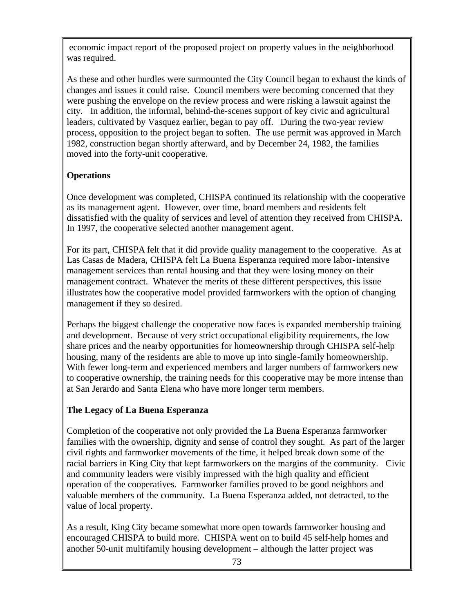economic impact report of the proposed project on property values in the neighborhood was required.

As these and other hurdles were surmounted the City Council began to exhaust the kinds of changes and issues it could raise. Council members were becoming concerned that they were pushing the envelope on the review process and were risking a lawsuit against the city. In addition, the informal, behind-the-scenes support of key civic and agricultural leaders, cultivated by Vasquez earlier, began to pay off. During the two-year review process, opposition to the project began to soften. The use permit was approved in March 1982, construction began shortly afterward, and by December 24, 1982, the families moved into the forty-unit cooperative.

# **Operations**

Once development was completed, CHISPA continued its relationship with the cooperative as its management agent. However, over time, board members and residents felt dissatisfied with the quality of services and level of attention they received from CHISPA. In 1997, the cooperative selected another management agent.

For its part, CHISPA felt that it did provide quality management to the cooperative. As at Las Casas de Madera, CHISPA felt La Buena Esperanza required more labor-intensive management services than rental housing and that they were losing money on their management contract. Whatever the merits of these different perspectives, this issue illustrates how the cooperative model provided farmworkers with the option of changing management if they so desired.

Perhaps the biggest challenge the cooperative now faces is expanded membership training and development. Because of very strict occupational eligibility requirements, the low share prices and the nearby opportunities for homeownership through CHISPA self-help housing, many of the residents are able to move up into single-family homeownership. With fewer long-term and experienced members and larger numbers of farmworkers new to cooperative ownership, the training needs for this cooperative may be more intense than at San Jerardo and Santa Elena who have more longer term members.

# **The Legacy of La Buena Esperanza**

Completion of the cooperative not only provided the La Buena Esperanza farmworker families with the ownership, dignity and sense of control they sought. As part of the larger civil rights and farmworker movements of the time, it helped break down some of the racial barriers in King City that kept farmworkers on the margins of the community. Civic and community leaders were visibly impressed with the high quality and efficient operation of the cooperatives. Farmworker families proved to be good neighbors and valuable members of the community. La Buena Esperanza added, not detracted, to the value of local property.

As a result, King City became somewhat more open towards farmworker housing and encouraged CHISPA to build more. CHISPA went on to build 45 self-help homes and another 50-unit multifamily housing development – although the latter project was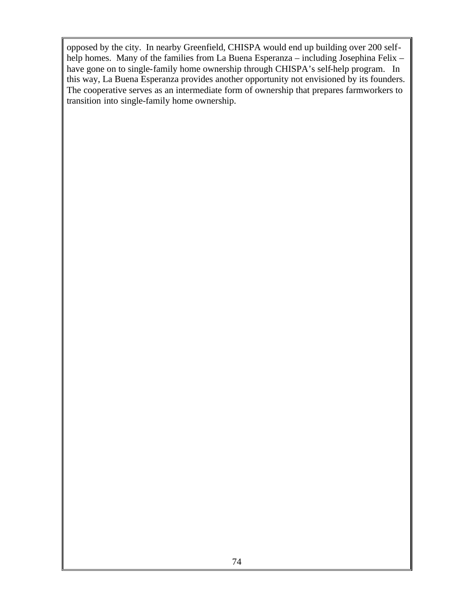opposed by the city. In nearby Greenfield, CHISPA would end up building over 200 selfhelp homes. Many of the families from La Buena Esperanza – including Josephina Felix – have gone on to single-family home ownership through CHISPA's self-help program. In this way, La Buena Esperanza provides another opportunity not envisioned by its founders. The cooperative serves as an intermediate form of ownership that prepares farmworkers to transition into single-family home ownership.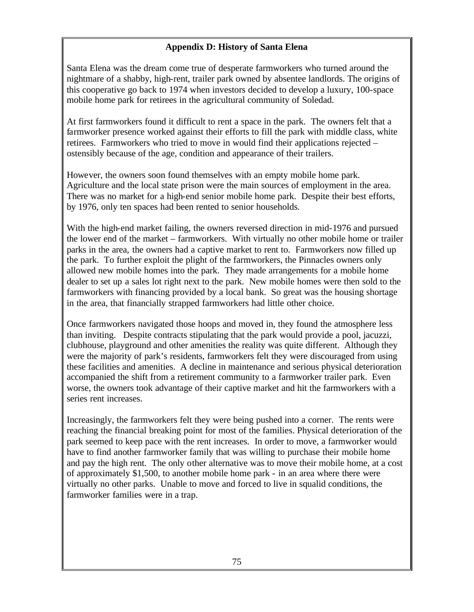## **Appendix D: History of Santa Elena**

Santa Elena was the dream come true of desperate farmworkers who turned around the nightmare of a shabby, high-rent, trailer park owned by absentee landlords. The origins of this cooperative go back to 1974 when investors decided to develop a luxury, 100-space mobile home park for retirees in the agricultural community of Soledad.

At first farmworkers found it difficult to rent a space in the park. The owners felt that a farmworker presence worked against their efforts to fill the park with middle class, white retirees. Farmworkers who tried to move in would find their applications rejected – ostensibly because of the age, condition and appearance of their trailers.

However, the owners soon found themselves with an empty mobile home park. Agriculture and the local state prison were the main sources of employment in the area. There was no market for a high-end senior mobile home park. Despite their best efforts, by 1976, only ten spaces had been rented to senior households.

With the high-end market failing, the owners reversed direction in mid-1976 and pursued the lower end of the market – farmworkers. With virtually no other mobile home or trailer parks in the area, the owners had a captive market to rent to. Farmworkers now filled up the park. To further exploit the plight of the farmworkers, the Pinnacles owners only allowed new mobile homes into the park. They made arrangements for a mobile home dealer to set up a sales lot right next to the park. New mobile homes were then sold to the farmworkers with financing provided by a local bank. So great was the housing shortage in the area, that financially strapped farmworkers had little other choice.

Once farmworkers navigated those hoops and moved in, they found the atmosphere less than inviting. Despite contracts stipulating that the park would provide a pool, jacuzzi, clubhouse, playground and other amenities the reality was quite different. Although they were the majority of park's residents, farmworkers felt they were discouraged from using these facilities and amenities. A decline in maintenance and serious physical deterioration accompanied the shift from a retirement community to a farmworker trailer park. Even worse, the owners took advantage of their captive market and hit the farmworkers with a series rent increases.

Increasingly, the farmworkers felt they were being pushed into a corner. The rents were reaching the financial breaking point for most of the families. Physical deterioration of the park seemed to keep pace with the rent increases. In order to move, a farmworker would have to find another farmworker family that was willing to purchase their mobile home and pay the high rent. The only other alternative was to move their mobile home, at a cost of approximately \$1,500, to another mobile home park - in an area where there were virtually no other parks. Unable to move and forced to live in squalid conditions, the farmworker families were in a trap.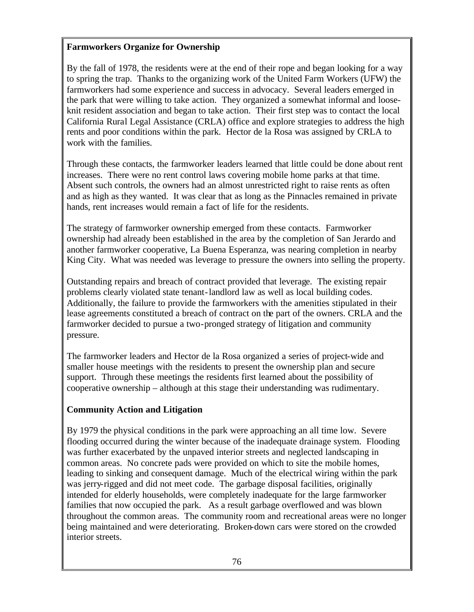### **Farmworkers Organize for Ownership**

By the fall of 1978, the residents were at the end of their rope and began looking for a way to spring the trap. Thanks to the organizing work of the United Farm Workers (UFW) the farmworkers had some experience and success in advocacy. Several leaders emerged in the park that were willing to take action. They organized a somewhat informal and looseknit resident association and began to take action. Their first step was to contact the local California Rural Legal Assistance (CRLA) office and explore strategies to address the high rents and poor conditions within the park. Hector de la Rosa was assigned by CRLA to work with the families.

Through these contacts, the farmworker leaders learned that little could be done about rent increases. There were no rent control laws covering mobile home parks at that time. Absent such controls, the owners had an almost unrestricted right to raise rents as often and as high as they wanted. It was clear that as long as the Pinnacles remained in private hands, rent increases would remain a fact of life for the residents.

The strategy of farmworker ownership emerged from these contacts. Farmworker ownership had already been established in the area by the completion of San Jerardo and another farmworker cooperative, La Buena Esperanza, was nearing completion in nearby King City. What was needed was leverage to pressure the owners into selling the property.

Outstanding repairs and breach of contract provided that leverage. The existing repair problems clearly violated state tenant-landlord law as well as local building codes. Additionally, the failure to provide the farmworkers with the amenities stipulated in their lease agreements constituted a breach of contract on the part of the owners. CRLA and the farmworker decided to pursue a two-pronged strategy of litigation and community pressure.

The farmworker leaders and Hector de la Rosa organized a series of project-wide and smaller house meetings with the residents to present the ownership plan and secure support. Through these meetings the residents first learned about the possibility of cooperative ownership – although at this stage their understanding was rudimentary.

### **Community Action and Litigation**

By 1979 the physical conditions in the park were approaching an all time low. Severe flooding occurred during the winter because of the inadequate drainage system. Flooding was further exacerbated by the unpaved interior streets and neglected landscaping in common areas. No concrete pads were provided on which to site the mobile homes, leading to sinking and consequent damage. Much of the electrical wiring within the park was jerry-rigged and did not meet code. The garbage disposal facilities, originally intended for elderly households, were completely inadequate for the large farmworker families that now occupied the park. As a result garbage overflowed and was blown throughout the common areas. The community room and recreational areas were no longer being maintained and were deteriorating. Broken-down cars were stored on the crowded interior streets.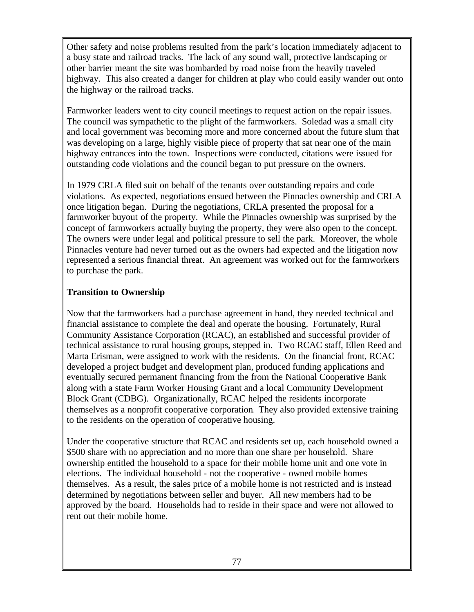Other safety and noise problems resulted from the park's location immediately adjacent to a busy state and railroad tracks. The lack of any sound wall, protective landscaping or other barrier meant the site was bombarded by road noise from the heavily traveled highway. This also created a danger for children at play who could easily wander out onto the highway or the railroad tracks.

Farmworker leaders went to city council meetings to request action on the repair issues. The council was sympathetic to the plight of the farmworkers. Soledad was a small city and local government was becoming more and more concerned about the future slum that was developing on a large, highly visible piece of property that sat near one of the main highway entrances into the town. Inspections were conducted, citations were issued for outstanding code violations and the council began to put pressure on the owners.

In 1979 CRLA filed suit on behalf of the tenants over outstanding repairs and code violations. As expected, negotiations ensued between the Pinnacles ownership and CRLA once litigation began. During the negotiations, CRLA presented the proposal for a farmworker buyout of the property. While the Pinnacles ownership was surprised by the concept of farmworkers actually buying the property, they were also open to the concept. The owners were under legal and political pressure to sell the park. Moreover, the whole Pinnacles venture had never turned out as the owners had expected and the litigation now represented a serious financial threat. An agreement was worked out for the farmworkers to purchase the park.

#### **Transition to Ownership**

Now that the farmworkers had a purchase agreement in hand, they needed technical and financial assistance to complete the deal and operate the housing. Fortunately, Rural Community Assistance Corporation (RCAC), an established and successful provider of technical assistance to rural housing groups, stepped in. Two RCAC staff, Ellen Reed and Marta Erisman, were assigned to work with the residents. On the financial front, RCAC developed a project budget and development plan, produced funding applications and eventually secured permanent financing from the from the National Cooperative Bank along with a state Farm Worker Housing Grant and a local Community Development Block Grant (CDBG). Organizationally, RCAC helped the residents incorporate themselves as a nonprofit cooperative corporation. They also provided extensive training to the residents on the operation of cooperative housing.

Under the cooperative structure that RCAC and residents set up, each household owned a \$500 share with no appreciation and no more than one share per household. Share ownership entitled the household to a space for their mobile home unit and one vote in elections. The individual household - not the cooperative - owned mobile homes themselves. As a result, the sales price of a mobile home is not restricted and is instead determined by negotiations between seller and buyer. All new members had to be approved by the board. Households had to reside in their space and were not allowed to rent out their mobile home.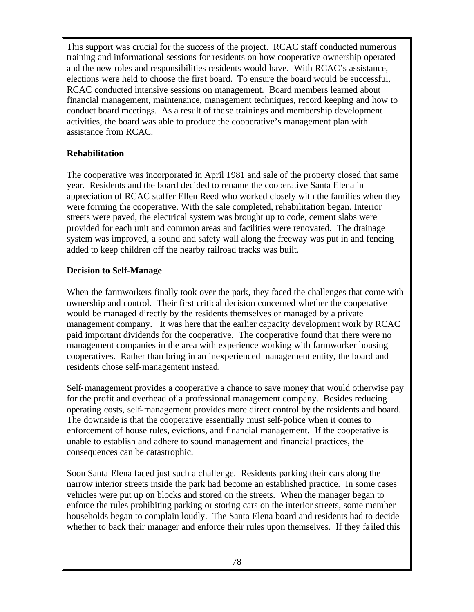This support was crucial for the success of the project. RCAC staff conducted numerous training and informational sessions for residents on how cooperative ownership operated and the new roles and responsibilities residents would have. With RCAC's assistance, elections were held to choose the first board. To ensure the board would be successful, RCAC conducted intensive sessions on management. Board members learned about financial management, maintenance, management techniques, record keeping and how to conduct board meetings. As a result of the se trainings and membership development activities, the board was able to produce the cooperative's management plan with assistance from RCAC.

# **Rehabilitation**

The cooperative was incorporated in April 1981 and sale of the property closed that same year. Residents and the board decided to rename the cooperative Santa Elena in appreciation of RCAC staffer Ellen Reed who worked closely with the families when they were forming the cooperative. With the sale completed, rehabilitation began. Interior streets were paved, the electrical system was brought up to code, cement slabs were provided for each unit and common areas and facilities were renovated. The drainage system was improved, a sound and safety wall along the freeway was put in and fencing added to keep children off the nearby railroad tracks was built.

# **Decision to Self-Manage**

When the farmworkers finally took over the park, they faced the challenges that come with ownership and control. Their first critical decision concerned whether the cooperative would be managed directly by the residents themselves or managed by a private management company. It was here that the earlier capacity development work by RCAC paid important dividends for the cooperative. The cooperative found that there were no management companies in the area with experience working with farmworker housing cooperatives. Rather than bring in an inexperienced management entity, the board and residents chose self-management instead.

Self-management provides a cooperative a chance to save money that would otherwise pay for the profit and overhead of a professional management company. Besides reducing operating costs, self-management provides more direct control by the residents and board. The downside is that the cooperative essentially must self-police when it comes to enforcement of house rules, evictions, and financial management. If the cooperative is unable to establish and adhere to sound management and financial practices, the consequences can be catastrophic.

Soon Santa Elena faced just such a challenge. Residents parking their cars along the narrow interior streets inside the park had become an established practice. In some cases vehicles were put up on blocks and stored on the streets. When the manager began to enforce the rules prohibiting parking or storing cars on the interior streets, some member households began to complain loudly. The Santa Elena board and residents had to decide whether to back their manager and enforce their rules upon themselves. If they fa iled this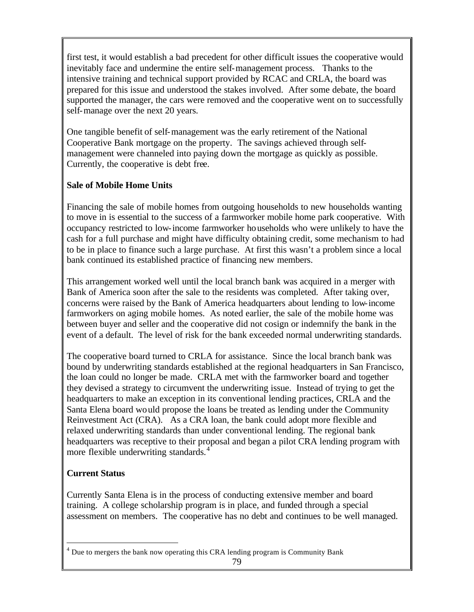first test, it would establish a bad precedent for other difficult issues the cooperative would inevitably face and undermine the entire self-management process. Thanks to the intensive training and technical support provided by RCAC and CRLA, the board was prepared for this issue and understood the stakes involved. After some debate, the board supported the manager, the cars were removed and the cooperative went on to successfully self-manage over the next 20 years.

One tangible benefit of self-management was the early retirement of the National Cooperative Bank mortgage on the property. The savings achieved through selfmanagement were channeled into paying down the mortgage as quickly as possible. Currently, the cooperative is debt free.

### **Sale of Mobile Home Units**

Financing the sale of mobile homes from outgoing households to new households wanting to move in is essential to the success of a farmworker mobile home park cooperative. With occupancy restricted to low-income farmworker households who were unlikely to have the cash for a full purchase and might have difficulty obtaining credit, some mechanism to had to be in place to finance such a large purchase. At first this wasn't a problem since a local bank continued its established practice of financing new members.

This arrangement worked well until the local branch bank was acquired in a merger with Bank of America soon after the sale to the residents was completed. After taking over, concerns were raised by the Bank of America headquarters about lending to low-income farmworkers on aging mobile homes. As noted earlier, the sale of the mobile home was between buyer and seller and the cooperative did not cosign or indemnify the bank in the event of a default. The level of risk for the bank exceeded normal underwriting standards.

The cooperative board turned to CRLA for assistance. Since the local branch bank was bound by underwriting standards established at the regional headquarters in San Francisco, the loan could no longer be made. CRLA met with the farmworker board and together they devised a strategy to circumvent the underwriting issue. Instead of trying to get the headquarters to make an exception in its conventional lending practices, CRLA and the Santa Elena board would propose the loans be treated as lending under the Community Reinvestment Act (CRA). As a CRA loan, the bank could adopt more flexible and relaxed underwriting standards than under conventional lending. The regional bank headquarters was receptive to their proposal and began a pilot CRA lending program with more flexible underwriting standards.<sup>4</sup>

# **Current Status**

 $\overline{a}$ 

Currently Santa Elena is in the process of conducting extensive member and board training. A college scholarship program is in place, and funded through a special assessment on members. The cooperative has no debt and continues to be well managed.

<sup>&</sup>lt;sup>4</sup> Due to mergers the bank now operating this CRA lending program is Community Bank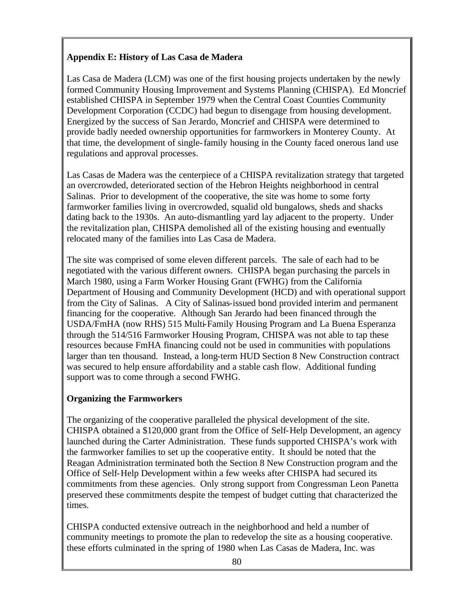### **Appendix E: History of Las Casa de Madera**

Las Casa de Madera (LCM) was one of the first housing projects undertaken by the newly formed Community Housing Improvement and Systems Planning (CHISPA). Ed Moncrief established CHISPA in September 1979 when the Central Coast Counties Community Development Corporation (CCDC) had begun to disengage from housing development. Energized by the success of San Jerardo, Moncrief and CHISPA were determined to provide badly needed ownership opportunities for farmworkers in Monterey County. At that time, the development of single-family housing in the County faced onerous land use regulations and approval processes.

Las Casas de Madera was the centerpiece of a CHISPA revitalization strategy that targeted an overcrowded, deteriorated section of the Hebron Heights neighborhood in central Salinas. Prior to development of the cooperative, the site was home to some forty farmworker families living in overcrowded, squalid old bungalows, sheds and shacks dating back to the 1930s. An auto-dismantling yard lay adjacent to the property. Under the revitalization plan, CHISPA demolished all of the existing housing and eventually relocated many of the families into Las Casa de Madera.

The site was comprised of some eleven different parcels. The sale of each had to be negotiated with the various different owners. CHISPA began purchasing the parcels in March 1980, using a Farm Worker Housing Grant (FWHG) from the California Department of Housing and Community Development (HCD) and with operational support from the City of Salinas. A City of Salinas-issued bond provided interim and permanent financing for the cooperative. Although San Jerardo had been financed through the USDA/FmHA (now RHS) 515 Multi-Family Housing Program and La Buena Esperanza through the 514/516 Farmworker Housing Program, CHISPA was not able to tap these resources because FmHA financing could not be used in communities with populations larger than ten thousand. Instead, a long-term HUD Section 8 New Construction contract was secured to help ensure affordability and a stable cash flow. Additional funding support was to come through a second FWHG.

### **Organizing the Farmworkers**

The organizing of the cooperative paralleled the physical development of the site. CHISPA obtained a \$120,000 grant from the Office of Self-Help Development, an agency launched during the Carter Administration. These funds supported CHISPA's work with the farmworker families to set up the cooperative entity. It should be noted that the Reagan Administration terminated both the Section 8 New Construction program and the Office of Self-Help Development within a few weeks after CHISPA had secured its commitments from these agencies. Only strong support from Congressman Leon Panetta preserved these commitments despite the tempest of budget cutting that characterized the times.

CHISPA conducted extensive outreach in the neighborhood and held a number of community meetings to promote the plan to redevelop the site as a housing cooperative. these efforts culminated in the spring of 1980 when Las Casas de Madera, Inc. was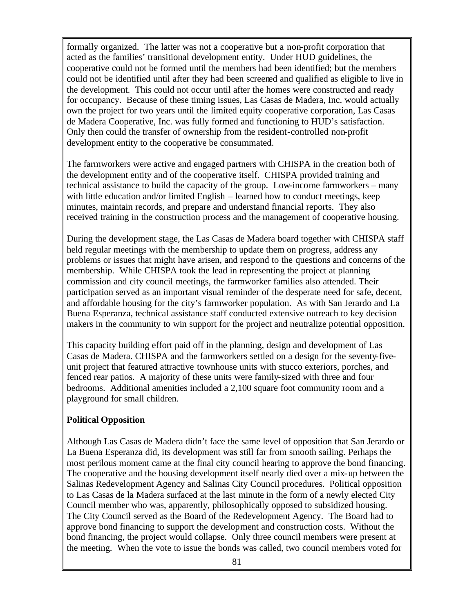formally organized. The latter was not a cooperative but a non-profit corporation that acted as the families' transitional development entity. Under HUD guidelines, the cooperative could not be formed until the members had been identified; but the members could not be identified until after they had been screened and qualified as eligible to live in the development. This could not occur until after the homes were constructed and ready for occupancy. Because of these timing issues, Las Casas de Madera, Inc. would actually own the project for two years until the limited equity cooperative corporation, Las Casas de Madera Cooperative, Inc. was fully formed and functioning to HUD's satisfaction. Only then could the transfer of ownership from the resident-controlled non-profit development entity to the cooperative be consummated.

The farmworkers were active and engaged partners with CHISPA in the creation both of the development entity and of the cooperative itself. CHISPA provided training and technical assistance to build the capacity of the group. Low-income farmworkers – many with little education and/or limited English – learned how to conduct meetings, keep minutes, maintain records, and prepare and understand financial reports. They also received training in the construction process and the management of cooperative housing.

During the development stage, the Las Casas de Madera board together with CHISPA staff held regular meetings with the membership to update them on progress, address any problems or issues that might have arisen, and respond to the questions and concerns of the membership. While CHISPA took the lead in representing the project at planning commission and city council meetings, the farmworker families also attended. Their participation served as an important visual reminder of the desperate need for safe, decent, and affordable housing for the city's farmworker population. As with San Jerardo and La Buena Esperanza, technical assistance staff conducted extensive outreach to key decision makers in the community to win support for the project and neutralize potential opposition.

This capacity building effort paid off in the planning, design and development of Las Casas de Madera. CHISPA and the farmworkers settled on a design for the seventy-fiveunit project that featured attractive townhouse units with stucco exteriors, porches, and fenced rear patios. A majority of these units were family-sized with three and four bedrooms. Additional amenities included a 2,100 square foot community room and a playground for small children.

#### **Political Opposition**

Although Las Casas de Madera didn't face the same level of opposition that San Jerardo or La Buena Esperanza did, its development was still far from smooth sailing. Perhaps the most perilous moment came at the final city council hearing to approve the bond financing. The cooperative and the housing development itself nearly died over a mix-up between the Salinas Redevelopment Agency and Salinas City Council procedures. Political opposition to Las Casas de la Madera surfaced at the last minute in the form of a newly elected City Council member who was, apparently, philosophically opposed to subsidized housing. The City Council served as the Board of the Redevelopment Agency. The Board had to approve bond financing to support the development and construction costs. Without the bond financing, the project would collapse. Only three council members were present at the meeting. When the vote to issue the bonds was called, two council members voted for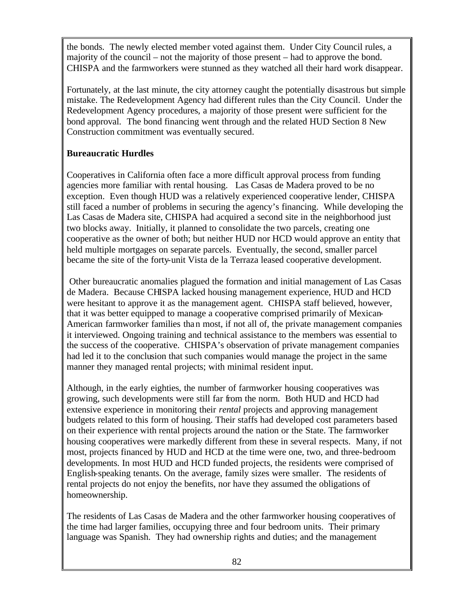the bonds. The newly elected member voted against them. Under City Council rules, a majority of the council – not the majority of those present – had to approve the bond. CHISPA and the farmworkers were stunned as they watched all their hard work disappear.

Fortunately, at the last minute, the city attorney caught the potentially disastrous but simple mistake. The Redevelopment Agency had different rules than the City Council. Under the Redevelopment Agency procedures, a majority of those present were sufficient for the bond approval. The bond financing went through and the related HUD Section 8 New Construction commitment was eventually secured.

#### **Bureaucratic Hurdles**

Cooperatives in California often face a more difficult approval process from funding agencies more familiar with rental housing. Las Casas de Madera proved to be no exception. Even though HUD was a relatively experienced cooperative lender, CHISPA still faced a number of problems in securing the agency's financing. While developing the Las Casas de Madera site, CHISPA had acquired a second site in the neighborhood just two blocks away. Initially, it planned to consolidate the two parcels, creating one cooperative as the owner of both; but neither HUD nor HCD would approve an entity that held multiple mortgages on separate parcels. Eventually, the second, smaller parcel became the site of the forty-unit Vista de la Terraza leased cooperative development.

 Other bureaucratic anomalies plagued the formation and initial management of Las Casas de Madera. Because CHISPA lacked housing management experience, HUD and HCD were hesitant to approve it as the management agent. CHISPA staff believed, however, that it was better equipped to manage a cooperative comprised primarily of Mexican-American farmworker families than most, if not all of, the private management companies it interviewed. Ongoing training and technical assistance to the members was essential to the success of the cooperative. CHISPA's observation of private management companies had led it to the conclusion that such companies would manage the project in the same manner they managed rental projects; with minimal resident input.

Although, in the early eighties, the number of farmworker housing cooperatives was growing, such developments were still far from the norm. Both HUD and HCD had extensive experience in monitoring their *rental* projects and approving management budgets related to this form of housing. Their staffs had developed cost parameters based on their experience with rental projects around the nation or the State. The farmworker housing cooperatives were markedly different from these in several respects. Many, if not most, projects financed by HUD and HCD at the time were one, two, and three-bedroom developments. In most HUD and HCD funded projects, the residents were comprised of English-speaking tenants. On the average, family sizes were smaller. The residents of rental projects do not enjoy the benefits, nor have they assumed the obligations of homeownership.

The residents of Las Casas de Madera and the other farmworker housing cooperatives of the time had larger families, occupying three and four bedroom units. Their primary language was Spanish. They had ownership rights and duties; and the management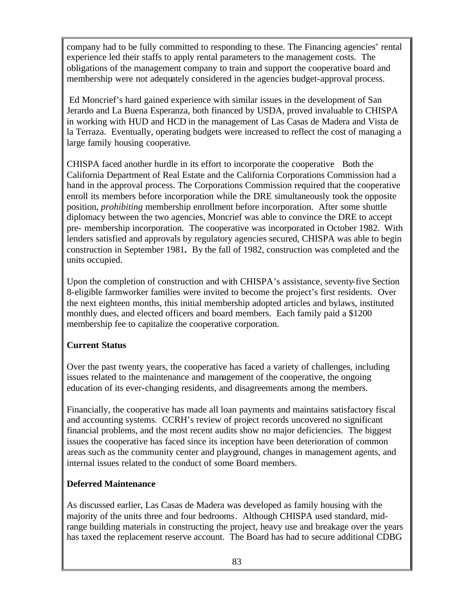company had to be fully committed to responding to these. The Financing agencies' rental experience led their staffs to apply rental parameters to the management costs. The obligations of the management company to train and support the cooperative board and membership were not adequately considered in the agencies budget-approval process.

 Ed Moncrief's hard gained experience with similar issues in the development of San Jerardo and La Buena Esperanza, both financed by USDA, proved invaluable to CHISPA in working with HUD and HCD in the management of Las Casas de Madera and Vista de la Terraza. Eventually, operating budgets were increased to reflect the cost of managing a large family housing cooperative.

CHISPA faced another hurdle in its effort to incorporate the cooperative Both the California Department of Real Estate and the California Corporations Commission had a hand in the approval process. The Corporations Commission required that the cooperative enroll its members before incorporation while the DRE simultaneously took the opposite position, *prohibiting* membership enrollment before incorporation. After some shuttle diplomacy between the two agencies, Moncrief was able to convince the DRE to accept pre- membership incorporation. The cooperative was incorporated in October 1982. With lenders satisfied and approvals by regulatory agencies secured, CHISPA was able to begin construction in September 1981**.** By the fall of 1982, construction was completed and the units occupied.

Upon the completion of construction and with CHISPA's assistance, seventy-five Section 8-eligible farmworker families were invited to become the project's first residents. Over the next eighteen months, this initial membership adopted articles and bylaws, instituted monthly dues, and elected officers and board members. Each family paid a \$1200 membership fee to capitalize the cooperative corporation.

### **Current Status**

Over the past twenty years, the cooperative has faced a variety of challenges, including issues related to the maintenance and management of the cooperative, the ongoing education of its ever-changing residents, and disagreements among the members.

Financially, the cooperative has made all loan payments and maintains satisfactory fiscal and accounting systems. CCRH's review of project records uncovered no significant financial problems, and the most recent audits show no major deficiencies. The biggest issues the cooperative has faced since its inception have been deterioration of common areas such as the community center and playground, changes in management agents, and internal issues related to the conduct of some Board members.

#### **Deferred Maintenance**

As discussed earlier, Las Casas de Madera was developed as family housing with the majority of the units three and four bedrooms. Although CHISPA used standard, midrange building materials in constructing the project, heavy use and breakage over the years has taxed the replacement reserve account. The Board has had to secure additional CDBG